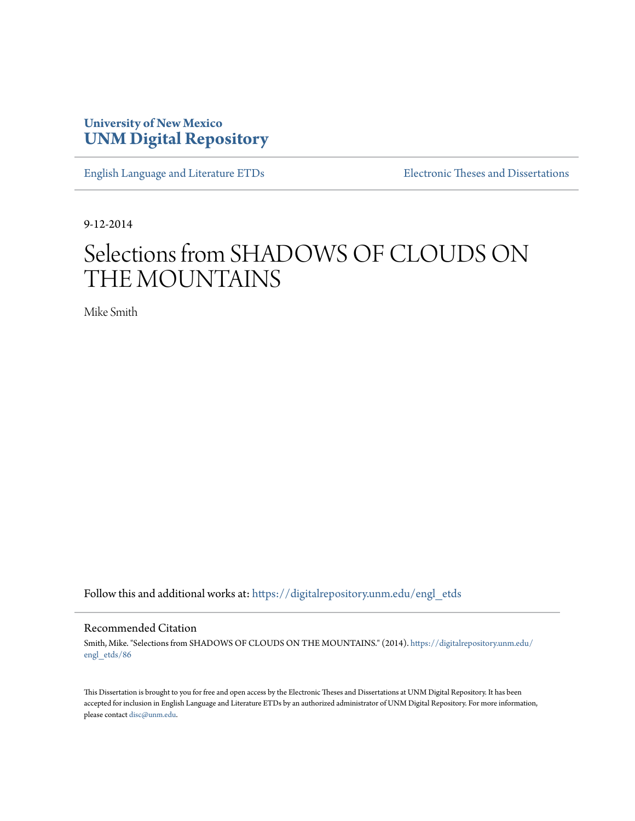# **University of New Mexico [UNM Digital Repository](https://digitalrepository.unm.edu?utm_source=digitalrepository.unm.edu%2Fengl_etds%2F86&utm_medium=PDF&utm_campaign=PDFCoverPages)**

[English Language and Literature ETDs](https://digitalrepository.unm.edu/engl_etds?utm_source=digitalrepository.unm.edu%2Fengl_etds%2F86&utm_medium=PDF&utm_campaign=PDFCoverPages) [Electronic Theses and Dissertations](https://digitalrepository.unm.edu/etds?utm_source=digitalrepository.unm.edu%2Fengl_etds%2F86&utm_medium=PDF&utm_campaign=PDFCoverPages)

9-12-2014

# Selections from SHADOWS OF CLOUDS ON THE MOUNTAINS

Mike Smith

Follow this and additional works at: [https://digitalrepository.unm.edu/engl\\_etds](https://digitalrepository.unm.edu/engl_etds?utm_source=digitalrepository.unm.edu%2Fengl_etds%2F86&utm_medium=PDF&utm_campaign=PDFCoverPages)

## Recommended Citation

Smith, Mike. "Selections from SHADOWS OF CLOUDS ON THE MOUNTAINS." (2014). [https://digitalrepository.unm.edu/](https://digitalrepository.unm.edu/engl_etds/86?utm_source=digitalrepository.unm.edu%2Fengl_etds%2F86&utm_medium=PDF&utm_campaign=PDFCoverPages) [engl\\_etds/86](https://digitalrepository.unm.edu/engl_etds/86?utm_source=digitalrepository.unm.edu%2Fengl_etds%2F86&utm_medium=PDF&utm_campaign=PDFCoverPages)

This Dissertation is brought to you for free and open access by the Electronic Theses and Dissertations at UNM Digital Repository. It has been accepted for inclusion in English Language and Literature ETDs by an authorized administrator of UNM Digital Repository. For more information, please contact [disc@unm.edu.](mailto:disc@unm.edu)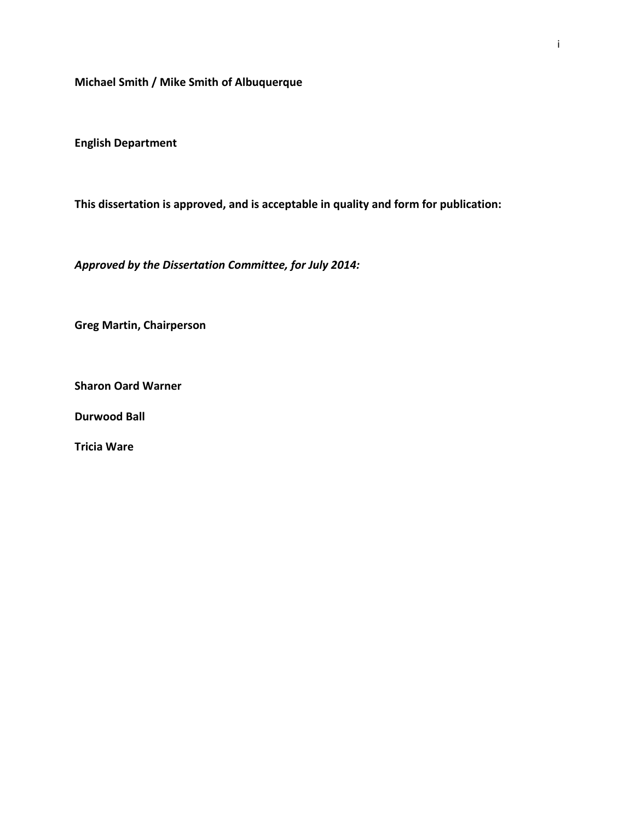**Michael Smith / Mike Smith of Albuquerque**

**English Department**

**This dissertation is approved, and is acceptable in quality and form for publication:**

*Approved by the Dissertation Committee, for July 2014:*

**Greg Martin, Chairperson**

**Sharon Oard Warner**

**Durwood Ball**

**Tricia Ware**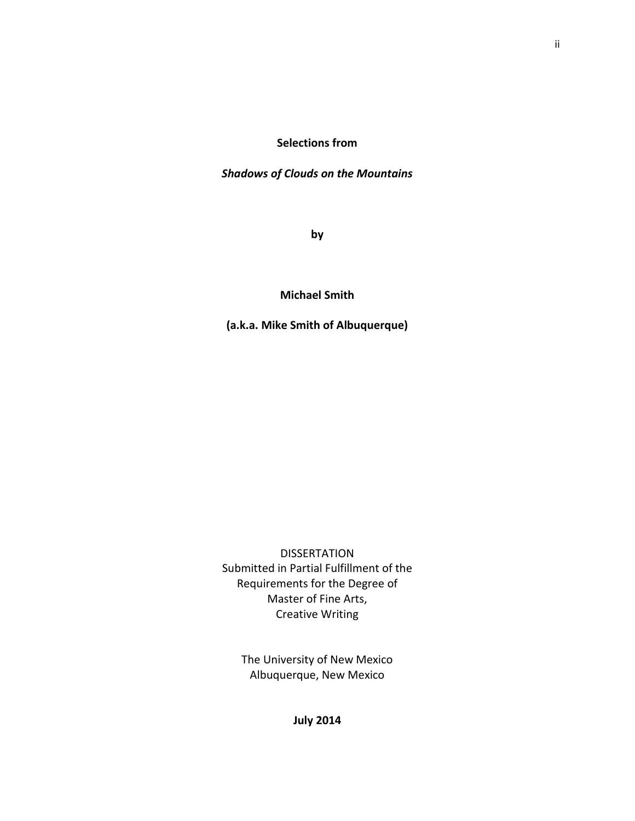# **Selections from**

# *Shadows of Clouds on the Mountains*

**by**

**Michael Smith**

**(a.k.a. Mike Smith of Albuquerque)** 

DISSERTATION Submitted in Partial Fulfillment of the Requirements for the Degree of Master of Fine Arts, Creative Writing

The University of New Mexico Albuquerque, New Mexico

**July 2014**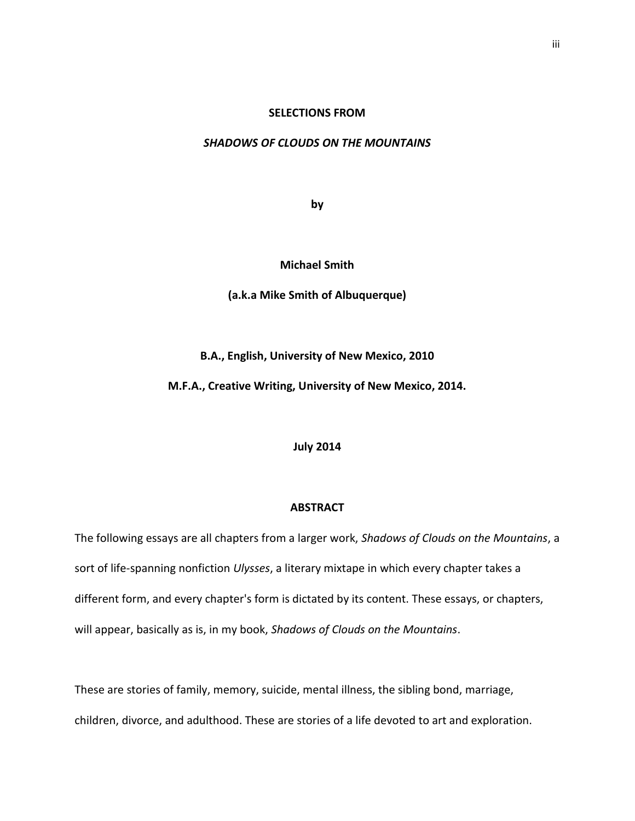### **SELECTIONS FROM**

### *SHADOWS OF CLOUDS ON THE MOUNTAINS*

**by** 

### **Michael Smith**

#### **(a.k.a Mike Smith of Albuquerque)**

**B.A., English, University of New Mexico, 2010**

**M.F.A., Creative Writing, University of New Mexico, 2014.**

**July 2014**

# **ABSTRACT**

The following essays are all chapters from a larger work, *Shadows of Clouds on the Mountains*, a sort of life-spanning nonfiction *Ulysses*, a literary mixtape in which every chapter takes a different form, and every chapter's form is dictated by its content. These essays, or chapters, will appear, basically as is, in my book, *Shadows of Clouds on the Mountains*.

These are stories of family, memory, suicide, mental illness, the sibling bond, marriage, children, divorce, and adulthood. These are stories of a life devoted to art and exploration.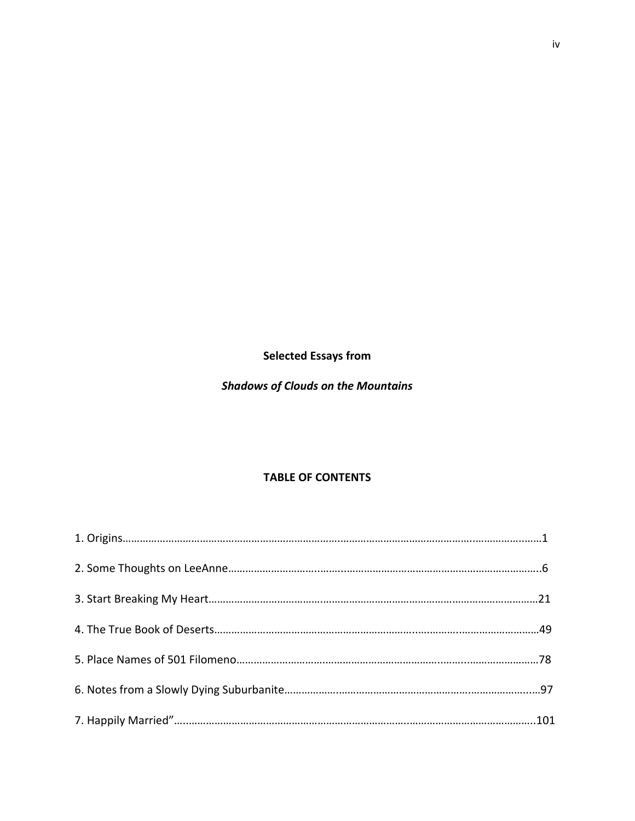# **Selected Essays from**

# *Shadows of Clouds on the Mountains*

# **TABLE OF CONTENTS**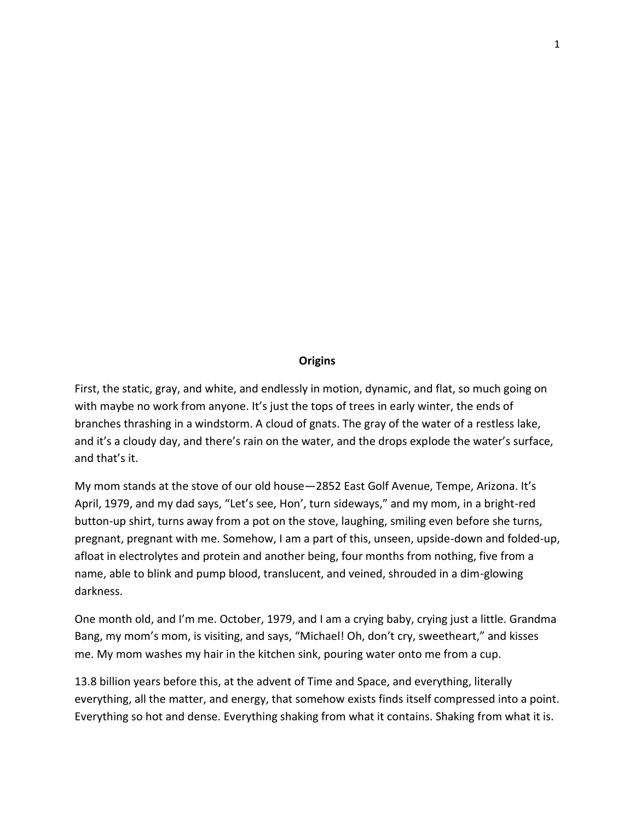# **Origins**

First, the static, gray, and white, and endlessly in motion, dynamic, and flat, so much going on with maybe no work from anyone. It's just the tops of trees in early winter, the ends of branches thrashing in a windstorm. A cloud of gnats. The gray of the water of a restless lake, and it's a cloudy day, and there's rain on the water, and the drops explode the water's surface, and that's it.

My mom stands at the stove of our old house—2852 East Golf Avenue, Tempe, Arizona. It's April, 1979, and my dad says, "Let's see, Hon', turn sideways," and my mom, in a bright-red button-up shirt, turns away from a pot on the stove, laughing, smiling even before she turns, pregnant, pregnant with me. Somehow, I am a part of this, unseen, upside-down and folded-up, afloat in electrolytes and protein and another being, four months from nothing, five from a name, able to blink and pump blood, translucent, and veined, shrouded in a dim-glowing darkness.

One month old, and I'm me. October, 1979, and I am a crying baby, crying just a little. Grandma Bang, my mom's mom, is visiting, and says, "Michael! Oh, don't cry, sweetheart," and kisses me. My mom washes my hair in the kitchen sink, pouring water onto me from a cup.

13.8 billion years before this, at the advent of Time and Space, and everything, literally everything, all the matter, and energy, that somehow exists finds itself compressed into a point. Everything so hot and dense. Everything shaking from what it contains. Shaking from what it is.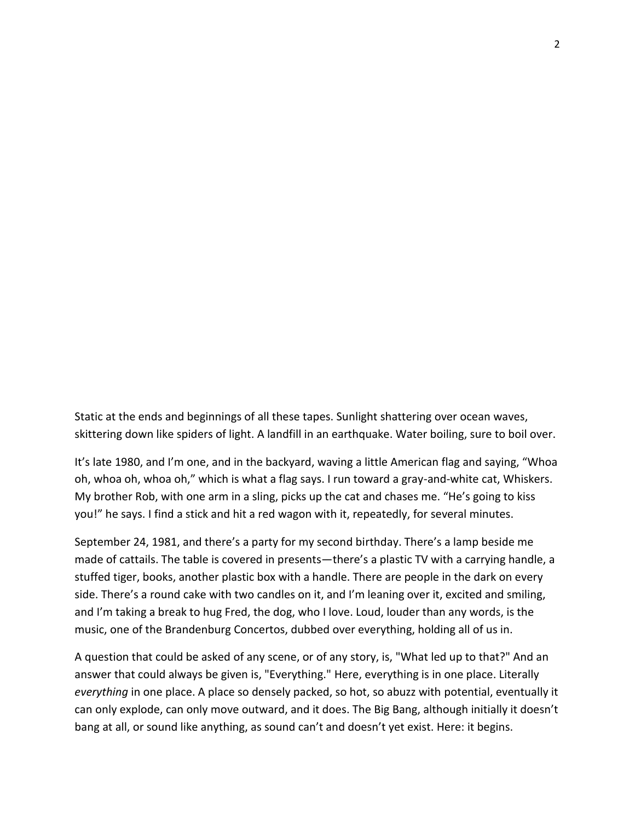Static at the ends and beginnings of all these tapes. Sunlight shattering over ocean waves, skittering down like spiders of light. A landfill in an earthquake. Water boiling, sure to boil over.

It's late 1980, and I'm one, and in the backyard, waving a little American flag and saying, "Whoa oh, whoa oh, whoa oh," which is what a flag says. I run toward a gray-and-white cat, Whiskers. My brother Rob, with one arm in a sling, picks up the cat and chases me. "He's going to kiss you!" he says. I find a stick and hit a red wagon with it, repeatedly, for several minutes.

September 24, 1981, and there's a party for my second birthday. There's a lamp beside me made of cattails. The table is covered in presents—there's a plastic TV with a carrying handle, a stuffed tiger, books, another plastic box with a handle. There are people in the dark on every side. There's a round cake with two candles on it, and I'm leaning over it, excited and smiling, and I'm taking a break to hug Fred, the dog, who I love. Loud, louder than any words, is the music, one of the Brandenburg Concertos, dubbed over everything, holding all of us in.

A question that could be asked of any scene, or of any story, is, "What led up to that?" And an answer that could always be given is, "Everything." Here, everything is in one place. Literally *everything* in one place. A place so densely packed, so hot, so abuzz with potential, eventually it can only explode, can only move outward, and it does. The Big Bang, although initially it doesn't bang at all, or sound like anything, as sound can't and doesn't yet exist. Here: it begins.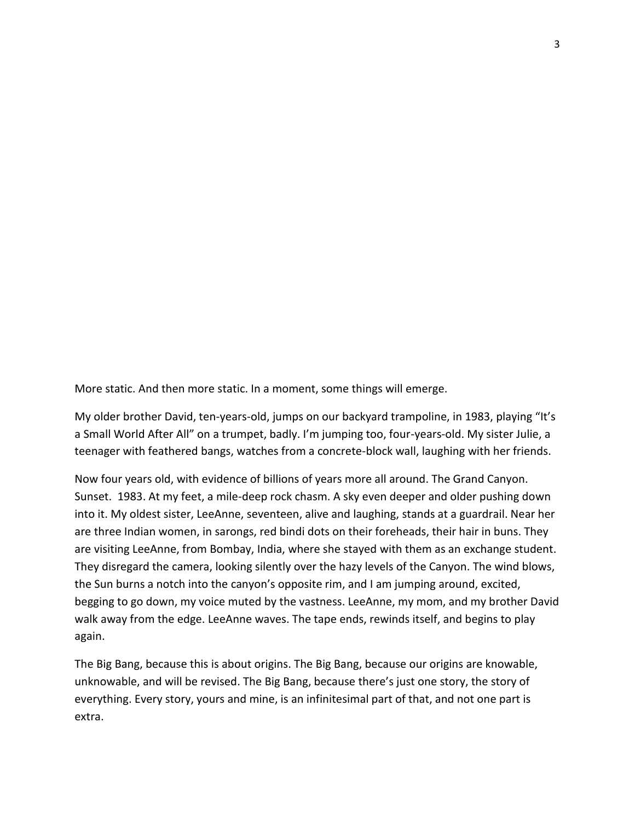More static. And then more static. In a moment, some things will emerge.

My older brother David, ten-years-old, jumps on our backyard trampoline, in 1983, playing "It's a Small World After All" on a trumpet, badly. I'm jumping too, four-years-old. My sister Julie, a teenager with feathered bangs, watches from a concrete-block wall, laughing with her friends.

Now four years old, with evidence of billions of years more all around. The Grand Canyon. Sunset. 1983. At my feet, a mile-deep rock chasm. A sky even deeper and older pushing down into it. My oldest sister, LeeAnne, seventeen, alive and laughing, stands at a guardrail. Near her are three Indian women, in sarongs, red bindi dots on their foreheads, their hair in buns. They are visiting LeeAnne, from Bombay, India, where she stayed with them as an exchange student. They disregard the camera, looking silently over the hazy levels of the Canyon. The wind blows, the Sun burns a notch into the canyon's opposite rim, and I am jumping around, excited, begging to go down, my voice muted by the vastness. LeeAnne, my mom, and my brother David walk away from the edge. LeeAnne waves. The tape ends, rewinds itself, and begins to play again.

The Big Bang, because this is about origins. The Big Bang, because our origins are knowable, unknowable, and will be revised. The Big Bang, because there's just one story, the story of everything. Every story, yours and mine, is an infinitesimal part of that, and not one part is extra.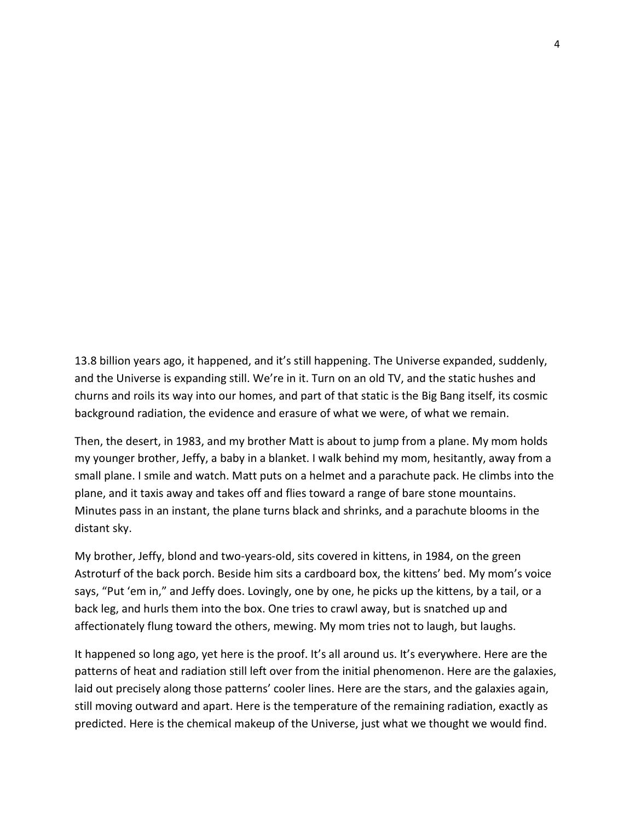13.8 billion years ago, it happened, and it's still happening. The Universe expanded, suddenly, and the Universe is expanding still. We're in it. Turn on an old TV, and the static hushes and churns and roils its way into our homes, and part of that static is the Big Bang itself, its cosmic background radiation, the evidence and erasure of what we were, of what we remain.

Then, the desert, in 1983, and my brother Matt is about to jump from a plane. My mom holds my younger brother, Jeffy, a baby in a blanket. I walk behind my mom, hesitantly, away from a small plane. I smile and watch. Matt puts on a helmet and a parachute pack. He climbs into the plane, and it taxis away and takes off and flies toward a range of bare stone mountains. Minutes pass in an instant, the plane turns black and shrinks, and a parachute blooms in the distant sky.

My brother, Jeffy, blond and two-years-old, sits covered in kittens, in 1984, on the green Astroturf of the back porch. Beside him sits a cardboard box, the kittens' bed. My mom's voice says, "Put 'em in," and Jeffy does. Lovingly, one by one, he picks up the kittens, by a tail, or a back leg, and hurls them into the box. One tries to crawl away, but is snatched up and affectionately flung toward the others, mewing. My mom tries not to laugh, but laughs.

It happened so long ago, yet here is the proof. It's all around us. It's everywhere. Here are the patterns of heat and radiation still left over from the initial phenomenon. Here are the galaxies, laid out precisely along those patterns' cooler lines. Here are the stars, and the galaxies again, still moving outward and apart. Here is the temperature of the remaining radiation, exactly as predicted. Here is the chemical makeup of the Universe, just what we thought we would find.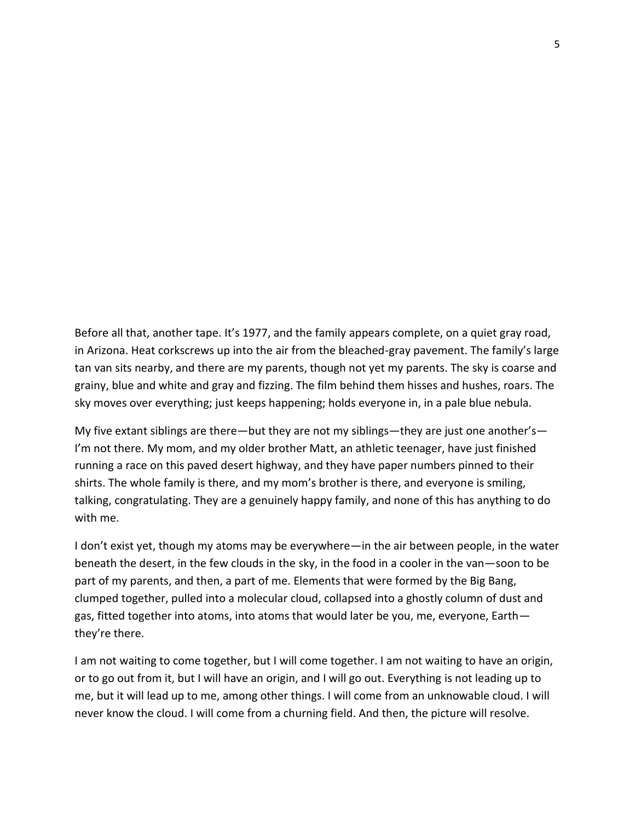Before all that, another tape. It's 1977, and the family appears complete, on a quiet gray road, in Arizona. Heat corkscrews up into the air from the bleached-gray pavement. The family's large tan van sits nearby, and there are my parents, though not yet my parents. The sky is coarse and grainy, blue and white and gray and fizzing. The film behind them hisses and hushes, roars. The sky moves over everything; just keeps happening; holds everyone in, in a pale blue nebula.

My five extant siblings are there—but they are not my siblings—they are just one another's— I'm not there. My mom, and my older brother Matt, an athletic teenager, have just finished running a race on this paved desert highway, and they have paper numbers pinned to their shirts. The whole family is there, and my mom's brother is there, and everyone is smiling, talking, congratulating. They are a genuinely happy family, and none of this has anything to do with me.

I don't exist yet, though my atoms may be everywhere—in the air between people, in the water beneath the desert, in the few clouds in the sky, in the food in a cooler in the van—soon to be part of my parents, and then, a part of me. Elements that were formed by the Big Bang, clumped together, pulled into a molecular cloud, collapsed into a ghostly column of dust and gas, fitted together into atoms, into atoms that would later be you, me, everyone, Earth they're there.

I am not waiting to come together, but I will come together. I am not waiting to have an origin, or to go out from it, but I will have an origin, and I will go out. Everything is not leading up to me, but it will lead up to me, among other things. I will come from an unknowable cloud. I will never know the cloud. I will come from a churning field. And then, the picture will resolve.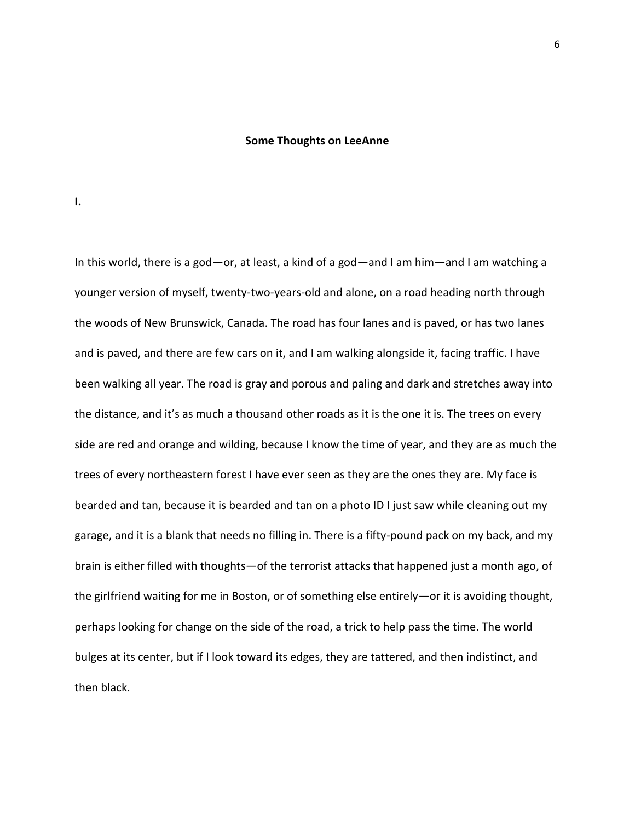### **Some Thoughts on LeeAnne**

**I.**

In this world, there is a god—or, at least, a kind of a god—and I am him—and I am watching a younger version of myself, twenty-two-years-old and alone, on a road heading north through the woods of New Brunswick, Canada. The road has four lanes and is paved, or has two lanes and is paved, and there are few cars on it, and I am walking alongside it, facing traffic. I have been walking all year. The road is gray and porous and paling and dark and stretches away into the distance, and it's as much a thousand other roads as it is the one it is. The trees on every side are red and orange and wilding, because I know the time of year, and they are as much the trees of every northeastern forest I have ever seen as they are the ones they are. My face is bearded and tan, because it is bearded and tan on a photo ID I just saw while cleaning out my garage, and it is a blank that needs no filling in. There is a fifty-pound pack on my back, and my brain is either filled with thoughts—of the terrorist attacks that happened just a month ago, of the girlfriend waiting for me in Boston, or of something else entirely—or it is avoiding thought, perhaps looking for change on the side of the road, a trick to help pass the time. The world bulges at its center, but if I look toward its edges, they are tattered, and then indistinct, and then black.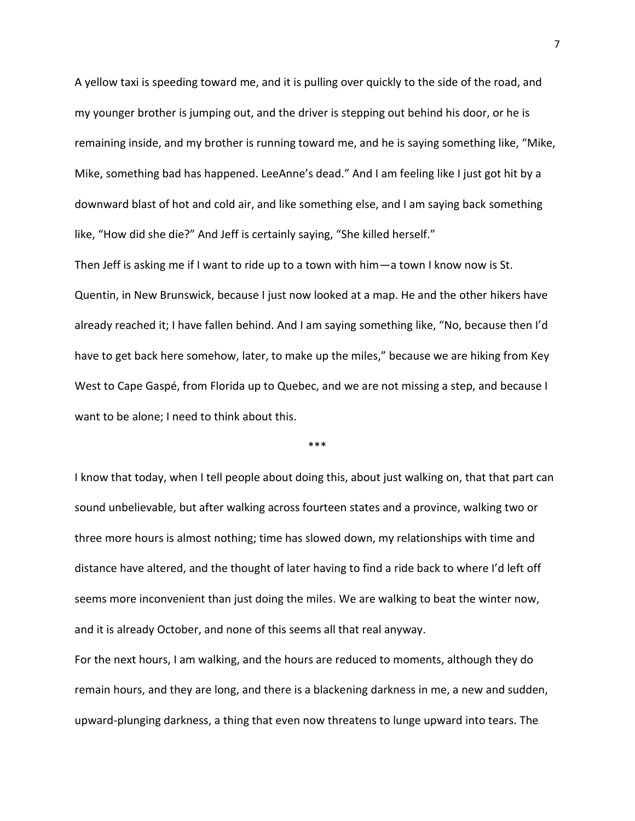A yellow taxi is speeding toward me, and it is pulling over quickly to the side of the road, and my younger brother is jumping out, and the driver is stepping out behind his door, or he is remaining inside, and my brother is running toward me, and he is saying something like, "Mike, Mike, something bad has happened. LeeAnne's dead." And I am feeling like I just got hit by a downward blast of hot and cold air, and like something else, and I am saying back something like, "How did she die?" And Jeff is certainly saying, "She killed herself."

Then Jeff is asking me if I want to ride up to a town with him—a town I know now is St. Quentin, in New Brunswick, because I just now looked at a map. He and the other hikers have already reached it; I have fallen behind. And I am saying something like, "No, because then I'd have to get back here somehow, later, to make up the miles," because we are hiking from Key West to Cape Gaspé, from Florida up to Quebec, and we are not missing a step, and because I want to be alone; I need to think about this.

#### \*\*\*

I know that today, when I tell people about doing this, about just walking on, that that part can sound unbelievable, but after walking across fourteen states and a province, walking two or three more hours is almost nothing; time has slowed down, my relationships with time and distance have altered, and the thought of later having to find a ride back to where I'd left off seems more inconvenient than just doing the miles. We are walking to beat the winter now, and it is already October, and none of this seems all that real anyway.

For the next hours, I am walking, and the hours are reduced to moments, although they do remain hours, and they are long, and there is a blackening darkness in me, a new and sudden, upward-plunging darkness, a thing that even now threatens to lunge upward into tears. The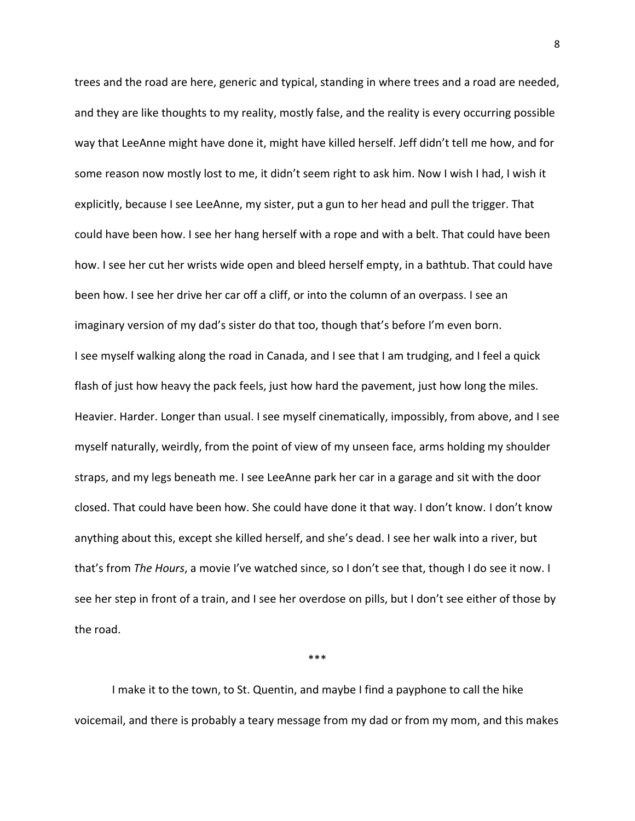trees and the road are here, generic and typical, standing in where trees and a road are needed, and they are like thoughts to my reality, mostly false, and the reality is every occurring possible way that LeeAnne might have done it, might have killed herself. Jeff didn't tell me how, and for some reason now mostly lost to me, it didn't seem right to ask him. Now I wish I had, I wish it explicitly, because I see LeeAnne, my sister, put a gun to her head and pull the trigger. That could have been how. I see her hang herself with a rope and with a belt. That could have been how. I see her cut her wrists wide open and bleed herself empty, in a bathtub. That could have been how. I see her drive her car off a cliff, or into the column of an overpass. I see an imaginary version of my dad's sister do that too, though that's before I'm even born. I see myself walking along the road in Canada, and I see that I am trudging, and I feel a quick flash of just how heavy the pack feels, just how hard the pavement, just how long the miles. Heavier. Harder. Longer than usual. I see myself cinematically, impossibly, from above, and I see myself naturally, weirdly, from the point of view of my unseen face, arms holding my shoulder straps, and my legs beneath me. I see LeeAnne park her car in a garage and sit with the door closed. That could have been how. She could have done it that way. I don't know. I don't know anything about this, except she killed herself, and she's dead. I see her walk into a river, but that's from *The Hours*, a movie I've watched since, so I don't see that, though I do see it now. I see her step in front of a train, and I see her overdose on pills, but I don't see either of those by the road.

\*\*\*

I make it to the town, to St. Quentin, and maybe I find a payphone to call the hike voicemail, and there is probably a teary message from my dad or from my mom, and this makes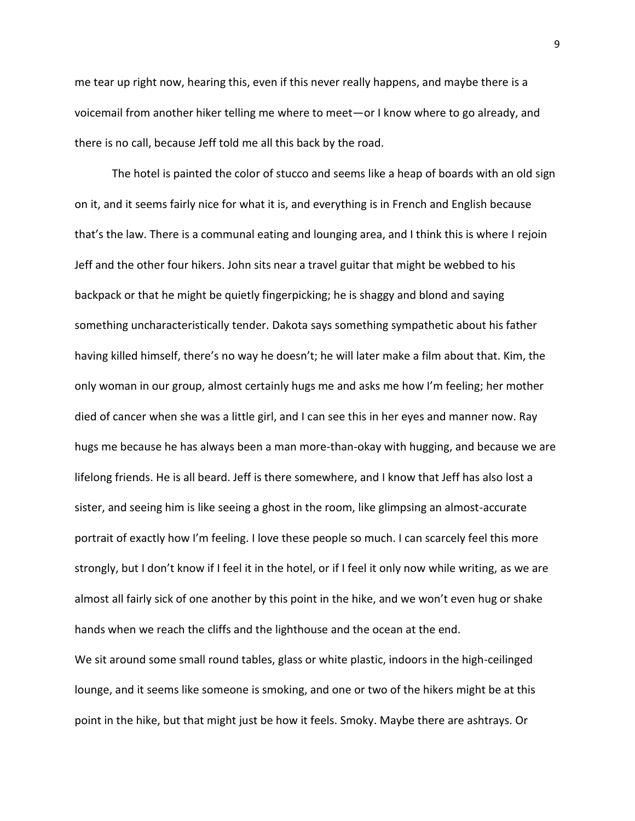me tear up right now, hearing this, even if this never really happens, and maybe there is a voicemail from another hiker telling me where to meet—or I know where to go already, and there is no call, because Jeff told me all this back by the road.

The hotel is painted the color of stucco and seems like a heap of boards with an old sign on it, and it seems fairly nice for what it is, and everything is in French and English because that's the law. There is a communal eating and lounging area, and I think this is where I rejoin Jeff and the other four hikers. John sits near a travel guitar that might be webbed to his backpack or that he might be quietly fingerpicking; he is shaggy and blond and saying something uncharacteristically tender. Dakota says something sympathetic about his father having killed himself, there's no way he doesn't; he will later make a film about that. Kim, the only woman in our group, almost certainly hugs me and asks me how I'm feeling; her mother died of cancer when she was a little girl, and I can see this in her eyes and manner now. Ray hugs me because he has always been a man more-than-okay with hugging, and because we are lifelong friends. He is all beard. Jeff is there somewhere, and I know that Jeff has also lost a sister, and seeing him is like seeing a ghost in the room, like glimpsing an almost-accurate portrait of exactly how I'm feeling. I love these people so much. I can scarcely feel this more strongly, but I don't know if I feel it in the hotel, or if I feel it only now while writing, as we are almost all fairly sick of one another by this point in the hike, and we won't even hug or shake hands when we reach the cliffs and the lighthouse and the ocean at the end.

We sit around some small round tables, glass or white plastic, indoors in the high-ceilinged lounge, and it seems like someone is smoking, and one or two of the hikers might be at this point in the hike, but that might just be how it feels. Smoky. Maybe there are ashtrays. Or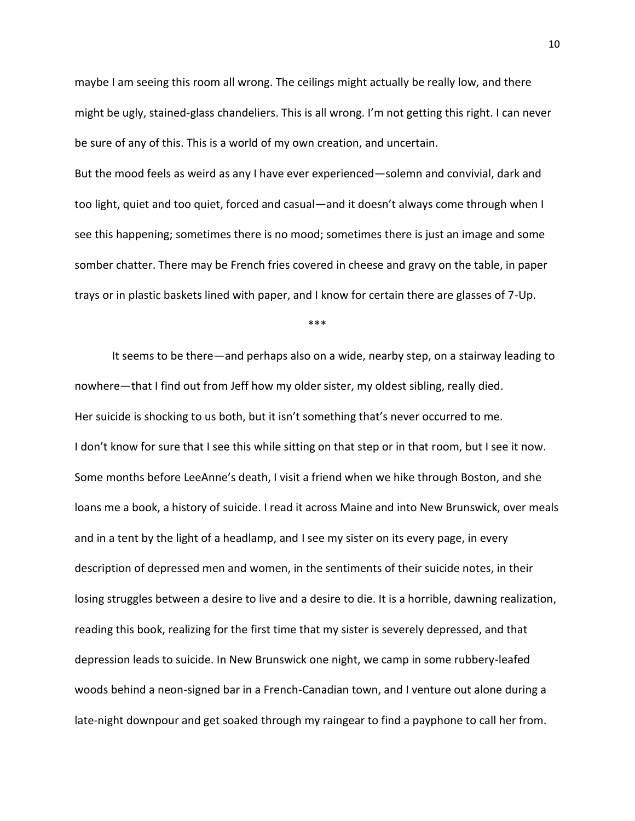maybe I am seeing this room all wrong. The ceilings might actually be really low, and there might be ugly, stained-glass chandeliers. This is all wrong. I'm not getting this right. I can never be sure of any of this. This is a world of my own creation, and uncertain.

But the mood feels as weird as any I have ever experienced—solemn and convivial, dark and too light, quiet and too quiet, forced and casual—and it doesn't always come through when I see this happening; sometimes there is no mood; sometimes there is just an image and some somber chatter. There may be French fries covered in cheese and gravy on the table, in paper trays or in plastic baskets lined with paper, and I know for certain there are glasses of 7-Up.

\*\*\*

It seems to be there—and perhaps also on a wide, nearby step, on a stairway leading to nowhere—that I find out from Jeff how my older sister, my oldest sibling, really died. Her suicide is shocking to us both, but it isn't something that's never occurred to me. I don't know for sure that I see this while sitting on that step or in that room, but I see it now. Some months before LeeAnne's death, I visit a friend when we hike through Boston, and she loans me a book, a history of suicide. I read it across Maine and into New Brunswick, over meals and in a tent by the light of a headlamp, and I see my sister on its every page, in every description of depressed men and women, in the sentiments of their suicide notes, in their losing struggles between a desire to live and a desire to die. It is a horrible, dawning realization, reading this book, realizing for the first time that my sister is severely depressed, and that depression leads to suicide. In New Brunswick one night, we camp in some rubbery-leafed woods behind a neon-signed bar in a French-Canadian town, and I venture out alone during a late-night downpour and get soaked through my raingear to find a payphone to call her from.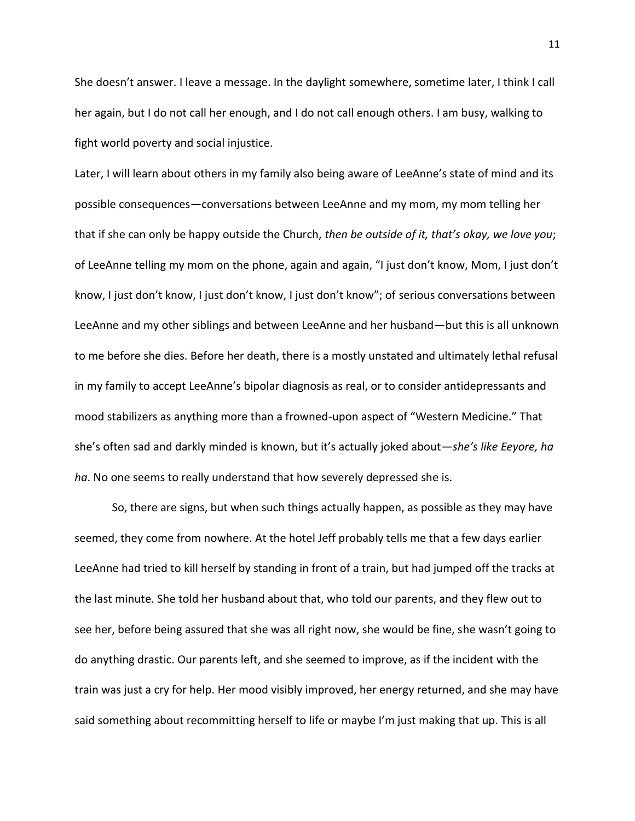She doesn't answer. I leave a message. In the daylight somewhere, sometime later, I think I call her again, but I do not call her enough, and I do not call enough others. I am busy, walking to fight world poverty and social injustice.

Later, I will learn about others in my family also being aware of LeeAnne's state of mind and its possible consequences—conversations between LeeAnne and my mom, my mom telling her that if she can only be happy outside the Church, *then be outside of it, that's okay, we love you*; of LeeAnne telling my mom on the phone, again and again, "I just don't know, Mom, I just don't know, I just don't know, I just don't know, I just don't know"; of serious conversations between LeeAnne and my other siblings and between LeeAnne and her husband—but this is all unknown to me before she dies. Before her death, there is a mostly unstated and ultimately lethal refusal in my family to accept LeeAnne's bipolar diagnosis as real, or to consider antidepressants and mood stabilizers as anything more than a frowned-upon aspect of "Western Medicine." That she's often sad and darkly minded is known, but it's actually joked about—*she's like Eeyore, ha ha*. No one seems to really understand that how severely depressed she is.

So, there are signs, but when such things actually happen, as possible as they may have seemed, they come from nowhere. At the hotel Jeff probably tells me that a few days earlier LeeAnne had tried to kill herself by standing in front of a train, but had jumped off the tracks at the last minute. She told her husband about that, who told our parents, and they flew out to see her, before being assured that she was all right now, she would be fine, she wasn't going to do anything drastic. Our parents left, and she seemed to improve, as if the incident with the train was just a cry for help. Her mood visibly improved, her energy returned, and she may have said something about recommitting herself to life or maybe I'm just making that up. This is all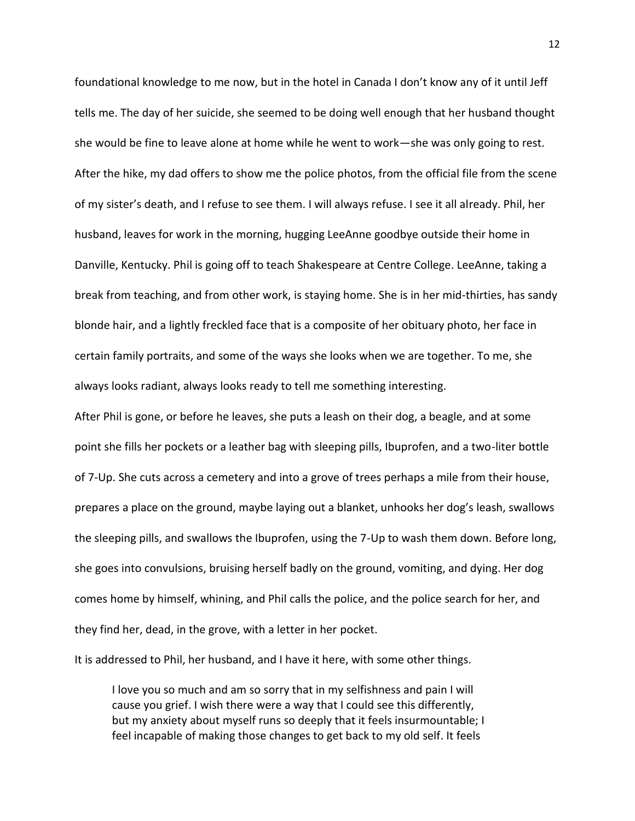foundational knowledge to me now, but in the hotel in Canada I don't know any of it until Jeff tells me. The day of her suicide, she seemed to be doing well enough that her husband thought she would be fine to leave alone at home while he went to work—she was only going to rest. After the hike, my dad offers to show me the police photos, from the official file from the scene of my sister's death, and I refuse to see them. I will always refuse. I see it all already. Phil, her husband, leaves for work in the morning, hugging LeeAnne goodbye outside their home in Danville, Kentucky. Phil is going off to teach Shakespeare at Centre College. LeeAnne, taking a break from teaching, and from other work, is staying home. She is in her mid-thirties, has sandy blonde hair, and a lightly freckled face that is a composite of her obituary photo, her face in certain family portraits, and some of the ways she looks when we are together. To me, she always looks radiant, always looks ready to tell me something interesting.

After Phil is gone, or before he leaves, she puts a leash on their dog, a beagle, and at some point she fills her pockets or a leather bag with sleeping pills, Ibuprofen, and a two-liter bottle of 7-Up. She cuts across a cemetery and into a grove of trees perhaps a mile from their house, prepares a place on the ground, maybe laying out a blanket, unhooks her dog's leash, swallows the sleeping pills, and swallows the Ibuprofen, using the 7-Up to wash them down. Before long, she goes into convulsions, bruising herself badly on the ground, vomiting, and dying. Her dog comes home by himself, whining, and Phil calls the police, and the police search for her, and they find her, dead, in the grove, with a letter in her pocket.

It is addressed to Phil, her husband, and I have it here, with some other things.

I love you so much and am so sorry that in my selfishness and pain I will cause you grief. I wish there were a way that I could see this differently, but my anxiety about myself runs so deeply that it feels insurmountable; I feel incapable of making those changes to get back to my old self. It feels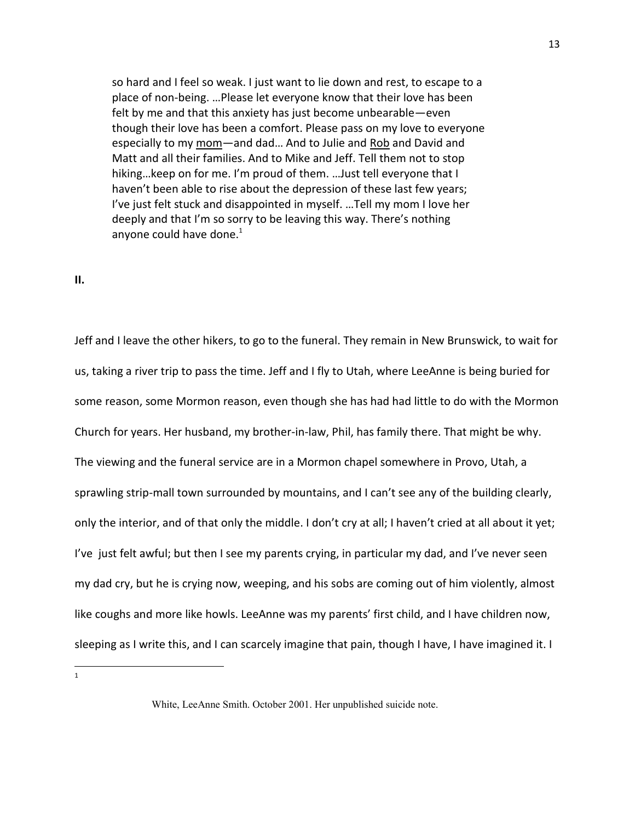so hard and I feel so weak. I just want to lie down and rest, to escape to a place of non-being. …Please let everyone know that their love has been felt by me and that this anxiety has just become unbearable—even though their love has been a comfort. Please pass on my love to everyone especially to my mom—and dad… And to Julie and Rob and David and Matt and all their families. And to Mike and Jeff. Tell them not to stop hiking…keep on for me. I'm proud of them. …Just tell everyone that I haven't been able to rise about the depression of these last few years; I've just felt stuck and disappointed in myself. …Tell my mom I love her deeply and that I'm so sorry to be leaving this way. There's nothing anyone could have done. $1$ 

**II.**

Jeff and I leave the other hikers, to go to the funeral. They remain in New Brunswick, to wait for us, taking a river trip to pass the time. Jeff and I fly to Utah, where LeeAnne is being buried for some reason, some Mormon reason, even though she has had had little to do with the Mormon Church for years. Her husband, my brother-in-law, Phil, has family there. That might be why. The viewing and the funeral service are in a Mormon chapel somewhere in Provo, Utah, a sprawling strip-mall town surrounded by mountains, and I can't see any of the building clearly, only the interior, and of that only the middle. I don't cry at all; I haven't cried at all about it yet; I've just felt awful; but then I see my parents crying, in particular my dad, and I've never seen my dad cry, but he is crying now, weeping, and his sobs are coming out of him violently, almost like coughs and more like howls. LeeAnne was my parents' first child, and I have children now, sleeping as I write this, and I can scarcely imagine that pain, though I have, I have imagined it. I

 $\frac{1}{1}$  $\mathbf{1}$ 

White, LeeAnne Smith. October 2001. Her unpublished suicide note.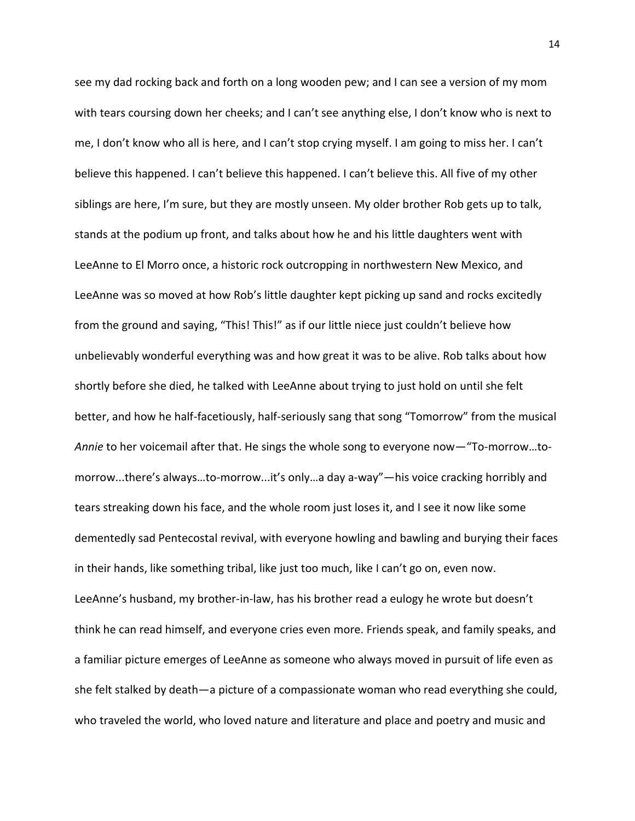see my dad rocking back and forth on a long wooden pew; and I can see a version of my mom with tears coursing down her cheeks; and I can't see anything else, I don't know who is next to me, I don't know who all is here, and I can't stop crying myself. I am going to miss her. I can't believe this happened. I can't believe this happened. I can't believe this. All five of my other siblings are here, I'm sure, but they are mostly unseen. My older brother Rob gets up to talk, stands at the podium up front, and talks about how he and his little daughters went with LeeAnne to El Morro once, a historic rock outcropping in northwestern New Mexico, and LeeAnne was so moved at how Rob's little daughter kept picking up sand and rocks excitedly from the ground and saying, "This! This!" as if our little niece just couldn't believe how unbelievably wonderful everything was and how great it was to be alive. Rob talks about how shortly before she died, he talked with LeeAnne about trying to just hold on until she felt better, and how he half-facetiously, half-seriously sang that song "Tomorrow" from the musical *Annie* to her voicemail after that. He sings the whole song to everyone now—"To-morrow…tomorrow...there's always…to-morrow...it's only…a day a-way"—his voice cracking horribly and tears streaking down his face, and the whole room just loses it, and I see it now like some dementedly sad Pentecostal revival, with everyone howling and bawling and burying their faces in their hands, like something tribal, like just too much, like I can't go on, even now. LeeAnne's husband, my brother-in-law, has his brother read a eulogy he wrote but doesn't think he can read himself, and everyone cries even more. Friends speak, and family speaks, and a familiar picture emerges of LeeAnne as someone who always moved in pursuit of life even as she felt stalked by death—a picture of a compassionate woman who read everything she could, who traveled the world, who loved nature and literature and place and poetry and music and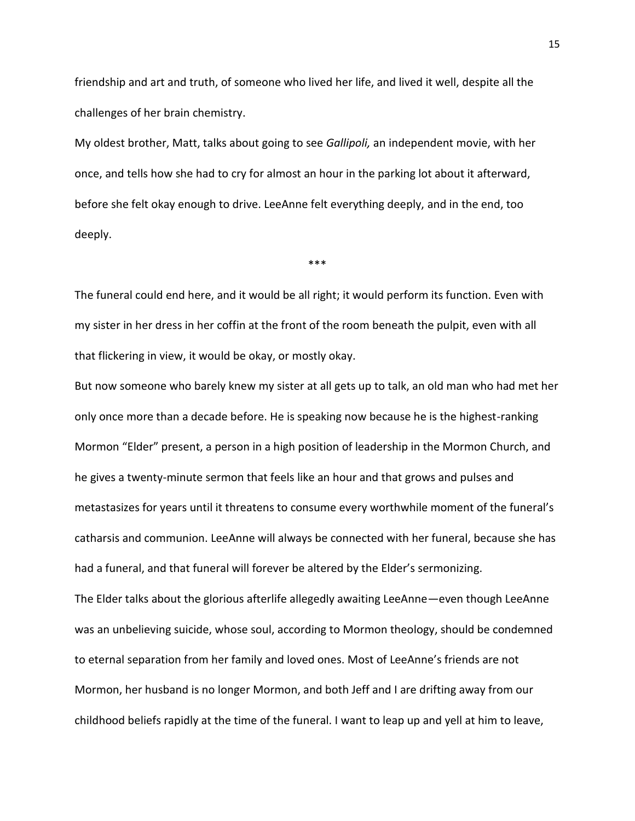friendship and art and truth, of someone who lived her life, and lived it well, despite all the challenges of her brain chemistry.

My oldest brother, Matt, talks about going to see *Gallipoli,* an independent movie, with her once, and tells how she had to cry for almost an hour in the parking lot about it afterward, before she felt okay enough to drive. LeeAnne felt everything deeply, and in the end, too deeply.

The funeral could end here, and it would be all right; it would perform its function. Even with my sister in her dress in her coffin at the front of the room beneath the pulpit, even with all that flickering in view, it would be okay, or mostly okay.

\*\*\*

But now someone who barely knew my sister at all gets up to talk, an old man who had met her only once more than a decade before. He is speaking now because he is the highest-ranking Mormon "Elder" present, a person in a high position of leadership in the Mormon Church, and he gives a twenty-minute sermon that feels like an hour and that grows and pulses and metastasizes for years until it threatens to consume every worthwhile moment of the funeral's catharsis and communion. LeeAnne will always be connected with her funeral, because she has had a funeral, and that funeral will forever be altered by the Elder's sermonizing. The Elder talks about the glorious afterlife allegedly awaiting LeeAnne—even though LeeAnne was an unbelieving suicide, whose soul, according to Mormon theology, should be condemned to eternal separation from her family and loved ones. Most of LeeAnne's friends are not Mormon, her husband is no longer Mormon, and both Jeff and I are drifting away from our childhood beliefs rapidly at the time of the funeral. I want to leap up and yell at him to leave,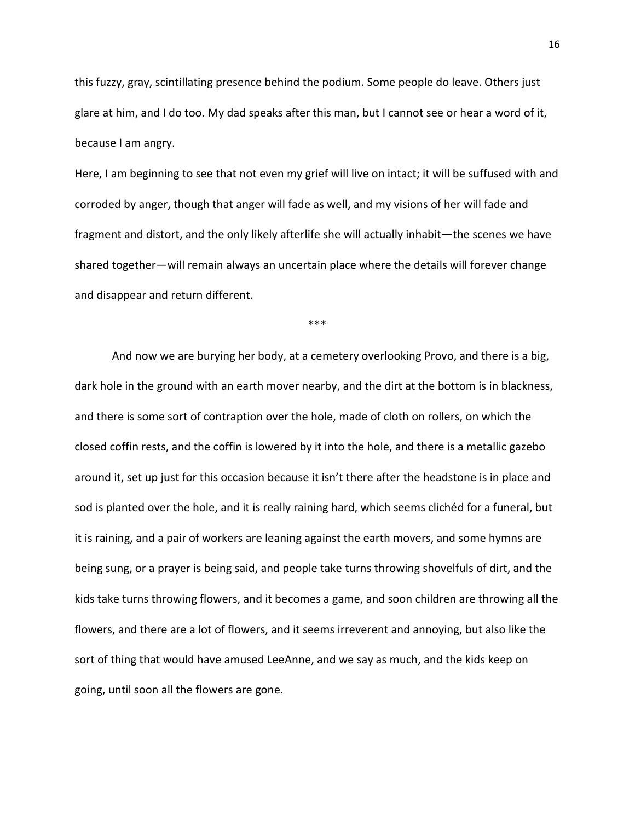this fuzzy, gray, scintillating presence behind the podium. Some people do leave. Others just glare at him, and I do too. My dad speaks after this man, but I cannot see or hear a word of it, because I am angry.

Here, I am beginning to see that not even my grief will live on intact; it will be suffused with and corroded by anger, though that anger will fade as well, and my visions of her will fade and fragment and distort, and the only likely afterlife she will actually inhabit—the scenes we have shared together—will remain always an uncertain place where the details will forever change and disappear and return different.

\*\*\*

And now we are burying her body, at a cemetery overlooking Provo, and there is a big, dark hole in the ground with an earth mover nearby, and the dirt at the bottom is in blackness, and there is some sort of contraption over the hole, made of cloth on rollers, on which the closed coffin rests, and the coffin is lowered by it into the hole, and there is a metallic gazebo around it, set up just for this occasion because it isn't there after the headstone is in place and sod is planted over the hole, and it is really raining hard, which seems clichéd for a funeral, but it is raining, and a pair of workers are leaning against the earth movers, and some hymns are being sung, or a prayer is being said, and people take turns throwing shovelfuls of dirt, and the kids take turns throwing flowers, and it becomes a game, and soon children are throwing all the flowers, and there are a lot of flowers, and it seems irreverent and annoying, but also like the sort of thing that would have amused LeeAnne, and we say as much, and the kids keep on going, until soon all the flowers are gone.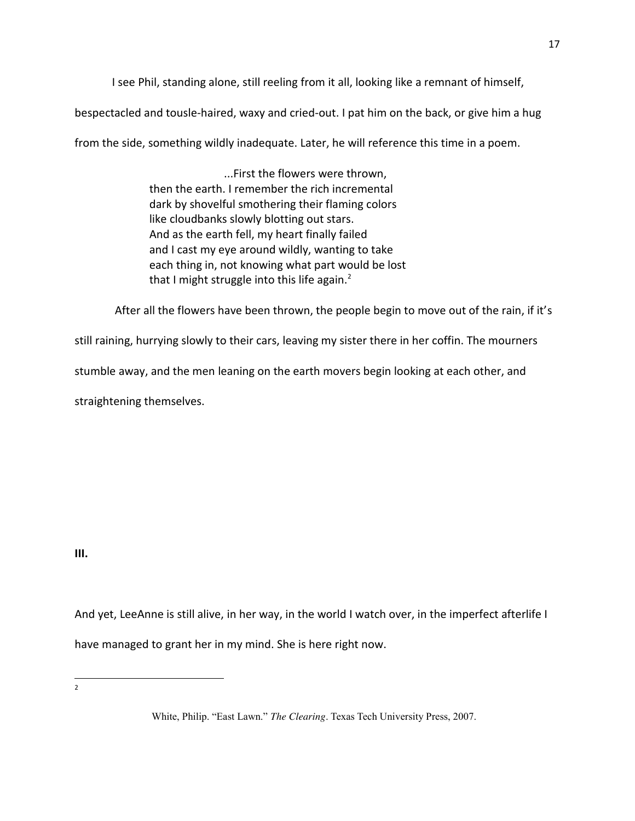I see Phil, standing alone, still reeling from it all, looking like a remnant of himself,

bespectacled and tousle-haired, waxy and cried-out. I pat him on the back, or give him a hug

from the side, something wildly inadequate. Later, he will reference this time in a poem.

...First the flowers were thrown, then the earth. I remember the rich incremental dark by shovelful smothering their flaming colors like cloudbanks slowly blotting out stars. And as the earth fell, my heart finally failed and I cast my eye around wildly, wanting to take each thing in, not knowing what part would be lost that I might struggle into this life again. $<sup>2</sup>$ </sup>

After all the flowers have been thrown, the people begin to move out of the rain, if it's still raining, hurrying slowly to their cars, leaving my sister there in her coffin. The mourners stumble away, and the men leaning on the earth movers begin looking at each other, and straightening themselves.

**III.**

And yet, LeeAnne is still alive, in her way, in the world I watch over, in the imperfect afterlife I have managed to grant her in my mind. She is here right now.

 $\overline{2}$  $\overline{2}$ 

White, Philip. "East Lawn." *The Clearing*. Texas Tech University Press, 2007.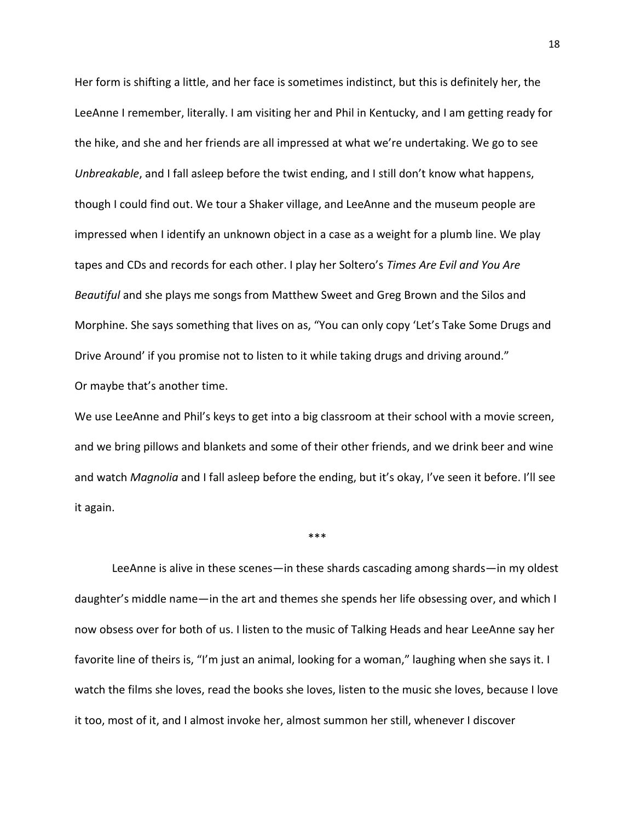Her form is shifting a little, and her face is sometimes indistinct, but this is definitely her, the LeeAnne I remember, literally. I am visiting her and Phil in Kentucky, and I am getting ready for the hike, and she and her friends are all impressed at what we're undertaking. We go to see *Unbreakable*, and I fall asleep before the twist ending, and I still don't know what happens, though I could find out. We tour a Shaker village, and LeeAnne and the museum people are impressed when I identify an unknown object in a case as a weight for a plumb line. We play tapes and CDs and records for each other. I play her Soltero's *Times Are Evil and You Are Beautiful* and she plays me songs from Matthew Sweet and Greg Brown and the Silos and Morphine. She says something that lives on as, "You can only copy 'Let's Take Some Drugs and Drive Around' if you promise not to listen to it while taking drugs and driving around." Or maybe that's another time.

We use LeeAnne and Phil's keys to get into a big classroom at their school with a movie screen, and we bring pillows and blankets and some of their other friends, and we drink beer and wine and watch *Magnolia* and I fall asleep before the ending, but it's okay, I've seen it before. I'll see it again.

\*\*\*

LeeAnne is alive in these scenes—in these shards cascading among shards—in my oldest daughter's middle name—in the art and themes she spends her life obsessing over, and which I now obsess over for both of us. I listen to the music of Talking Heads and hear LeeAnne say her favorite line of theirs is, "I'm just an animal, looking for a woman," laughing when she says it. I watch the films she loves, read the books she loves, listen to the music she loves, because I love it too, most of it, and I almost invoke her, almost summon her still, whenever I discover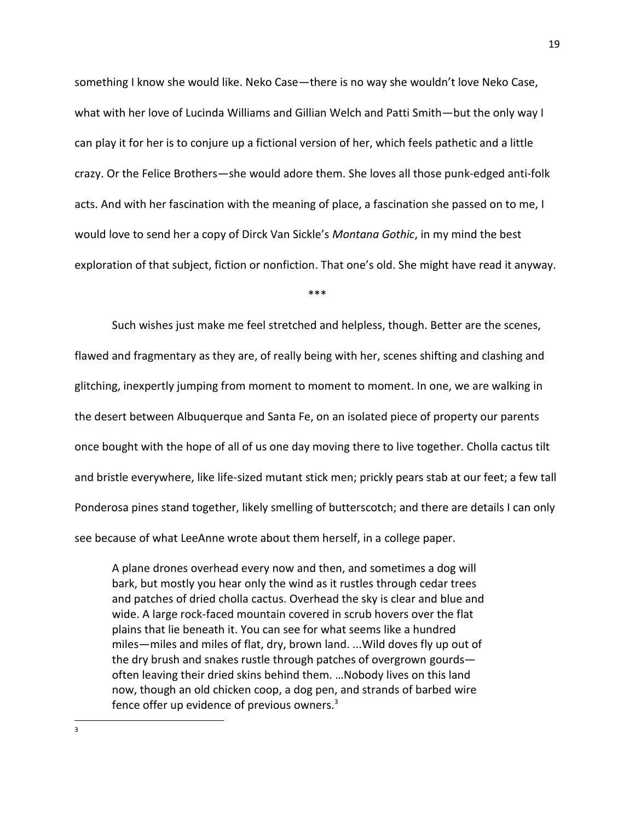something I know she would like. Neko Case—there is no way she wouldn't love Neko Case, what with her love of Lucinda Williams and Gillian Welch and Patti Smith—but the only way I can play it for her is to conjure up a fictional version of her, which feels pathetic and a little crazy. Or the Felice Brothers—she would adore them. She loves all those punk-edged anti-folk acts. And with her fascination with the meaning of place, a fascination she passed on to me, I would love to send her a copy of Dirck Van Sickle's *Montana Gothic*, in my mind the best exploration of that subject, fiction or nonfiction. That one's old. She might have read it anyway.

\*\*\*

Such wishes just make me feel stretched and helpless, though. Better are the scenes, flawed and fragmentary as they are, of really being with her, scenes shifting and clashing and glitching, inexpertly jumping from moment to moment to moment. In one, we are walking in the desert between Albuquerque and Santa Fe, on an isolated piece of property our parents once bought with the hope of all of us one day moving there to live together. Cholla cactus tilt and bristle everywhere, like life-sized mutant stick men; prickly pears stab at our feet; a few tall Ponderosa pines stand together, likely smelling of butterscotch; and there are details I can only see because of what LeeAnne wrote about them herself, in a college paper.

A plane drones overhead every now and then, and sometimes a dog will bark, but mostly you hear only the wind as it rustles through cedar trees and patches of dried cholla cactus. Overhead the sky is clear and blue and wide. A large rock-faced mountain covered in scrub hovers over the flat plains that lie beneath it. You can see for what seems like a hundred miles—miles and miles of flat, dry, brown land. ...Wild doves fly up out of the dry brush and snakes rustle through patches of overgrown gourds often leaving their dried skins behind them. …Nobody lives on this land now, though an old chicken coop, a dog pen, and strands of barbed wire fence offer up evidence of previous owners. $3$ 

-<br>3  $\overline{3}$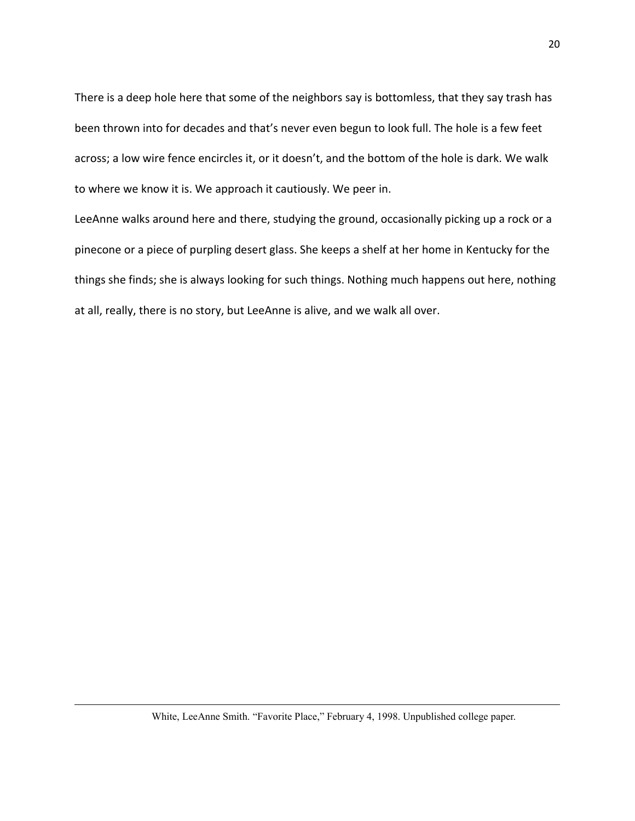There is a deep hole here that some of the neighbors say is bottomless, that they say trash has been thrown into for decades and that's never even begun to look full. The hole is a few feet across; a low wire fence encircles it, or it doesn't, and the bottom of the hole is dark. We walk to where we know it is. We approach it cautiously. We peer in.

LeeAnne walks around here and there, studying the ground, occasionally picking up a rock or a pinecone or a piece of purpling desert glass. She keeps a shelf at her home in Kentucky for the things she finds; she is always looking for such things. Nothing much happens out here, nothing at all, really, there is no story, but LeeAnne is alive, and we walk all over.

 $\overline{\phantom{a}}$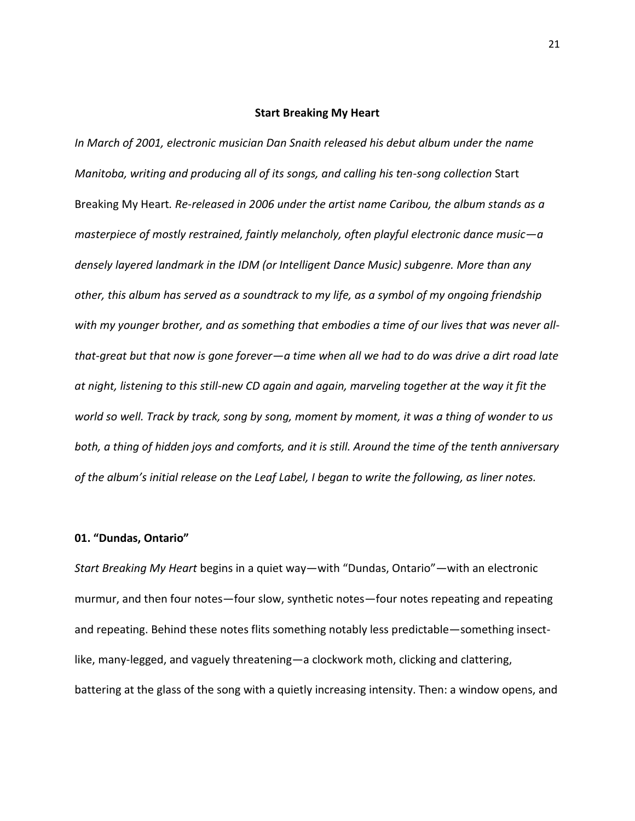#### **Start Breaking My Heart**

*In March of 2001, electronic musician Dan Snaith released his debut album under the name Manitoba, writing and producing all of its songs, and calling his ten-song collection* Start Breaking My Heart*. Re-released in 2006 under the artist name Caribou, the album stands as a masterpiece of mostly restrained, faintly melancholy, often playful electronic dance music—a densely layered landmark in the IDM (or Intelligent Dance Music) subgenre. More than any other, this album has served as a soundtrack to my life, as a symbol of my ongoing friendship with my younger brother, and as something that embodies a time of our lives that was never allthat-great but that now is gone forever—a time when all we had to do was drive a dirt road late at night, listening to this still-new CD again and again, marveling together at the way it fit the world so well. Track by track, song by song, moment by moment, it was a thing of wonder to us both, a thing of hidden joys and comforts, and it is still. Around the time of the tenth anniversary of the album's initial release on the Leaf Label, I began to write the following, as liner notes.*

### **01. "Dundas, Ontario"**

*Start Breaking My Heart* begins in a quiet way—with "Dundas, Ontario"—with an electronic murmur, and then four notes—four slow, synthetic notes—four notes repeating and repeating and repeating. Behind these notes flits something notably less predictable—something insectlike, many-legged, and vaguely threatening—a clockwork moth, clicking and clattering, battering at the glass of the song with a quietly increasing intensity. Then: a window opens, and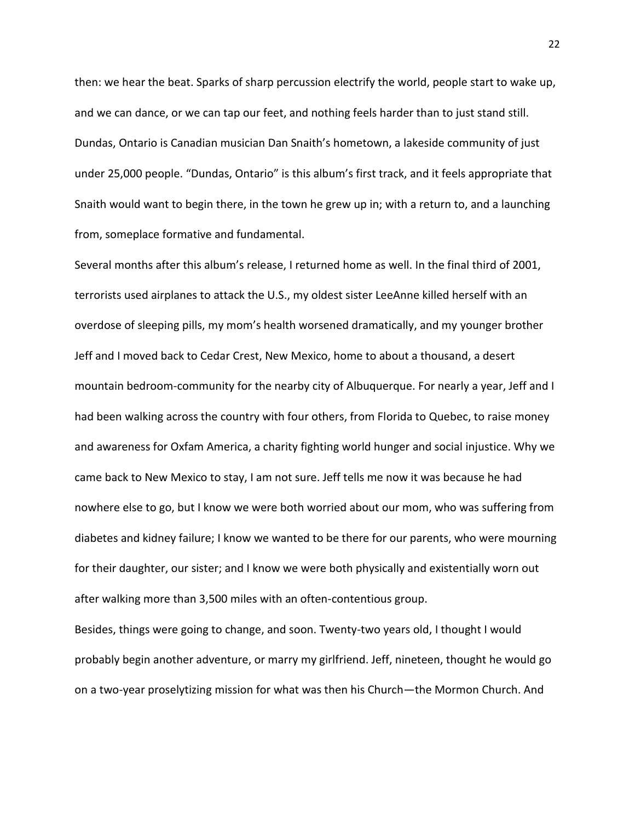then: we hear the beat. Sparks of sharp percussion electrify the world, people start to wake up, and we can dance, or we can tap our feet, and nothing feels harder than to just stand still. Dundas, Ontario is Canadian musician Dan Snaith's hometown, a lakeside community of just under 25,000 people. "Dundas, Ontario" is this album's first track, and it feels appropriate that Snaith would want to begin there, in the town he grew up in; with a return to, and a launching from, someplace formative and fundamental.

Several months after this album's release, I returned home as well. In the final third of 2001, terrorists used airplanes to attack the U.S., my oldest sister LeeAnne killed herself with an overdose of sleeping pills, my mom's health worsened dramatically, and my younger brother Jeff and I moved back to Cedar Crest, New Mexico, home to about a thousand, a desert mountain bedroom-community for the nearby city of Albuquerque. For nearly a year, Jeff and I had been walking across the country with four others, from Florida to Quebec, to raise money and awareness for Oxfam America, a charity fighting world hunger and social injustice. Why we came back to New Mexico to stay, I am not sure. Jeff tells me now it was because he had nowhere else to go, but I know we were both worried about our mom, who was suffering from diabetes and kidney failure; I know we wanted to be there for our parents, who were mourning for their daughter, our sister; and I know we were both physically and existentially worn out after walking more than 3,500 miles with an often-contentious group.

Besides, things were going to change, and soon. Twenty-two years old, I thought I would probably begin another adventure, or marry my girlfriend. Jeff, nineteen, thought he would go on a two-year proselytizing mission for what was then his Church—the Mormon Church. And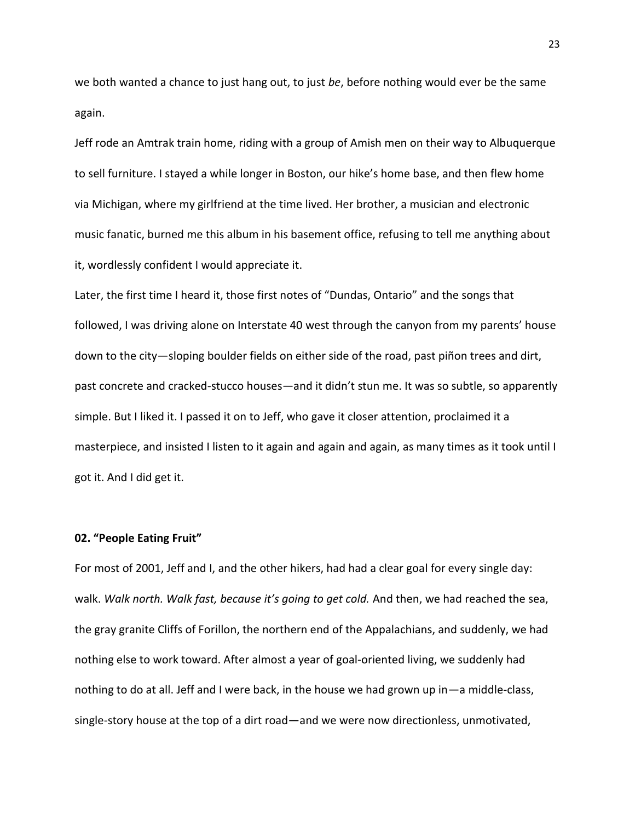we both wanted a chance to just hang out, to just *be*, before nothing would ever be the same again.

Jeff rode an Amtrak train home, riding with a group of Amish men on their way to Albuquerque to sell furniture. I stayed a while longer in Boston, our hike's home base, and then flew home via Michigan, where my girlfriend at the time lived. Her brother, a musician and electronic music fanatic, burned me this album in his basement office, refusing to tell me anything about it, wordlessly confident I would appreciate it.

Later, the first time I heard it, those first notes of "Dundas, Ontario" and the songs that followed, I was driving alone on Interstate 40 west through the canyon from my parents' house down to the city—sloping boulder fields on either side of the road, past piñon trees and dirt, past concrete and cracked-stucco houses—and it didn't stun me. It was so subtle, so apparently simple. But I liked it. I passed it on to Jeff, who gave it closer attention, proclaimed it a masterpiece, and insisted I listen to it again and again and again, as many times as it took until I got it. And I did get it.

## **02. "People Eating Fruit"**

For most of 2001, Jeff and I, and the other hikers, had had a clear goal for every single day: walk. *Walk north. Walk fast, because it's going to get cold.* And then, we had reached the sea, the gray granite Cliffs of Forillon, the northern end of the Appalachians, and suddenly, we had nothing else to work toward. After almost a year of goal-oriented living, we suddenly had nothing to do at all. Jeff and I were back, in the house we had grown up in—a middle-class, single-story house at the top of a dirt road—and we were now directionless, unmotivated,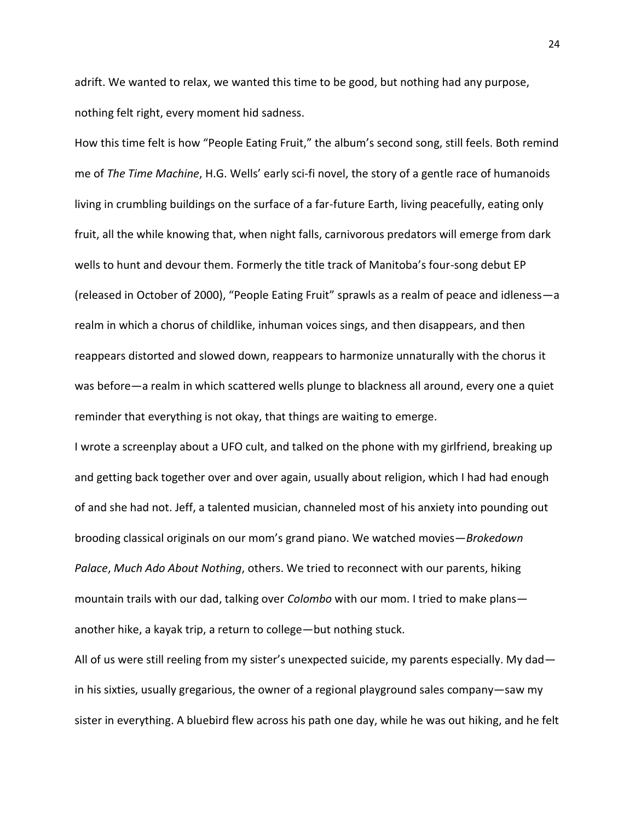adrift. We wanted to relax, we wanted this time to be good, but nothing had any purpose, nothing felt right, every moment hid sadness.

How this time felt is how "People Eating Fruit," the album's second song, still feels. Both remind me of *The Time Machine*, H.G. Wells' early sci-fi novel, the story of a gentle race of humanoids living in crumbling buildings on the surface of a far-future Earth, living peacefully, eating only fruit, all the while knowing that, when night falls, carnivorous predators will emerge from dark wells to hunt and devour them. Formerly the title track of Manitoba's four-song debut EP (released in October of 2000), "People Eating Fruit" sprawls as a realm of peace and idleness—a realm in which a chorus of childlike, inhuman voices sings, and then disappears, and then reappears distorted and slowed down, reappears to harmonize unnaturally with the chorus it was before—a realm in which scattered wells plunge to blackness all around, every one a quiet reminder that everything is not okay, that things are waiting to emerge.

I wrote a screenplay about a UFO cult, and talked on the phone with my girlfriend, breaking up and getting back together over and over again, usually about religion, which I had had enough of and she had not. Jeff, a talented musician, channeled most of his anxiety into pounding out brooding classical originals on our mom's grand piano. We watched movies—*Brokedown Palace*, *Much Ado About Nothing*, others. We tried to reconnect with our parents, hiking mountain trails with our dad, talking over *Colombo* with our mom. I tried to make plans another hike, a kayak trip, a return to college—but nothing stuck.

All of us were still reeling from my sister's unexpected suicide, my parents especially. My dad in his sixties, usually gregarious, the owner of a regional playground sales company—saw my sister in everything. A bluebird flew across his path one day, while he was out hiking, and he felt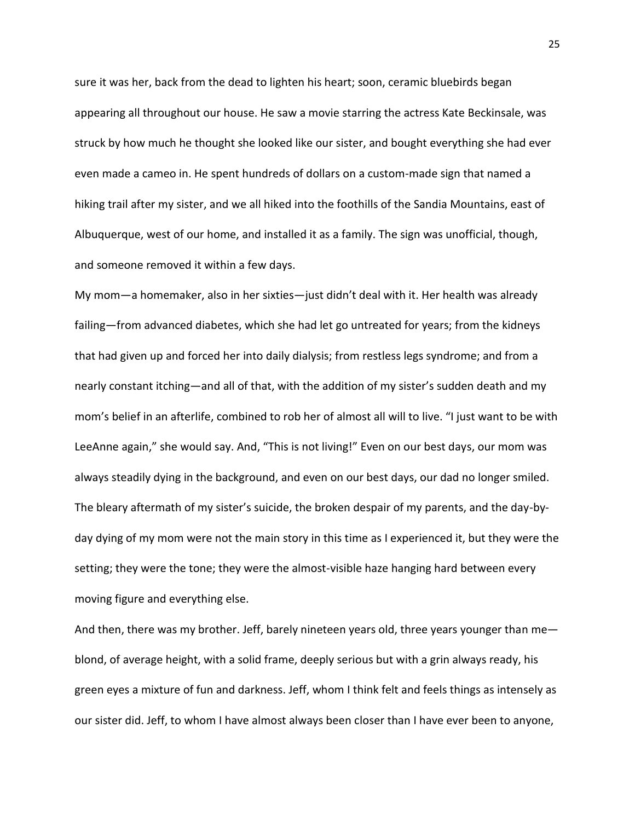sure it was her, back from the dead to lighten his heart; soon, ceramic bluebirds began appearing all throughout our house. He saw a movie starring the actress Kate Beckinsale, was struck by how much he thought she looked like our sister, and bought everything she had ever even made a cameo in. He spent hundreds of dollars on a custom-made sign that named a hiking trail after my sister, and we all hiked into the foothills of the Sandia Mountains, east of Albuquerque, west of our home, and installed it as a family. The sign was unofficial, though, and someone removed it within a few days.

My mom—a homemaker, also in her sixties—just didn't deal with it. Her health was already failing—from advanced diabetes, which she had let go untreated for years; from the kidneys that had given up and forced her into daily dialysis; from restless legs syndrome; and from a nearly constant itching—and all of that, with the addition of my sister's sudden death and my mom's belief in an afterlife, combined to rob her of almost all will to live. "I just want to be with LeeAnne again," she would say. And, "This is not living!" Even on our best days, our mom was always steadily dying in the background, and even on our best days, our dad no longer smiled. The bleary aftermath of my sister's suicide, the broken despair of my parents, and the day-byday dying of my mom were not the main story in this time as I experienced it, but they were the setting; they were the tone; they were the almost-visible haze hanging hard between every moving figure and everything else.

And then, there was my brother. Jeff, barely nineteen years old, three years younger than me blond, of average height, with a solid frame, deeply serious but with a grin always ready, his green eyes a mixture of fun and darkness. Jeff, whom I think felt and feels things as intensely as our sister did. Jeff, to whom I have almost always been closer than I have ever been to anyone,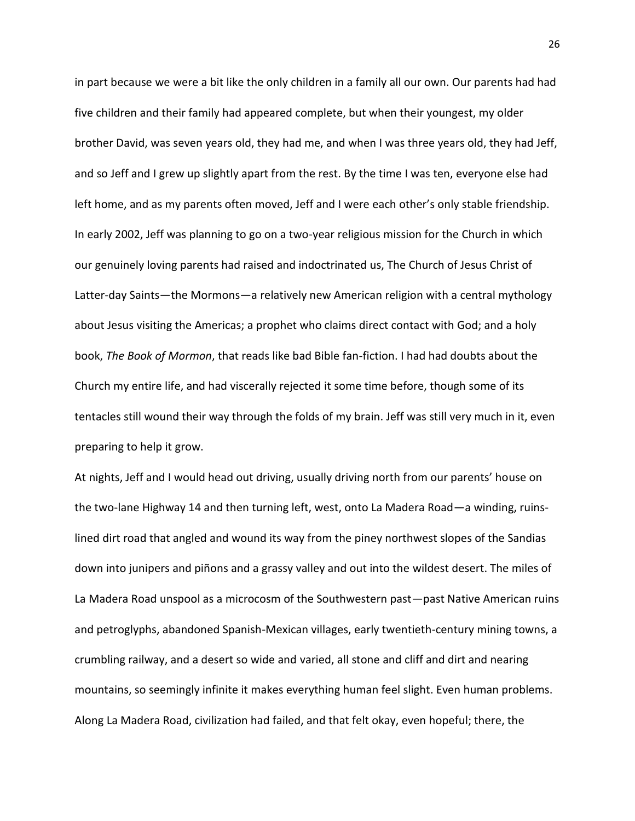in part because we were a bit like the only children in a family all our own. Our parents had had five children and their family had appeared complete, but when their youngest, my older brother David, was seven years old, they had me, and when I was three years old, they had Jeff, and so Jeff and I grew up slightly apart from the rest. By the time I was ten, everyone else had left home, and as my parents often moved, Jeff and I were each other's only stable friendship. In early 2002, Jeff was planning to go on a two-year religious mission for the Church in which our genuinely loving parents had raised and indoctrinated us, The Church of Jesus Christ of Latter-day Saints—the Mormons—a relatively new American religion with a central mythology about Jesus visiting the Americas; a prophet who claims direct contact with God; and a holy book, *The Book of Mormon*, that reads like bad Bible fan-fiction. I had had doubts about the Church my entire life, and had viscerally rejected it some time before, though some of its tentacles still wound their way through the folds of my brain. Jeff was still very much in it, even preparing to help it grow.

At nights, Jeff and I would head out driving, usually driving north from our parents' house on the two-lane Highway 14 and then turning left, west, onto La Madera Road—a winding, ruinslined dirt road that angled and wound its way from the piney northwest slopes of the Sandias down into junipers and piñons and a grassy valley and out into the wildest desert. The miles of La Madera Road unspool as a microcosm of the Southwestern past—past Native American ruins and petroglyphs, abandoned Spanish-Mexican villages, early twentieth-century mining towns, a crumbling railway, and a desert so wide and varied, all stone and cliff and dirt and nearing mountains, so seemingly infinite it makes everything human feel slight. Even human problems. Along La Madera Road, civilization had failed, and that felt okay, even hopeful; there, the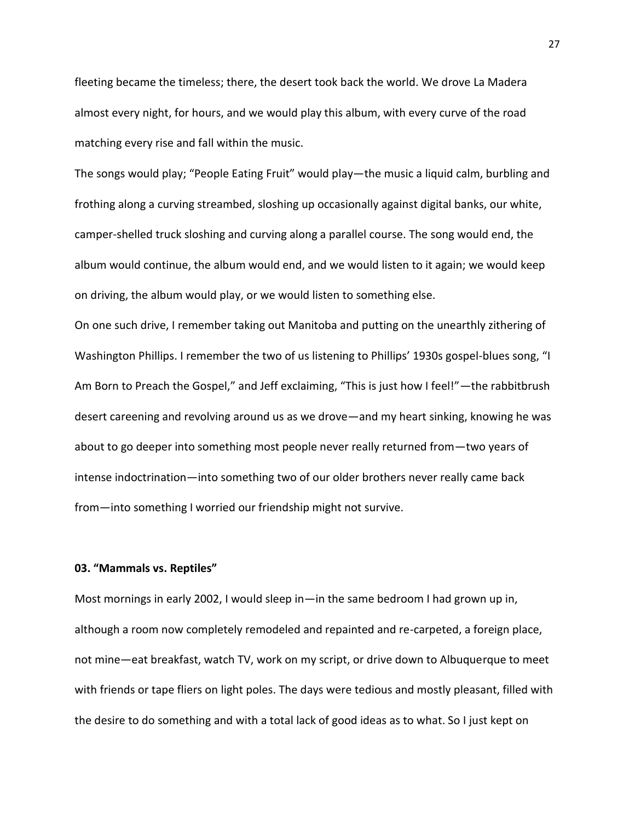fleeting became the timeless; there, the desert took back the world. We drove La Madera almost every night, for hours, and we would play this album, with every curve of the road matching every rise and fall within the music.

The songs would play; "People Eating Fruit" would play—the music a liquid calm, burbling and frothing along a curving streambed, sloshing up occasionally against digital banks, our white, camper-shelled truck sloshing and curving along a parallel course. The song would end, the album would continue, the album would end, and we would listen to it again; we would keep on driving, the album would play, or we would listen to something else.

On one such drive, I remember taking out Manitoba and putting on the unearthly zithering of Washington Phillips. I remember the two of us listening to Phillips' 1930s gospel-blues song, "I Am Born to Preach the Gospel," and Jeff exclaiming, "This is just how I feel!"—the rabbitbrush desert careening and revolving around us as we drove—and my heart sinking, knowing he was about to go deeper into something most people never really returned from—two years of intense indoctrination—into something two of our older brothers never really came back from—into something I worried our friendship might not survive.

### **03. "Mammals vs. Reptiles"**

Most mornings in early 2002, I would sleep in—in the same bedroom I had grown up in, although a room now completely remodeled and repainted and re-carpeted, a foreign place, not mine—eat breakfast, watch TV, work on my script, or drive down to Albuquerque to meet with friends or tape fliers on light poles. The days were tedious and mostly pleasant, filled with the desire to do something and with a total lack of good ideas as to what. So I just kept on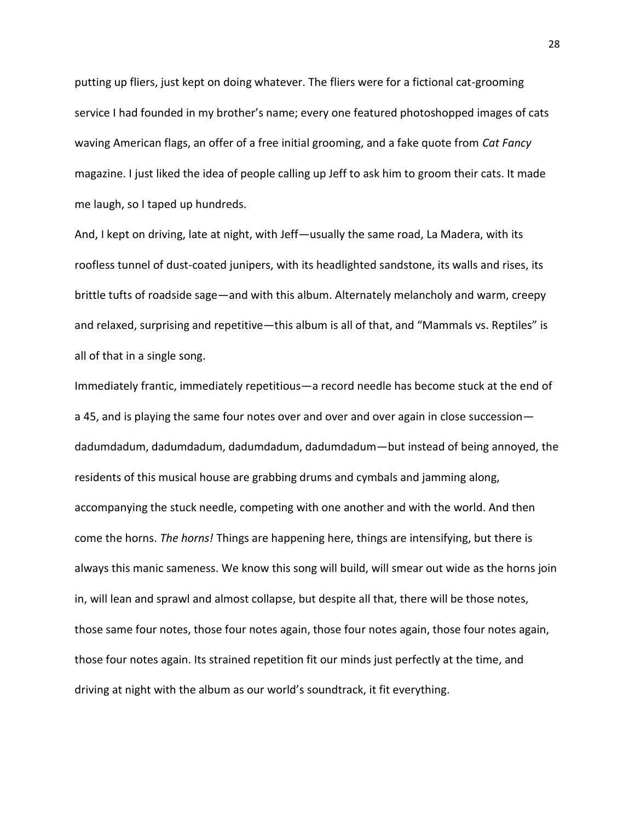putting up fliers, just kept on doing whatever. The fliers were for a fictional cat-grooming service I had founded in my brother's name; every one featured photoshopped images of cats waving American flags, an offer of a free initial grooming, and a fake quote from *Cat Fancy* magazine. I just liked the idea of people calling up Jeff to ask him to groom their cats. It made me laugh, so I taped up hundreds.

And, I kept on driving, late at night, with Jeff—usually the same road, La Madera, with its roofless tunnel of dust-coated junipers, with its headlighted sandstone, its walls and rises, its brittle tufts of roadside sage—and with this album. Alternately melancholy and warm, creepy and relaxed, surprising and repetitive—this album is all of that, and "Mammals vs. Reptiles" is all of that in a single song.

Immediately frantic, immediately repetitious—a record needle has become stuck at the end of a 45, and is playing the same four notes over and over and over again in close succession dadumdadum, dadumdadum, dadumdadum, dadumdadum—but instead of being annoyed, the residents of this musical house are grabbing drums and cymbals and jamming along, accompanying the stuck needle, competing with one another and with the world. And then come the horns. *The horns!* Things are happening here, things are intensifying, but there is always this manic sameness. We know this song will build, will smear out wide as the horns join in, will lean and sprawl and almost collapse, but despite all that, there will be those notes, those same four notes, those four notes again, those four notes again, those four notes again, those four notes again. Its strained repetition fit our minds just perfectly at the time, and driving at night with the album as our world's soundtrack, it fit everything.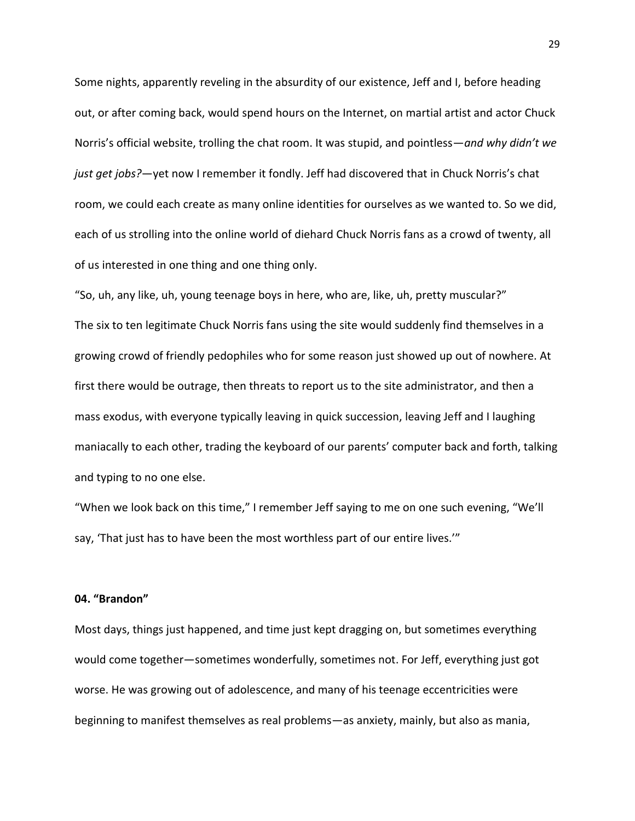Some nights, apparently reveling in the absurdity of our existence, Jeff and I, before heading out, or after coming back, would spend hours on the Internet, on martial artist and actor Chuck Norris's official website, trolling the chat room. It was stupid, and pointless—*and why didn't we just get jobs?*—yet now I remember it fondly. Jeff had discovered that in Chuck Norris's chat room, we could each create as many online identities for ourselves as we wanted to. So we did, each of us strolling into the online world of diehard Chuck Norris fans as a crowd of twenty, all of us interested in one thing and one thing only.

"So, uh, any like, uh, young teenage boys in here, who are, like, uh, pretty muscular?" The six to ten legitimate Chuck Norris fans using the site would suddenly find themselves in a growing crowd of friendly pedophiles who for some reason just showed up out of nowhere. At first there would be outrage, then threats to report us to the site administrator, and then a mass exodus, with everyone typically leaving in quick succession, leaving Jeff and I laughing maniacally to each other, trading the keyboard of our parents' computer back and forth, talking and typing to no one else.

"When we look back on this time," I remember Jeff saying to me on one such evening, "We'll say, 'That just has to have been the most worthless part of our entire lives.'"

# **04. "Brandon"**

Most days, things just happened, and time just kept dragging on, but sometimes everything would come together—sometimes wonderfully, sometimes not. For Jeff, everything just got worse. He was growing out of adolescence, and many of his teenage eccentricities were beginning to manifest themselves as real problems—as anxiety, mainly, but also as mania,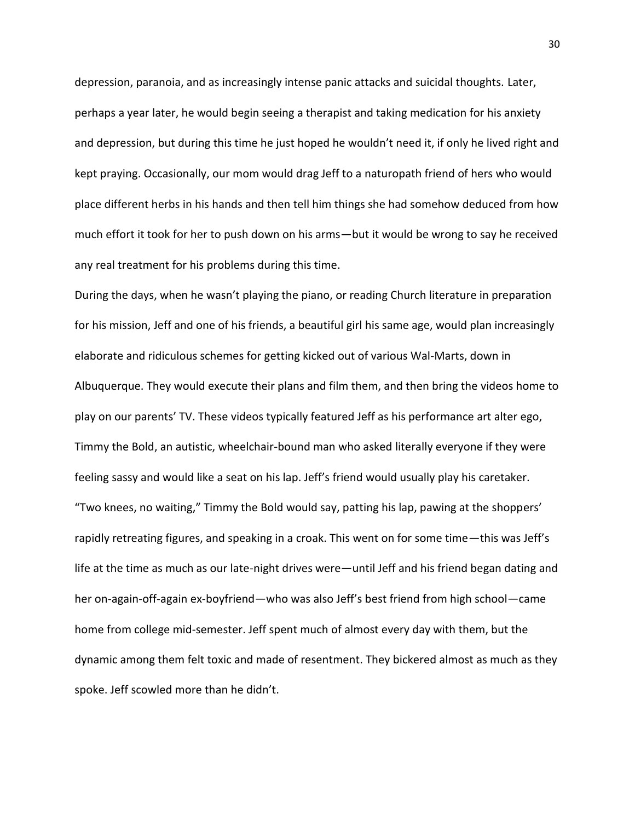depression, paranoia, and as increasingly intense panic attacks and suicidal thoughts. Later, perhaps a year later, he would begin seeing a therapist and taking medication for his anxiety and depression, but during this time he just hoped he wouldn't need it, if only he lived right and kept praying. Occasionally, our mom would drag Jeff to a naturopath friend of hers who would place different herbs in his hands and then tell him things she had somehow deduced from how much effort it took for her to push down on his arms—but it would be wrong to say he received any real treatment for his problems during this time.

During the days, when he wasn't playing the piano, or reading Church literature in preparation for his mission, Jeff and one of his friends, a beautiful girl his same age, would plan increasingly elaborate and ridiculous schemes for getting kicked out of various Wal-Marts, down in Albuquerque. They would execute their plans and film them, and then bring the videos home to play on our parents' TV. These videos typically featured Jeff as his performance art alter ego, Timmy the Bold, an autistic, wheelchair-bound man who asked literally everyone if they were feeling sassy and would like a seat on his lap. Jeff's friend would usually play his caretaker. "Two knees, no waiting," Timmy the Bold would say, patting his lap, pawing at the shoppers' rapidly retreating figures, and speaking in a croak. This went on for some time—this was Jeff's life at the time as much as our late-night drives were—until Jeff and his friend began dating and her on-again-off-again ex-boyfriend—who was also Jeff's best friend from high school—came home from college mid-semester. Jeff spent much of almost every day with them, but the dynamic among them felt toxic and made of resentment. They bickered almost as much as they spoke. Jeff scowled more than he didn't.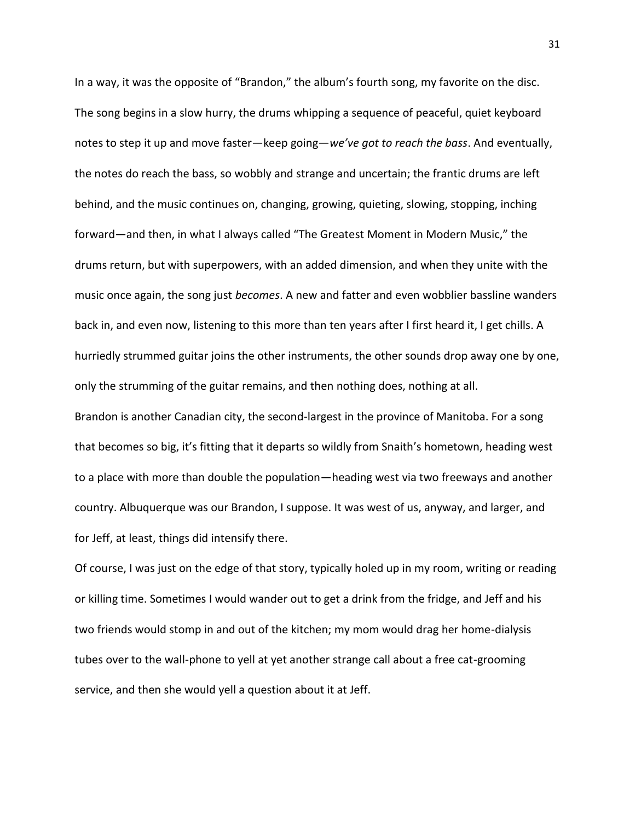In a way, it was the opposite of "Brandon," the album's fourth song, my favorite on the disc. The song begins in a slow hurry, the drums whipping a sequence of peaceful, quiet keyboard notes to step it up and move faster—keep going—*we've got to reach the bass*. And eventually, the notes do reach the bass, so wobbly and strange and uncertain; the frantic drums are left behind, and the music continues on, changing, growing, quieting, slowing, stopping, inching forward—and then, in what I always called "The Greatest Moment in Modern Music," the drums return, but with superpowers, with an added dimension, and when they unite with the music once again, the song just *becomes*. A new and fatter and even wobblier bassline wanders back in, and even now, listening to this more than ten years after I first heard it, I get chills. A hurriedly strummed guitar joins the other instruments, the other sounds drop away one by one, only the strumming of the guitar remains, and then nothing does, nothing at all. Brandon is another Canadian city, the second-largest in the province of Manitoba. For a song that becomes so big, it's fitting that it departs so wildly from Snaith's hometown, heading west to a place with more than double the population—heading west via two freeways and another country. Albuquerque was our Brandon, I suppose. It was west of us, anyway, and larger, and

for Jeff, at least, things did intensify there.

Of course, I was just on the edge of that story, typically holed up in my room, writing or reading or killing time. Sometimes I would wander out to get a drink from the fridge, and Jeff and his two friends would stomp in and out of the kitchen; my mom would drag her home-dialysis tubes over to the wall-phone to yell at yet another strange call about a free cat-grooming service, and then she would yell a question about it at Jeff.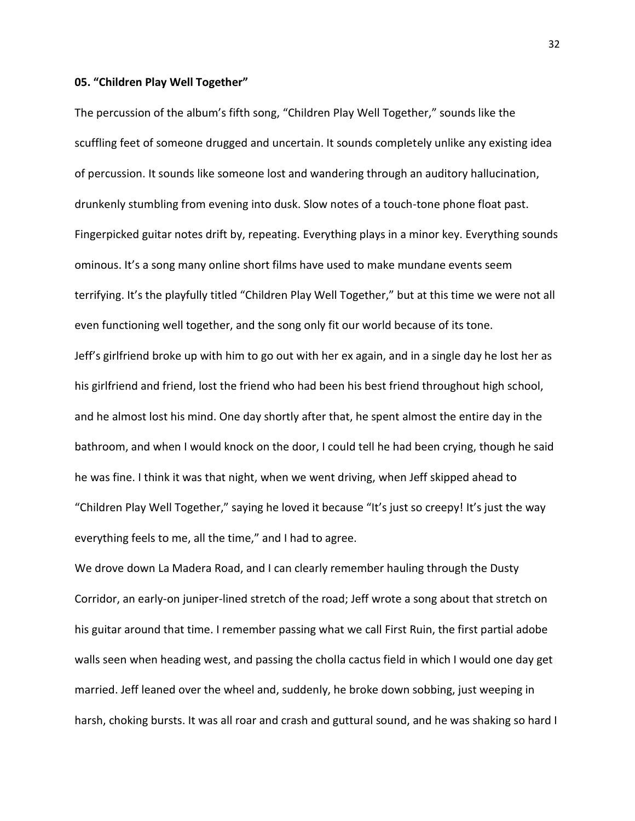## **05. "Children Play Well Together"**

The percussion of the album's fifth song, "Children Play Well Together," sounds like the scuffling feet of someone drugged and uncertain. It sounds completely unlike any existing idea of percussion. It sounds like someone lost and wandering through an auditory hallucination, drunkenly stumbling from evening into dusk. Slow notes of a touch-tone phone float past. Fingerpicked guitar notes drift by, repeating. Everything plays in a minor key. Everything sounds ominous. It's a song many online short films have used to make mundane events seem terrifying. It's the playfully titled "Children Play Well Together," but at this time we were not all even functioning well together, and the song only fit our world because of its tone. Jeff's girlfriend broke up with him to go out with her ex again, and in a single day he lost her as his girlfriend and friend, lost the friend who had been his best friend throughout high school, and he almost lost his mind. One day shortly after that, he spent almost the entire day in the bathroom, and when I would knock on the door, I could tell he had been crying, though he said he was fine. I think it was that night, when we went driving, when Jeff skipped ahead to "Children Play Well Together," saying he loved it because "It's just so creepy! It's just the way everything feels to me, all the time," and I had to agree.

We drove down La Madera Road, and I can clearly remember hauling through the Dusty Corridor, an early-on juniper-lined stretch of the road; Jeff wrote a song about that stretch on his guitar around that time. I remember passing what we call First Ruin, the first partial adobe walls seen when heading west, and passing the cholla cactus field in which I would one day get married. Jeff leaned over the wheel and, suddenly, he broke down sobbing, just weeping in harsh, choking bursts. It was all roar and crash and guttural sound, and he was shaking so hard I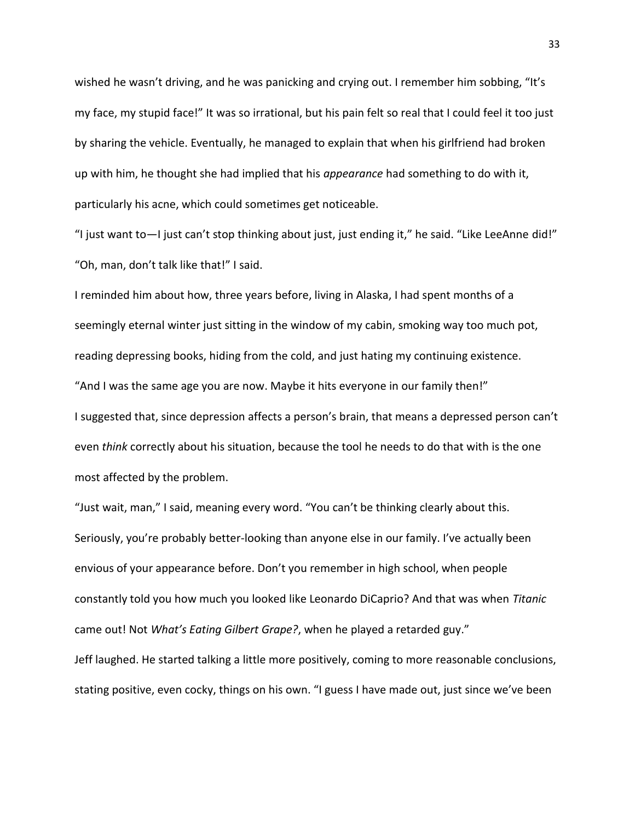wished he wasn't driving, and he was panicking and crying out. I remember him sobbing, "It's my face, my stupid face!" It was so irrational, but his pain felt so real that I could feel it too just by sharing the vehicle. Eventually, he managed to explain that when his girlfriend had broken up with him, he thought she had implied that his *appearance* had something to do with it, particularly his acne, which could sometimes get noticeable.

"I just want to—I just can't stop thinking about just, just ending it," he said. "Like LeeAnne did!" "Oh, man, don't talk like that!" I said.

I reminded him about how, three years before, living in Alaska, I had spent months of a seemingly eternal winter just sitting in the window of my cabin, smoking way too much pot, reading depressing books, hiding from the cold, and just hating my continuing existence. "And I was the same age you are now. Maybe it hits everyone in our family then!" I suggested that, since depression affects a person's brain, that means a depressed person can't even *think* correctly about his situation, because the tool he needs to do that with is the one most affected by the problem.

"Just wait, man," I said, meaning every word. "You can't be thinking clearly about this. Seriously, you're probably better-looking than anyone else in our family. I've actually been envious of your appearance before. Don't you remember in high school, when people constantly told you how much you looked like Leonardo DiCaprio? And that was when *Titanic* came out! Not *What's Eating Gilbert Grape?*, when he played a retarded guy." Jeff laughed. He started talking a little more positively, coming to more reasonable conclusions, stating positive, even cocky, things on his own. "I guess I have made out, just since we've been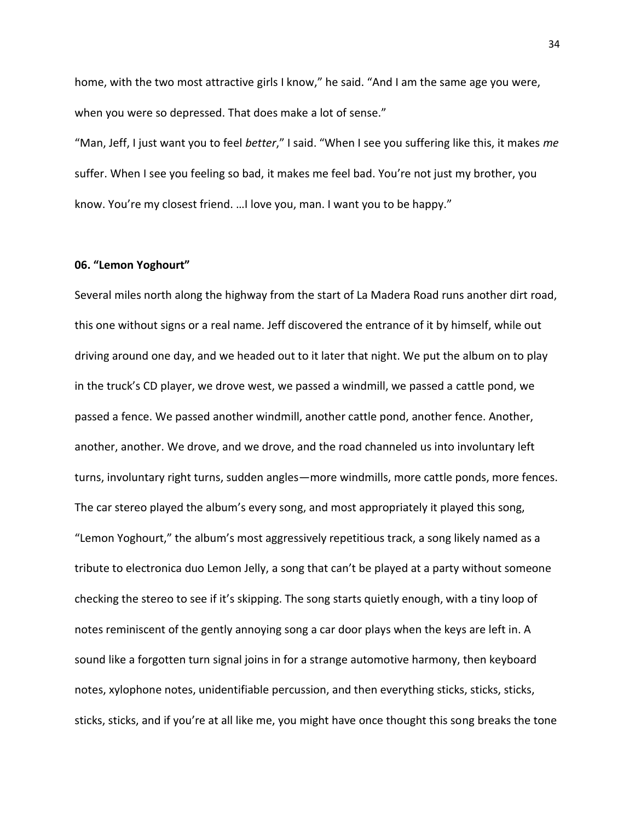home, with the two most attractive girls I know," he said. "And I am the same age you were, when you were so depressed. That does make a lot of sense."

"Man, Jeff, I just want you to feel *better*," I said. "When I see you suffering like this, it makes *me* suffer. When I see you feeling so bad, it makes me feel bad. You're not just my brother, you know. You're my closest friend. …I love you, man. I want you to be happy."

### **06. "Lemon Yoghourt"**

Several miles north along the highway from the start of La Madera Road runs another dirt road, this one without signs or a real name. Jeff discovered the entrance of it by himself, while out driving around one day, and we headed out to it later that night. We put the album on to play in the truck's CD player, we drove west, we passed a windmill, we passed a cattle pond, we passed a fence. We passed another windmill, another cattle pond, another fence. Another, another, another. We drove, and we drove, and the road channeled us into involuntary left turns, involuntary right turns, sudden angles—more windmills, more cattle ponds, more fences. The car stereo played the album's every song, and most appropriately it played this song, "Lemon Yoghourt," the album's most aggressively repetitious track, a song likely named as a tribute to electronica duo Lemon Jelly, a song that can't be played at a party without someone checking the stereo to see if it's skipping. The song starts quietly enough, with a tiny loop of notes reminiscent of the gently annoying song a car door plays when the keys are left in. A sound like a forgotten turn signal joins in for a strange automotive harmony, then keyboard notes, xylophone notes, unidentifiable percussion, and then everything sticks, sticks, sticks, sticks, sticks, and if you're at all like me, you might have once thought this song breaks the tone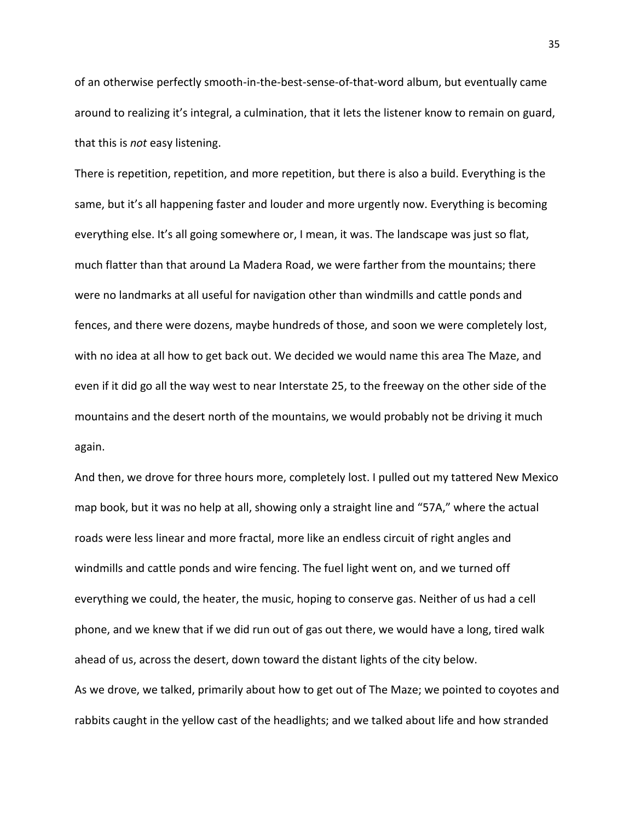of an otherwise perfectly smooth-in-the-best-sense-of-that-word album, but eventually came around to realizing it's integral, a culmination, that it lets the listener know to remain on guard, that this is *not* easy listening.

There is repetition, repetition, and more repetition, but there is also a build. Everything is the same, but it's all happening faster and louder and more urgently now. Everything is becoming everything else. It's all going somewhere or, I mean, it was. The landscape was just so flat, much flatter than that around La Madera Road, we were farther from the mountains; there were no landmarks at all useful for navigation other than windmills and cattle ponds and fences, and there were dozens, maybe hundreds of those, and soon we were completely lost, with no idea at all how to get back out. We decided we would name this area The Maze, and even if it did go all the way west to near Interstate 25, to the freeway on the other side of the mountains and the desert north of the mountains, we would probably not be driving it much again.

And then, we drove for three hours more, completely lost. I pulled out my tattered New Mexico map book, but it was no help at all, showing only a straight line and "57A," where the actual roads were less linear and more fractal, more like an endless circuit of right angles and windmills and cattle ponds and wire fencing. The fuel light went on, and we turned off everything we could, the heater, the music, hoping to conserve gas. Neither of us had a cell phone, and we knew that if we did run out of gas out there, we would have a long, tired walk ahead of us, across the desert, down toward the distant lights of the city below. As we drove, we talked, primarily about how to get out of The Maze; we pointed to coyotes and rabbits caught in the yellow cast of the headlights; and we talked about life and how stranded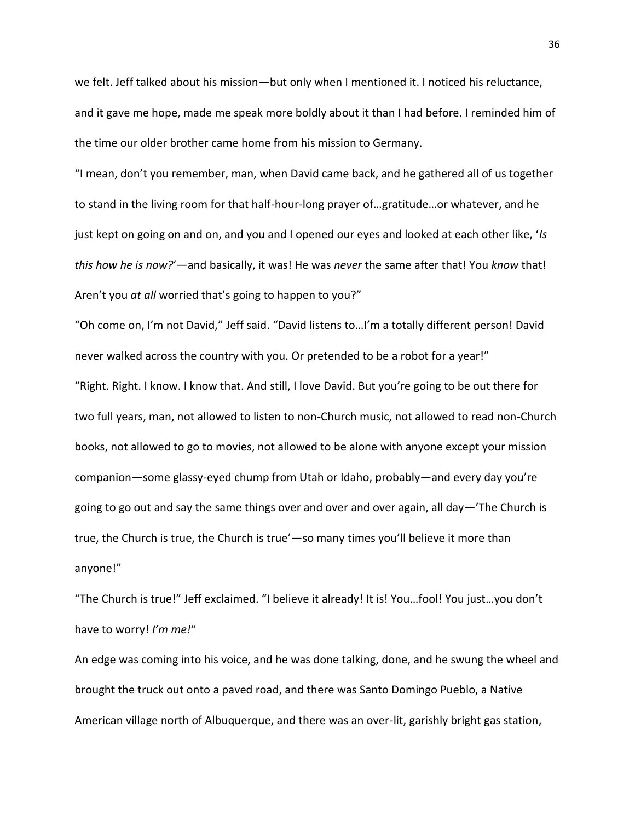we felt. Jeff talked about his mission—but only when I mentioned it. I noticed his reluctance, and it gave me hope, made me speak more boldly about it than I had before. I reminded him of the time our older brother came home from his mission to Germany.

"I mean, don't you remember, man, when David came back, and he gathered all of us together to stand in the living room for that half-hour-long prayer of…gratitude…or whatever, and he just kept on going on and on, and you and I opened our eyes and looked at each other like, '*Is this how he is now?*'—and basically, it was! He was *never* the same after that! You *know* that! Aren't you *at all* worried that's going to happen to you?"

"Oh come on, I'm not David," Jeff said. "David listens to…I'm a totally different person! David never walked across the country with you. Or pretended to be a robot for a year!" "Right. Right. I know. I know that. And still, I love David. But you're going to be out there for two full years, man, not allowed to listen to non-Church music, not allowed to read non-Church books, not allowed to go to movies, not allowed to be alone with anyone except your mission companion—some glassy-eyed chump from Utah or Idaho, probably—and every day you're going to go out and say the same things over and over and over again, all day—'The Church is true, the Church is true, the Church is true'—so many times you'll believe it more than anyone!"

"The Church is true!" Jeff exclaimed. "I believe it already! It is! You…fool! You just…you don't have to worry! *I'm me!*"

An edge was coming into his voice, and he was done talking, done, and he swung the wheel and brought the truck out onto a paved road, and there was Santo Domingo Pueblo, a Native American village north of Albuquerque, and there was an over-lit, garishly bright gas station,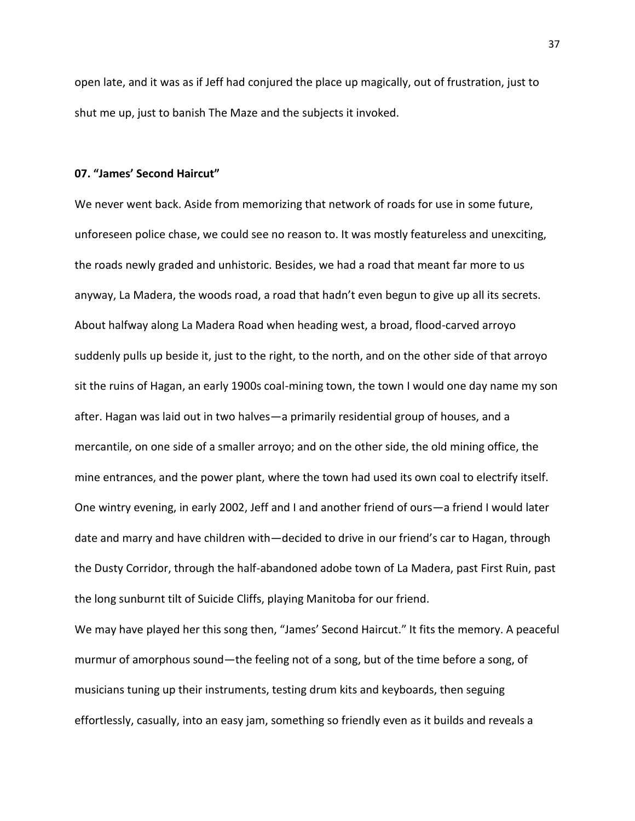open late, and it was as if Jeff had conjured the place up magically, out of frustration, just to shut me up, just to banish The Maze and the subjects it invoked.

### **07. "James' Second Haircut"**

We never went back. Aside from memorizing that network of roads for use in some future, unforeseen police chase, we could see no reason to. It was mostly featureless and unexciting, the roads newly graded and unhistoric. Besides, we had a road that meant far more to us anyway, La Madera, the woods road, a road that hadn't even begun to give up all its secrets. About halfway along La Madera Road when heading west, a broad, flood-carved arroyo suddenly pulls up beside it, just to the right, to the north, and on the other side of that arroyo sit the ruins of Hagan, an early 1900s coal-mining town, the town I would one day name my son after. Hagan was laid out in two halves—a primarily residential group of houses, and a mercantile, on one side of a smaller arroyo; and on the other side, the old mining office, the mine entrances, and the power plant, where the town had used its own coal to electrify itself. One wintry evening, in early 2002, Jeff and I and another friend of ours—a friend I would later date and marry and have children with—decided to drive in our friend's car to Hagan, through the Dusty Corridor, through the half-abandoned adobe town of La Madera, past First Ruin, past the long sunburnt tilt of Suicide Cliffs, playing Manitoba for our friend.

We may have played her this song then, "James' Second Haircut." It fits the memory. A peaceful murmur of amorphous sound—the feeling not of a song, but of the time before a song, of musicians tuning up their instruments, testing drum kits and keyboards, then seguing effortlessly, casually, into an easy jam, something so friendly even as it builds and reveals a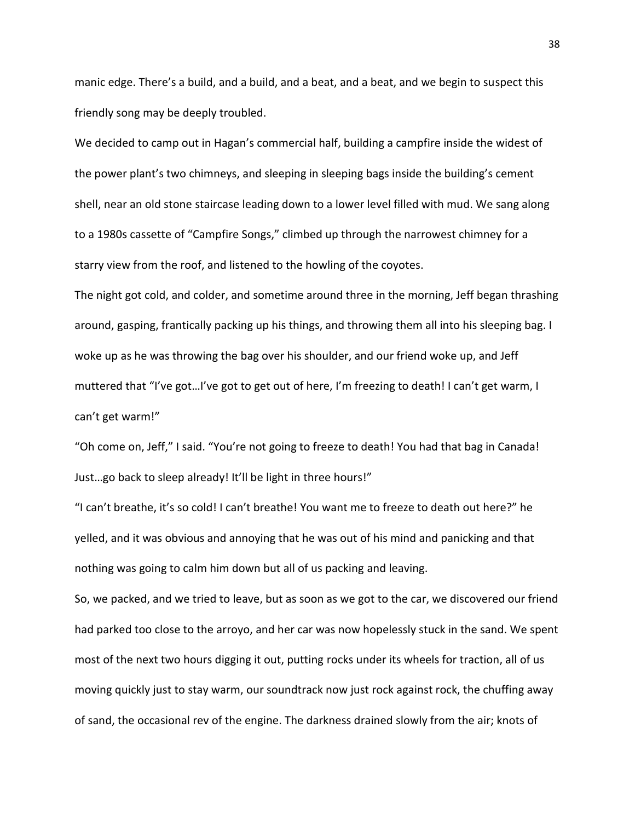manic edge. There's a build, and a build, and a beat, and a beat, and we begin to suspect this friendly song may be deeply troubled.

We decided to camp out in Hagan's commercial half, building a campfire inside the widest of the power plant's two chimneys, and sleeping in sleeping bags inside the building's cement shell, near an old stone staircase leading down to a lower level filled with mud. We sang along to a 1980s cassette of "Campfire Songs," climbed up through the narrowest chimney for a starry view from the roof, and listened to the howling of the coyotes.

The night got cold, and colder, and sometime around three in the morning, Jeff began thrashing around, gasping, frantically packing up his things, and throwing them all into his sleeping bag. I woke up as he was throwing the bag over his shoulder, and our friend woke up, and Jeff muttered that "I've got…I've got to get out of here, I'm freezing to death! I can't get warm, I can't get warm!"

"Oh come on, Jeff," I said. "You're not going to freeze to death! You had that bag in Canada! Just…go back to sleep already! It'll be light in three hours!"

"I can't breathe, it's so cold! I can't breathe! You want me to freeze to death out here?" he yelled, and it was obvious and annoying that he was out of his mind and panicking and that nothing was going to calm him down but all of us packing and leaving.

So, we packed, and we tried to leave, but as soon as we got to the car, we discovered our friend had parked too close to the arroyo, and her car was now hopelessly stuck in the sand. We spent most of the next two hours digging it out, putting rocks under its wheels for traction, all of us moving quickly just to stay warm, our soundtrack now just rock against rock, the chuffing away of sand, the occasional rev of the engine. The darkness drained slowly from the air; knots of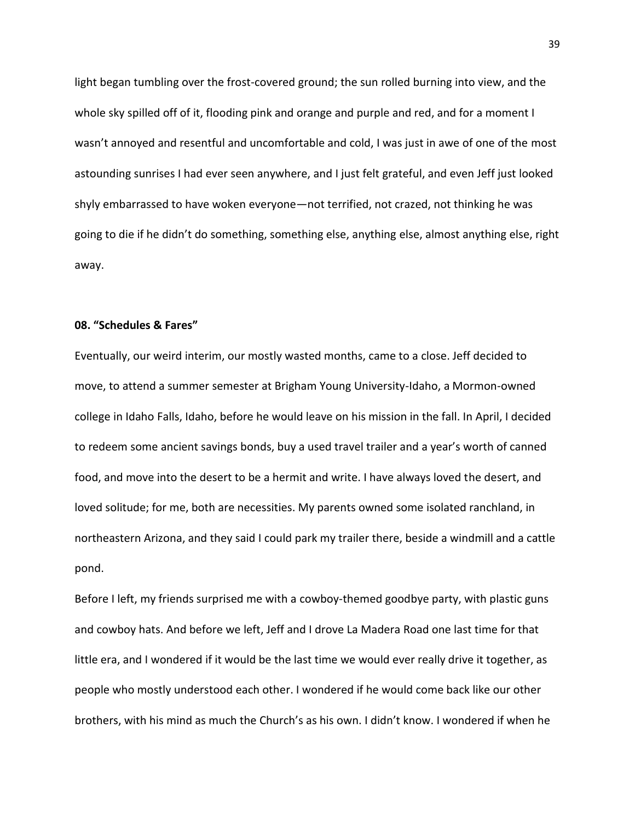light began tumbling over the frost-covered ground; the sun rolled burning into view, and the whole sky spilled off of it, flooding pink and orange and purple and red, and for a moment I wasn't annoyed and resentful and uncomfortable and cold, I was just in awe of one of the most astounding sunrises I had ever seen anywhere, and I just felt grateful, and even Jeff just looked shyly embarrassed to have woken everyone—not terrified, not crazed, not thinking he was going to die if he didn't do something, something else, anything else, almost anything else, right away.

## **08. "Schedules & Fares"**

Eventually, our weird interim, our mostly wasted months, came to a close. Jeff decided to move, to attend a summer semester at Brigham Young University-Idaho, a Mormon-owned college in Idaho Falls, Idaho, before he would leave on his mission in the fall. In April, I decided to redeem some ancient savings bonds, buy a used travel trailer and a year's worth of canned food, and move into the desert to be a hermit and write. I have always loved the desert, and loved solitude; for me, both are necessities. My parents owned some isolated ranchland, in northeastern Arizona, and they said I could park my trailer there, beside a windmill and a cattle pond.

Before I left, my friends surprised me with a cowboy-themed goodbye party, with plastic guns and cowboy hats. And before we left, Jeff and I drove La Madera Road one last time for that little era, and I wondered if it would be the last time we would ever really drive it together, as people who mostly understood each other. I wondered if he would come back like our other brothers, with his mind as much the Church's as his own. I didn't know. I wondered if when he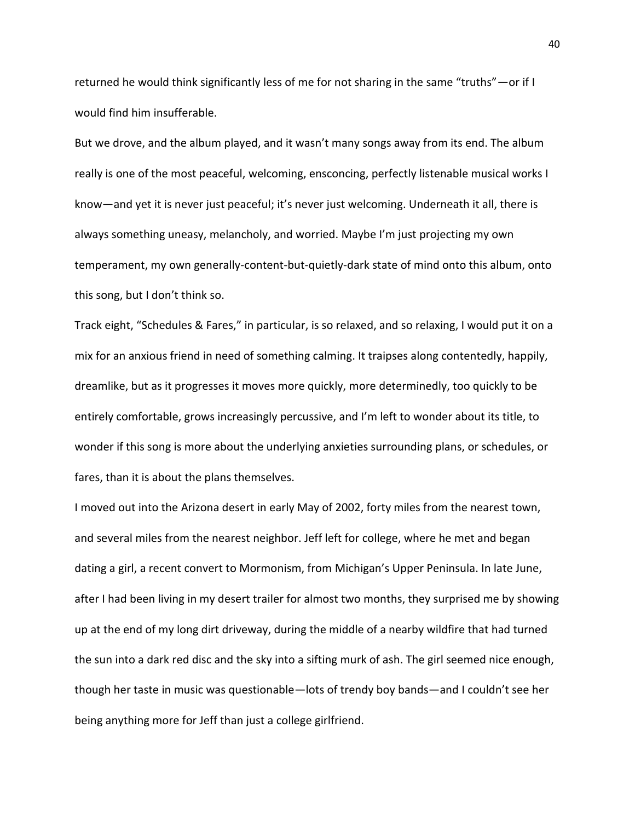returned he would think significantly less of me for not sharing in the same "truths"—or if I would find him insufferable.

But we drove, and the album played, and it wasn't many songs away from its end. The album really is one of the most peaceful, welcoming, ensconcing, perfectly listenable musical works I know—and yet it is never just peaceful; it's never just welcoming. Underneath it all, there is always something uneasy, melancholy, and worried. Maybe I'm just projecting my own temperament, my own generally-content-but-quietly-dark state of mind onto this album, onto this song, but I don't think so.

Track eight, "Schedules & Fares," in particular, is so relaxed, and so relaxing, I would put it on a mix for an anxious friend in need of something calming. It traipses along contentedly, happily, dreamlike, but as it progresses it moves more quickly, more determinedly, too quickly to be entirely comfortable, grows increasingly percussive, and I'm left to wonder about its title, to wonder if this song is more about the underlying anxieties surrounding plans, or schedules, or fares, than it is about the plans themselves.

I moved out into the Arizona desert in early May of 2002, forty miles from the nearest town, and several miles from the nearest neighbor. Jeff left for college, where he met and began dating a girl, a recent convert to Mormonism, from Michigan's Upper Peninsula. In late June, after I had been living in my desert trailer for almost two months, they surprised me by showing up at the end of my long dirt driveway, during the middle of a nearby wildfire that had turned the sun into a dark red disc and the sky into a sifting murk of ash. The girl seemed nice enough, though her taste in music was questionable—lots of trendy boy bands—and I couldn't see her being anything more for Jeff than just a college girlfriend.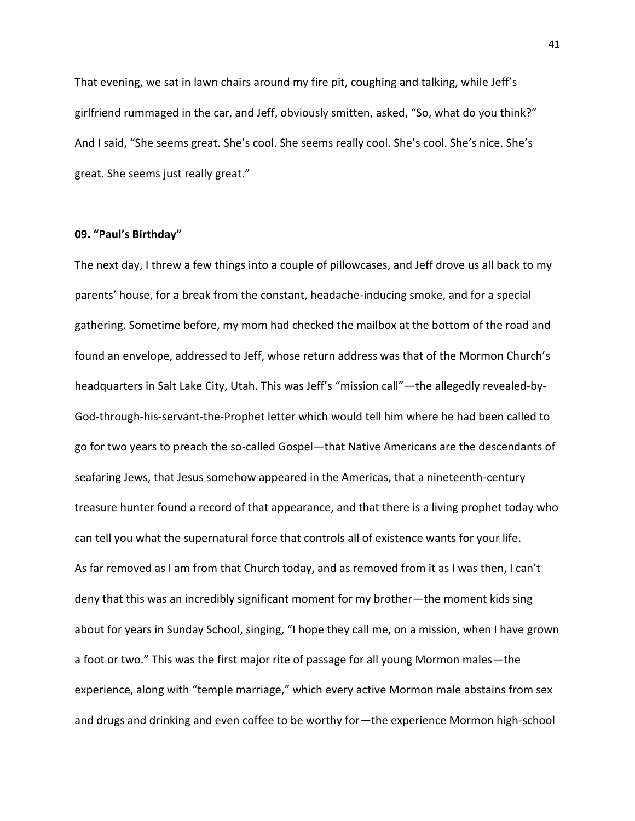That evening, we sat in lawn chairs around my fire pit, coughing and talking, while Jeff's girlfriend rummaged in the car, and Jeff, obviously smitten, asked, "So, what do you think?" And I said, "She seems great. She's cool. She seems really cool. She's cool. She's nice. She's great. She seems just really great."

## **09. "Paul's Birthday"**

The next day, I threw a few things into a couple of pillowcases, and Jeff drove us all back to my parents' house, for a break from the constant, headache-inducing smoke, and for a special gathering. Sometime before, my mom had checked the mailbox at the bottom of the road and found an envelope, addressed to Jeff, whose return address was that of the Mormon Church's headquarters in Salt Lake City, Utah. This was Jeff's "mission call"—the allegedly revealed-by-God-through-his-servant-the-Prophet letter which would tell him where he had been called to go for two years to preach the so-called Gospel—that Native Americans are the descendants of seafaring Jews, that Jesus somehow appeared in the Americas, that a nineteenth-century treasure hunter found a record of that appearance, and that there is a living prophet today who can tell you what the supernatural force that controls all of existence wants for your life. As far removed as I am from that Church today, and as removed from it as I was then, I can't deny that this was an incredibly significant moment for my brother—the moment kids sing about for years in Sunday School, singing, "I hope they call me, on a mission, when I have grown a foot or two." This was the first major rite of passage for all young Mormon males—the experience, along with "temple marriage," which every active Mormon male abstains from sex and drugs and drinking and even coffee to be worthy for—the experience Mormon high-school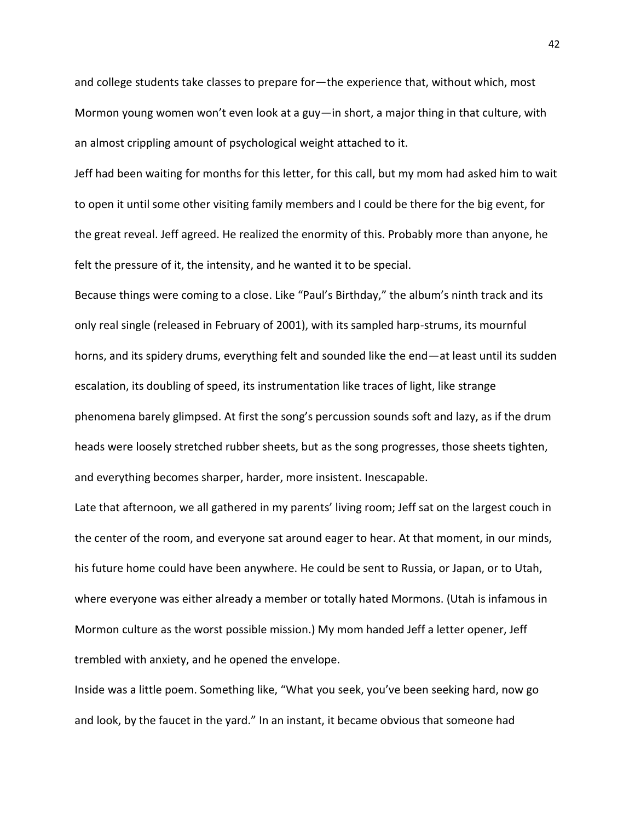and college students take classes to prepare for—the experience that, without which, most Mormon young women won't even look at a guy—in short, a major thing in that culture, with an almost crippling amount of psychological weight attached to it.

Jeff had been waiting for months for this letter, for this call, but my mom had asked him to wait to open it until some other visiting family members and I could be there for the big event, for the great reveal. Jeff agreed. He realized the enormity of this. Probably more than anyone, he felt the pressure of it, the intensity, and he wanted it to be special.

Because things were coming to a close. Like "Paul's Birthday," the album's ninth track and its only real single (released in February of 2001), with its sampled harp-strums, its mournful horns, and its spidery drums, everything felt and sounded like the end—at least until its sudden escalation, its doubling of speed, its instrumentation like traces of light, like strange phenomena barely glimpsed. At first the song's percussion sounds soft and lazy, as if the drum heads were loosely stretched rubber sheets, but as the song progresses, those sheets tighten, and everything becomes sharper, harder, more insistent. Inescapable.

Late that afternoon, we all gathered in my parents' living room; Jeff sat on the largest couch in the center of the room, and everyone sat around eager to hear. At that moment, in our minds, his future home could have been anywhere. He could be sent to Russia, or Japan, or to Utah, where everyone was either already a member or totally hated Mormons. (Utah is infamous in Mormon culture as the worst possible mission.) My mom handed Jeff a letter opener, Jeff trembled with anxiety, and he opened the envelope.

Inside was a little poem. Something like, "What you seek, you've been seeking hard, now go and look, by the faucet in the yard." In an instant, it became obvious that someone had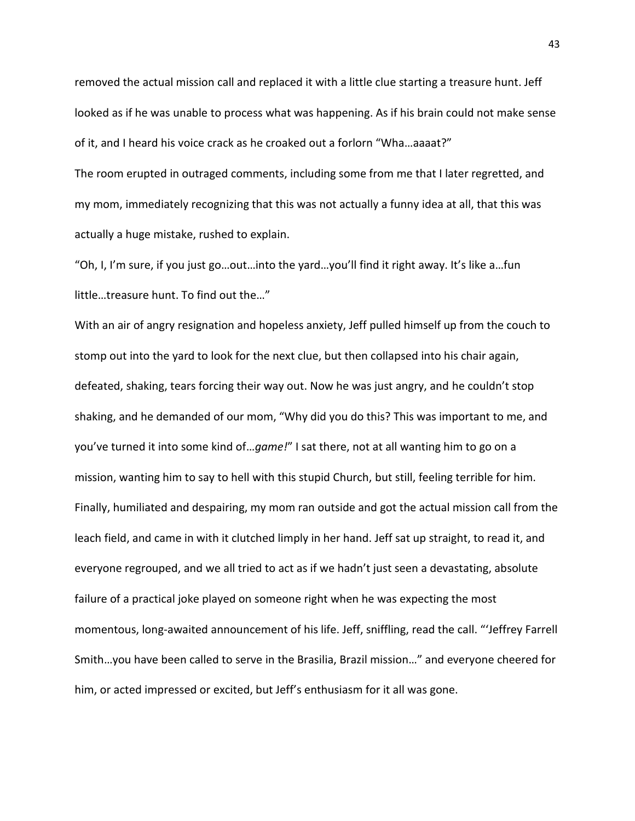removed the actual mission call and replaced it with a little clue starting a treasure hunt. Jeff looked as if he was unable to process what was happening. As if his brain could not make sense of it, and I heard his voice crack as he croaked out a forlorn "Wha…aaaat?"

The room erupted in outraged comments, including some from me that I later regretted, and my mom, immediately recognizing that this was not actually a funny idea at all, that this was actually a huge mistake, rushed to explain.

"Oh, I, I'm sure, if you just go…out…into the yard…you'll find it right away. It's like a…fun little…treasure hunt. To find out the…"

With an air of angry resignation and hopeless anxiety, Jeff pulled himself up from the couch to stomp out into the yard to look for the next clue, but then collapsed into his chair again, defeated, shaking, tears forcing their way out. Now he was just angry, and he couldn't stop shaking, and he demanded of our mom, "Why did you do this? This was important to me, and you've turned it into some kind of…*game!*" I sat there, not at all wanting him to go on a mission, wanting him to say to hell with this stupid Church, but still, feeling terrible for him. Finally, humiliated and despairing, my mom ran outside and got the actual mission call from the leach field, and came in with it clutched limply in her hand. Jeff sat up straight, to read it, and everyone regrouped, and we all tried to act as if we hadn't just seen a devastating, absolute failure of a practical joke played on someone right when he was expecting the most momentous, long-awaited announcement of his life. Jeff, sniffling, read the call. "'Jeffrey Farrell Smith…you have been called to serve in the Brasilia, Brazil mission…" and everyone cheered for him, or acted impressed or excited, but Jeff's enthusiasm for it all was gone.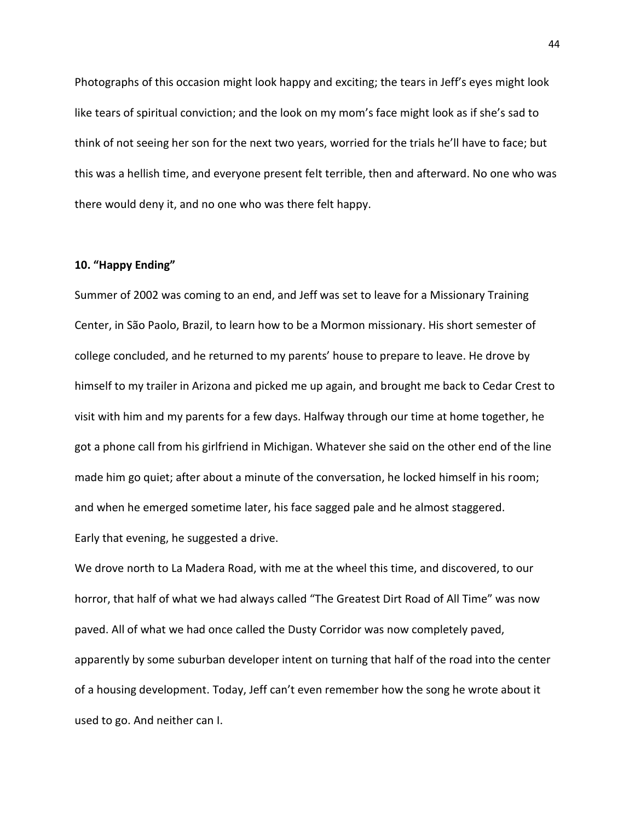Photographs of this occasion might look happy and exciting; the tears in Jeff's eyes might look like tears of spiritual conviction; and the look on my mom's face might look as if she's sad to think of not seeing her son for the next two years, worried for the trials he'll have to face; but this was a hellish time, and everyone present felt terrible, then and afterward. No one who was there would deny it, and no one who was there felt happy.

#### **10. "Happy Ending"**

Summer of 2002 was coming to an end, and Jeff was set to leave for a Missionary Training Center, in São Paolo, Brazil, to learn how to be a Mormon missionary. His short semester of college concluded, and he returned to my parents' house to prepare to leave. He drove by himself to my trailer in Arizona and picked me up again, and brought me back to Cedar Crest to visit with him and my parents for a few days. Halfway through our time at home together, he got a phone call from his girlfriend in Michigan. Whatever she said on the other end of the line made him go quiet; after about a minute of the conversation, he locked himself in his room; and when he emerged sometime later, his face sagged pale and he almost staggered. Early that evening, he suggested a drive.

We drove north to La Madera Road, with me at the wheel this time, and discovered, to our horror, that half of what we had always called "The Greatest Dirt Road of All Time" was now paved. All of what we had once called the Dusty Corridor was now completely paved, apparently by some suburban developer intent on turning that half of the road into the center of a housing development. Today, Jeff can't even remember how the song he wrote about it used to go. And neither can I.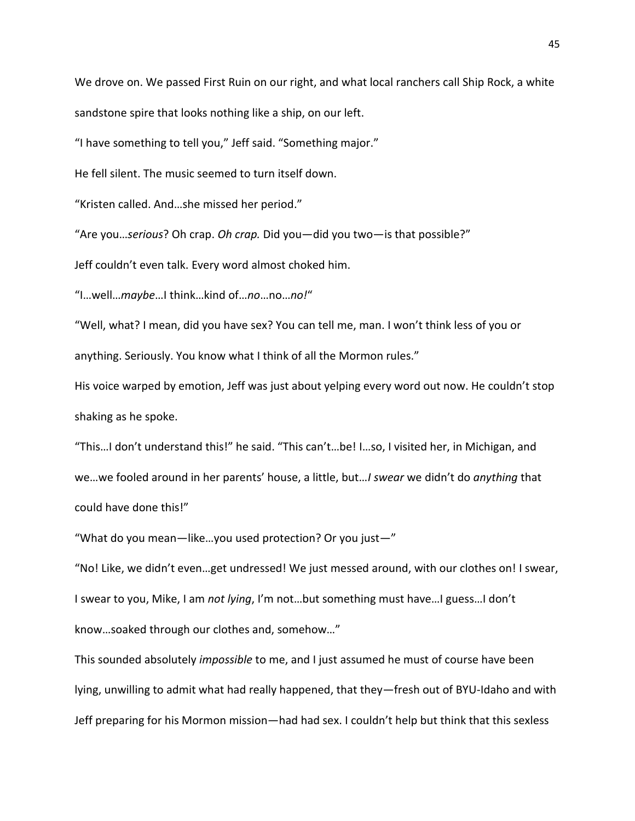We drove on. We passed First Ruin on our right, and what local ranchers call Ship Rock, a white sandstone spire that looks nothing like a ship, on our left.

"I have something to tell you," Jeff said. "Something major."

He fell silent. The music seemed to turn itself down.

"Kristen called. And…she missed her period."

"Are you…*serious*? Oh crap. *Oh crap.* Did you—did you two—is that possible?"

Jeff couldn't even talk. Every word almost choked him.

"I…well…*maybe*…I think…kind of…*no*…no…*no!*"

"Well, what? I mean, did you have sex? You can tell me, man. I won't think less of you or anything. Seriously. You know what I think of all the Mormon rules."

His voice warped by emotion, Jeff was just about yelping every word out now. He couldn't stop shaking as he spoke.

"This…I don't understand this!" he said. "This can't…be! I…so, I visited her, in Michigan, and we…we fooled around in her parents' house, a little, but…*I swear* we didn't do *anything* that could have done this!"

"What do you mean—like…you used protection? Or you just—"

"No! Like, we didn't even…get undressed! We just messed around, with our clothes on! I swear, I swear to you, Mike, I am *not lying*, I'm not…but something must have…I guess…I don't know…soaked through our clothes and, somehow…"

This sounded absolutely *impossible* to me, and I just assumed he must of course have been lying, unwilling to admit what had really happened, that they—fresh out of BYU-Idaho and with Jeff preparing for his Mormon mission—had had sex. I couldn't help but think that this sexless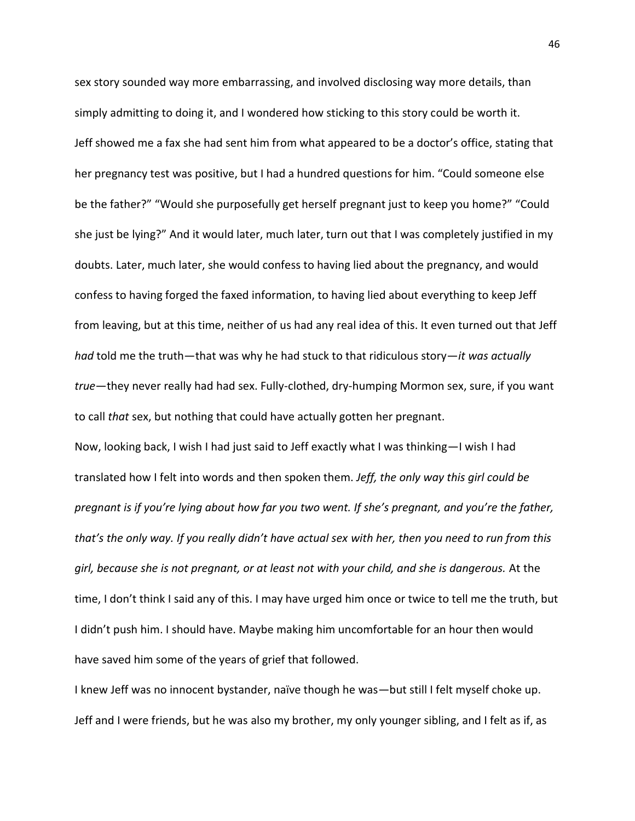sex story sounded way more embarrassing, and involved disclosing way more details, than simply admitting to doing it, and I wondered how sticking to this story could be worth it. Jeff showed me a fax she had sent him from what appeared to be a doctor's office, stating that her pregnancy test was positive, but I had a hundred questions for him. "Could someone else be the father?" "Would she purposefully get herself pregnant just to keep you home?" "Could she just be lying?" And it would later, much later, turn out that I was completely justified in my doubts. Later, much later, she would confess to having lied about the pregnancy, and would confess to having forged the faxed information, to having lied about everything to keep Jeff from leaving, but at this time, neither of us had any real idea of this. It even turned out that Jeff *had* told me the truth—that was why he had stuck to that ridiculous story—*it was actually true*—they never really had had sex. Fully-clothed, dry-humping Mormon sex, sure, if you want to call *that* sex, but nothing that could have actually gotten her pregnant.

Now, looking back, I wish I had just said to Jeff exactly what I was thinking—I wish I had translated how I felt into words and then spoken them. *Jeff, the only way this girl could be pregnant is if you're lying about how far you two went. If she's pregnant, and you're the father, that's the only way. If you really didn't have actual sex with her, then you need to run from this girl, because she is not pregnant, or at least not with your child, and she is dangerous.* At the time, I don't think I said any of this. I may have urged him once or twice to tell me the truth, but I didn't push him. I should have. Maybe making him uncomfortable for an hour then would have saved him some of the years of grief that followed.

I knew Jeff was no innocent bystander, naïve though he was—but still I felt myself choke up. Jeff and I were friends, but he was also my brother, my only younger sibling, and I felt as if, as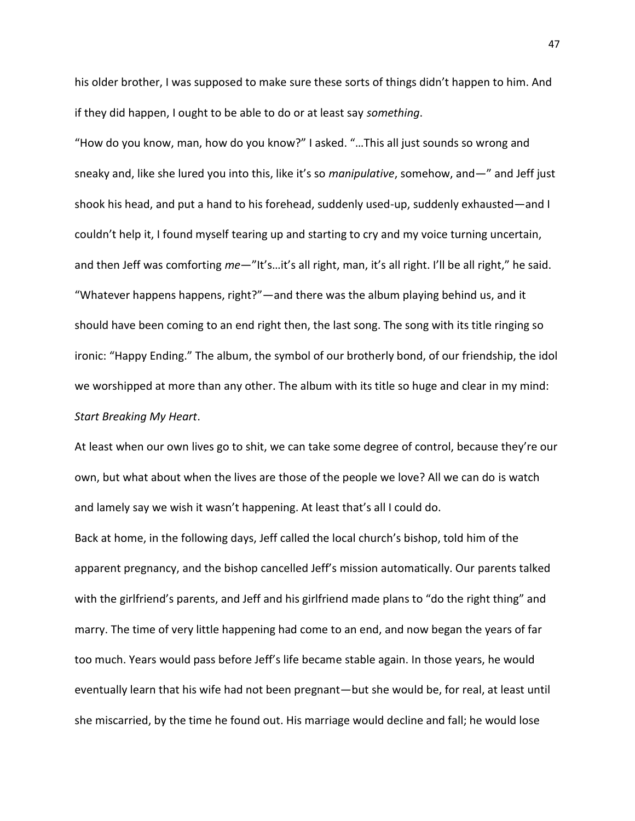his older brother, I was supposed to make sure these sorts of things didn't happen to him. And if they did happen, I ought to be able to do or at least say *something*.

"How do you know, man, how do you know?" I asked. "…This all just sounds so wrong and sneaky and, like she lured you into this, like it's so *manipulative*, somehow, and—" and Jeff just shook his head, and put a hand to his forehead, suddenly used-up, suddenly exhausted—and I couldn't help it, I found myself tearing up and starting to cry and my voice turning uncertain, and then Jeff was comforting *me*—"It's…it's all right, man, it's all right. I'll be all right," he said. "Whatever happens happens, right?"—and there was the album playing behind us, and it should have been coming to an end right then, the last song. The song with its title ringing so ironic: "Happy Ending." The album, the symbol of our brotherly bond, of our friendship, the idol we worshipped at more than any other. The album with its title so huge and clear in my mind: *Start Breaking My Heart*.

At least when our own lives go to shit, we can take some degree of control, because they're our own, but what about when the lives are those of the people we love? All we can do is watch and lamely say we wish it wasn't happening. At least that's all I could do.

Back at home, in the following days, Jeff called the local church's bishop, told him of the apparent pregnancy, and the bishop cancelled Jeff's mission automatically. Our parents talked with the girlfriend's parents, and Jeff and his girlfriend made plans to "do the right thing" and marry. The time of very little happening had come to an end, and now began the years of far too much. Years would pass before Jeff's life became stable again. In those years, he would eventually learn that his wife had not been pregnant—but she would be, for real, at least until she miscarried, by the time he found out. His marriage would decline and fall; he would lose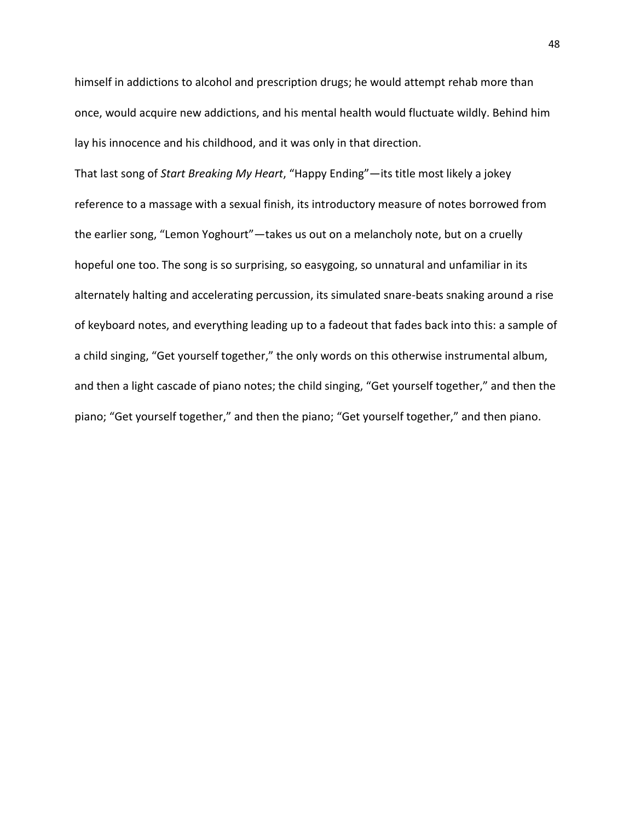himself in addictions to alcohol and prescription drugs; he would attempt rehab more than once, would acquire new addictions, and his mental health would fluctuate wildly. Behind him lay his innocence and his childhood, and it was only in that direction.

That last song of *Start Breaking My Heart*, "Happy Ending"—its title most likely a jokey reference to a massage with a sexual finish, its introductory measure of notes borrowed from the earlier song, "Lemon Yoghourt"—takes us out on a melancholy note, but on a cruelly hopeful one too. The song is so surprising, so easygoing, so unnatural and unfamiliar in its alternately halting and accelerating percussion, its simulated snare-beats snaking around a rise of keyboard notes, and everything leading up to a fadeout that fades back into this: a sample of a child singing, "Get yourself together," the only words on this otherwise instrumental album, and then a light cascade of piano notes; the child singing, "Get yourself together," and then the piano; "Get yourself together," and then the piano; "Get yourself together," and then piano.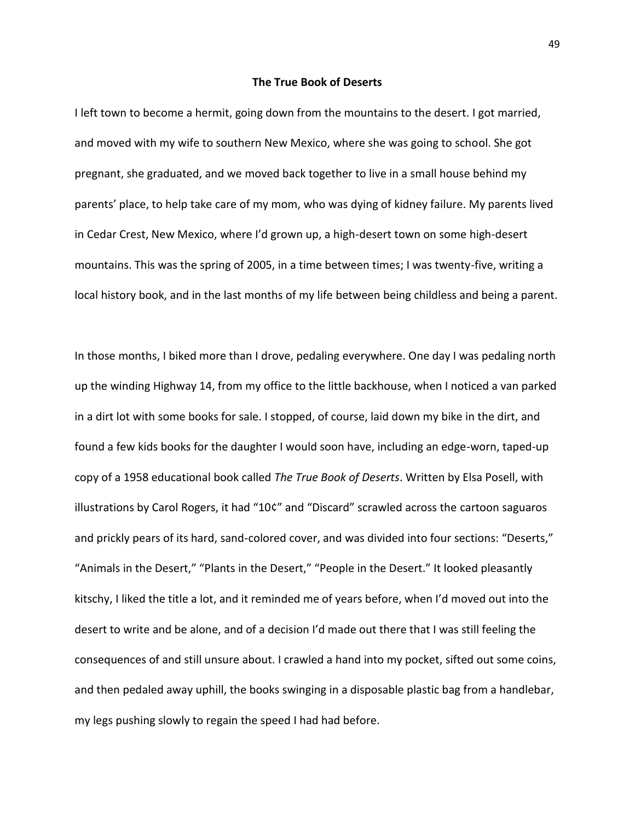#### **The True Book of Deserts**

I left town to become a hermit, going down from the mountains to the desert. I got married, and moved with my wife to southern New Mexico, where she was going to school. She got pregnant, she graduated, and we moved back together to live in a small house behind my parents' place, to help take care of my mom, who was dying of kidney failure. My parents lived in Cedar Crest, New Mexico, where I'd grown up, a high-desert town on some high-desert mountains. This was the spring of 2005, in a time between times; I was twenty-five, writing a local history book, and in the last months of my life between being childless and being a parent.

In those months, I biked more than I drove, pedaling everywhere. One day I was pedaling north up the winding Highway 14, from my office to the little backhouse, when I noticed a van parked in a dirt lot with some books for sale. I stopped, of course, laid down my bike in the dirt, and found a few kids books for the daughter I would soon have, including an edge-worn, taped-up copy of a 1958 educational book called *The True Book of Deserts*. Written by Elsa Posell, with illustrations by Carol Rogers, it had "10¢" and "Discard" scrawled across the cartoon saguaros and prickly pears of its hard, sand-colored cover, and was divided into four sections: "Deserts," "Animals in the Desert," "Plants in the Desert," "People in the Desert." It looked pleasantly kitschy, I liked the title a lot, and it reminded me of years before, when I'd moved out into the desert to write and be alone, and of a decision I'd made out there that I was still feeling the consequences of and still unsure about. I crawled a hand into my pocket, sifted out some coins, and then pedaled away uphill, the books swinging in a disposable plastic bag from a handlebar, my legs pushing slowly to regain the speed I had had before.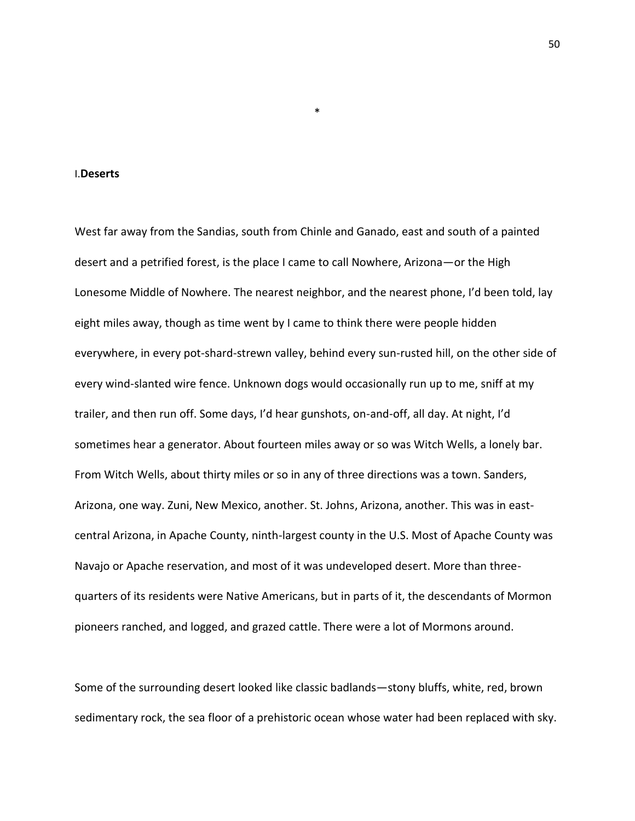#### I.**Deserts**

West far away from the Sandias, south from Chinle and Ganado, east and south of a painted desert and a petrified forest, is the place I came to call Nowhere, Arizona—or the High Lonesome Middle of Nowhere. The nearest neighbor, and the nearest phone, I'd been told, lay eight miles away, though as time went by I came to think there were people hidden everywhere, in every pot-shard-strewn valley, behind every sun-rusted hill, on the other side of every wind-slanted wire fence. Unknown dogs would occasionally run up to me, sniff at my trailer, and then run off. Some days, I'd hear gunshots, on-and-off, all day. At night, I'd sometimes hear a generator. About fourteen miles away or so was Witch Wells, a lonely bar. From Witch Wells, about thirty miles or so in any of three directions was a town. Sanders, Arizona, one way. Zuni, New Mexico, another. St. Johns, Arizona, another. This was in eastcentral Arizona, in Apache County, ninth-largest county in the U.S. Most of Apache County was Navajo or Apache reservation, and most of it was undeveloped desert. More than threequarters of its residents were Native Americans, but in parts of it, the descendants of Mormon pioneers ranched, and logged, and grazed cattle. There were a lot of Mormons around.

\*

Some of the surrounding desert looked like classic badlands—stony bluffs, white, red, brown sedimentary rock, the sea floor of a prehistoric ocean whose water had been replaced with sky.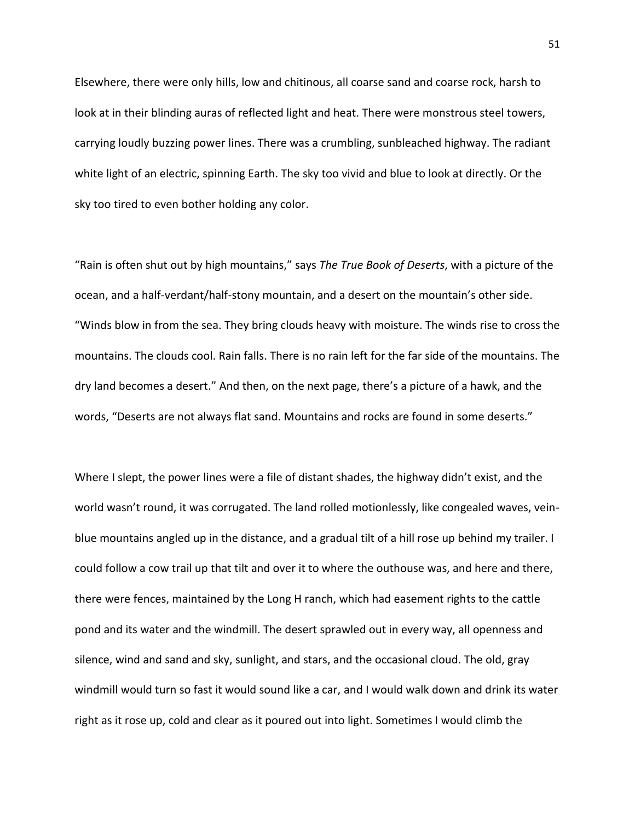Elsewhere, there were only hills, low and chitinous, all coarse sand and coarse rock, harsh to look at in their blinding auras of reflected light and heat. There were monstrous steel towers, carrying loudly buzzing power lines. There was a crumbling, sunbleached highway. The radiant white light of an electric, spinning Earth. The sky too vivid and blue to look at directly. Or the sky too tired to even bother holding any color.

"Rain is often shut out by high mountains," says *The True Book of Deserts*, with a picture of the ocean, and a half-verdant/half-stony mountain, and a desert on the mountain's other side. "Winds blow in from the sea. They bring clouds heavy with moisture. The winds rise to cross the mountains. The clouds cool. Rain falls. There is no rain left for the far side of the mountains. The dry land becomes a desert." And then, on the next page, there's a picture of a hawk, and the words, "Deserts are not always flat sand. Mountains and rocks are found in some deserts."

Where I slept, the power lines were a file of distant shades, the highway didn't exist, and the world wasn't round, it was corrugated. The land rolled motionlessly, like congealed waves, veinblue mountains angled up in the distance, and a gradual tilt of a hill rose up behind my trailer. I could follow a cow trail up that tilt and over it to where the outhouse was, and here and there, there were fences, maintained by the Long H ranch, which had easement rights to the cattle pond and its water and the windmill. The desert sprawled out in every way, all openness and silence, wind and sand and sky, sunlight, and stars, and the occasional cloud. The old, gray windmill would turn so fast it would sound like a car, and I would walk down and drink its water right as it rose up, cold and clear as it poured out into light. Sometimes I would climb the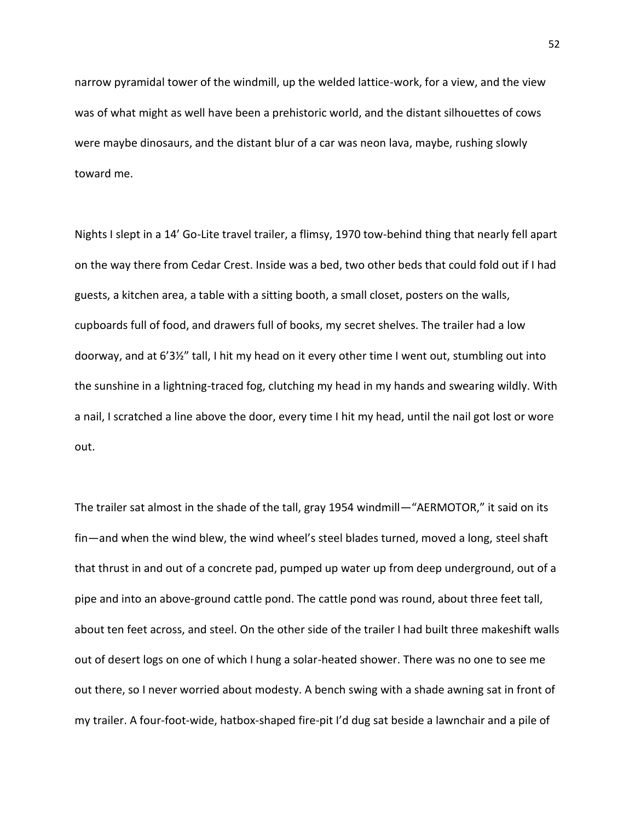narrow pyramidal tower of the windmill, up the welded lattice-work, for a view, and the view was of what might as well have been a prehistoric world, and the distant silhouettes of cows were maybe dinosaurs, and the distant blur of a car was neon lava, maybe, rushing slowly toward me.

Nights I slept in a 14' Go-Lite travel trailer, a flimsy, 1970 tow-behind thing that nearly fell apart on the way there from Cedar Crest. Inside was a bed, two other beds that could fold out if I had guests, a kitchen area, a table with a sitting booth, a small closet, posters on the walls, cupboards full of food, and drawers full of books, my secret shelves. The trailer had a low doorway, and at 6'3½" tall, I hit my head on it every other time I went out, stumbling out into the sunshine in a lightning-traced fog, clutching my head in my hands and swearing wildly. With a nail, I scratched a line above the door, every time I hit my head, until the nail got lost or wore out.

The trailer sat almost in the shade of the tall, gray 1954 windmill—"AERMOTOR," it said on its fin—and when the wind blew, the wind wheel's steel blades turned, moved a long, steel shaft that thrust in and out of a concrete pad, pumped up water up from deep underground, out of a pipe and into an above-ground cattle pond. The cattle pond was round, about three feet tall, about ten feet across, and steel. On the other side of the trailer I had built three makeshift walls out of desert logs on one of which I hung a solar-heated shower. There was no one to see me out there, so I never worried about modesty. A bench swing with a shade awning sat in front of my trailer. A four-foot-wide, hatbox-shaped fire-pit I'd dug sat beside a lawnchair and a pile of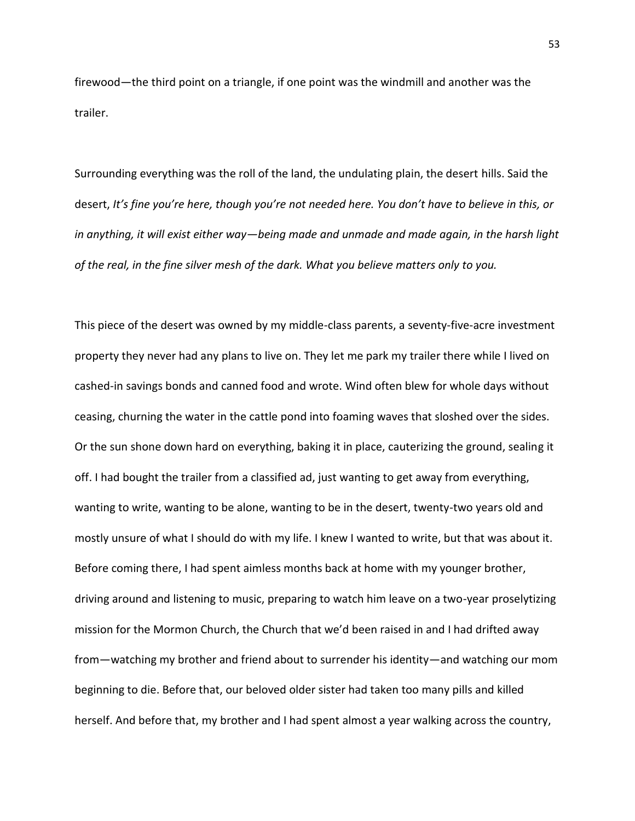firewood—the third point on a triangle, if one point was the windmill and another was the trailer.

Surrounding everything was the roll of the land, the undulating plain, the desert hills. Said the desert, *It's fine you're here, though you're not needed here. You don't have to believe in this, or in anything, it will exist either way—being made and unmade and made again, in the harsh light of the real, in the fine silver mesh of the dark. What you believe matters only to you.*

This piece of the desert was owned by my middle-class parents, a seventy-five-acre investment property they never had any plans to live on. They let me park my trailer there while I lived on cashed-in savings bonds and canned food and wrote. Wind often blew for whole days without ceasing, churning the water in the cattle pond into foaming waves that sloshed over the sides. Or the sun shone down hard on everything, baking it in place, cauterizing the ground, sealing it off. I had bought the trailer from a classified ad, just wanting to get away from everything, wanting to write, wanting to be alone, wanting to be in the desert, twenty-two years old and mostly unsure of what I should do with my life. I knew I wanted to write, but that was about it. Before coming there, I had spent aimless months back at home with my younger brother, driving around and listening to music, preparing to watch him leave on a two-year proselytizing mission for the Mormon Church, the Church that we'd been raised in and I had drifted away from—watching my brother and friend about to surrender his identity—and watching our mom beginning to die. Before that, our beloved older sister had taken too many pills and killed herself. And before that, my brother and I had spent almost a year walking across the country,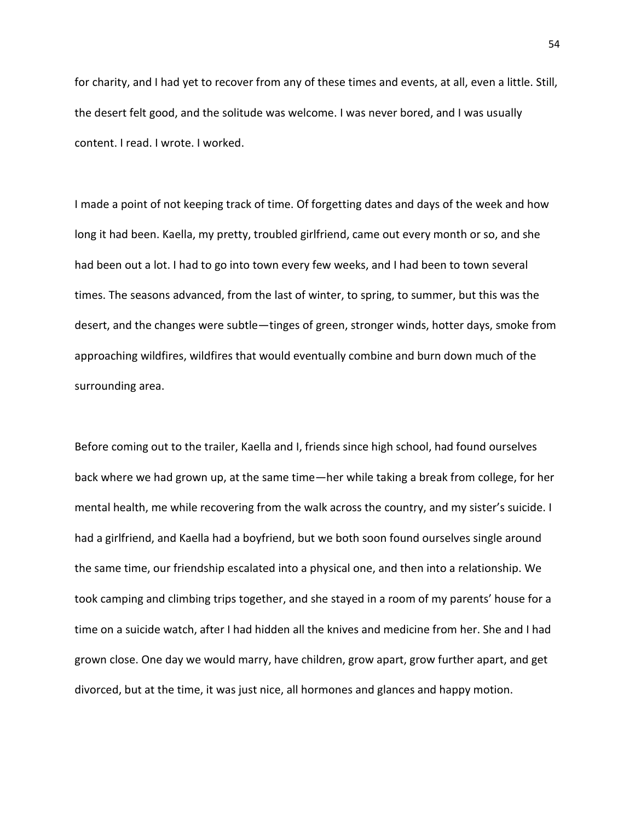for charity, and I had yet to recover from any of these times and events, at all, even a little. Still, the desert felt good, and the solitude was welcome. I was never bored, and I was usually content. I read. I wrote. I worked.

I made a point of not keeping track of time. Of forgetting dates and days of the week and how long it had been. Kaella, my pretty, troubled girlfriend, came out every month or so, and she had been out a lot. I had to go into town every few weeks, and I had been to town several times. The seasons advanced, from the last of winter, to spring, to summer, but this was the desert, and the changes were subtle—tinges of green, stronger winds, hotter days, smoke from approaching wildfires, wildfires that would eventually combine and burn down much of the surrounding area.

Before coming out to the trailer, Kaella and I, friends since high school, had found ourselves back where we had grown up, at the same time—her while taking a break from college, for her mental health, me while recovering from the walk across the country, and my sister's suicide. I had a girlfriend, and Kaella had a boyfriend, but we both soon found ourselves single around the same time, our friendship escalated into a physical one, and then into a relationship. We took camping and climbing trips together, and she stayed in a room of my parents' house for a time on a suicide watch, after I had hidden all the knives and medicine from her. She and I had grown close. One day we would marry, have children, grow apart, grow further apart, and get divorced, but at the time, it was just nice, all hormones and glances and happy motion.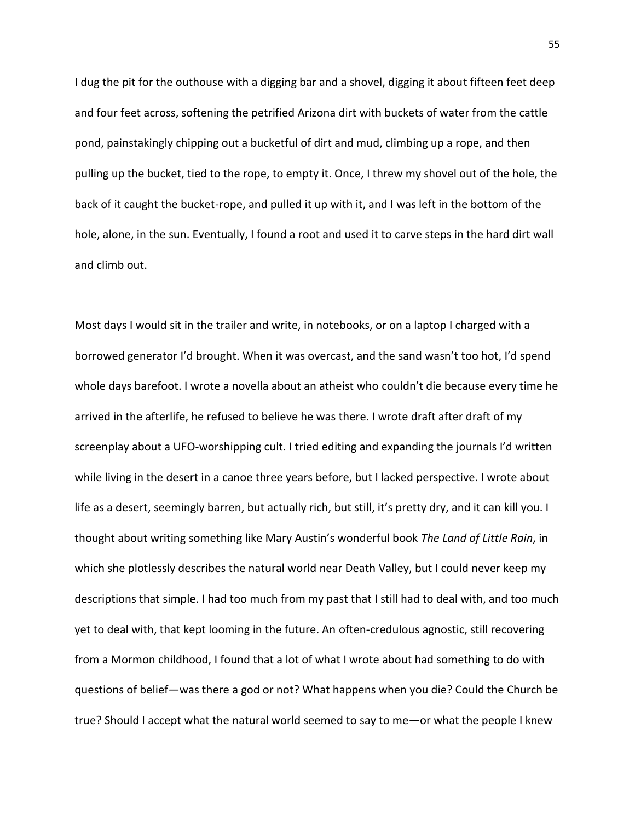I dug the pit for the outhouse with a digging bar and a shovel, digging it about fifteen feet deep and four feet across, softening the petrified Arizona dirt with buckets of water from the cattle pond, painstakingly chipping out a bucketful of dirt and mud, climbing up a rope, and then pulling up the bucket, tied to the rope, to empty it. Once, I threw my shovel out of the hole, the back of it caught the bucket-rope, and pulled it up with it, and I was left in the bottom of the hole, alone, in the sun. Eventually, I found a root and used it to carve steps in the hard dirt wall and climb out.

Most days I would sit in the trailer and write, in notebooks, or on a laptop I charged with a borrowed generator I'd brought. When it was overcast, and the sand wasn't too hot, I'd spend whole days barefoot. I wrote a novella about an atheist who couldn't die because every time he arrived in the afterlife, he refused to believe he was there. I wrote draft after draft of my screenplay about a UFO-worshipping cult. I tried editing and expanding the journals I'd written while living in the desert in a canoe three years before, but I lacked perspective. I wrote about life as a desert, seemingly barren, but actually rich, but still, it's pretty dry, and it can kill you. I thought about writing something like Mary Austin's wonderful book *The Land of Little Rain*, in which she plotlessly describes the natural world near Death Valley, but I could never keep my descriptions that simple. I had too much from my past that I still had to deal with, and too much yet to deal with, that kept looming in the future. An often-credulous agnostic, still recovering from a Mormon childhood, I found that a lot of what I wrote about had something to do with questions of belief—was there a god or not? What happens when you die? Could the Church be true? Should I accept what the natural world seemed to say to me—or what the people I knew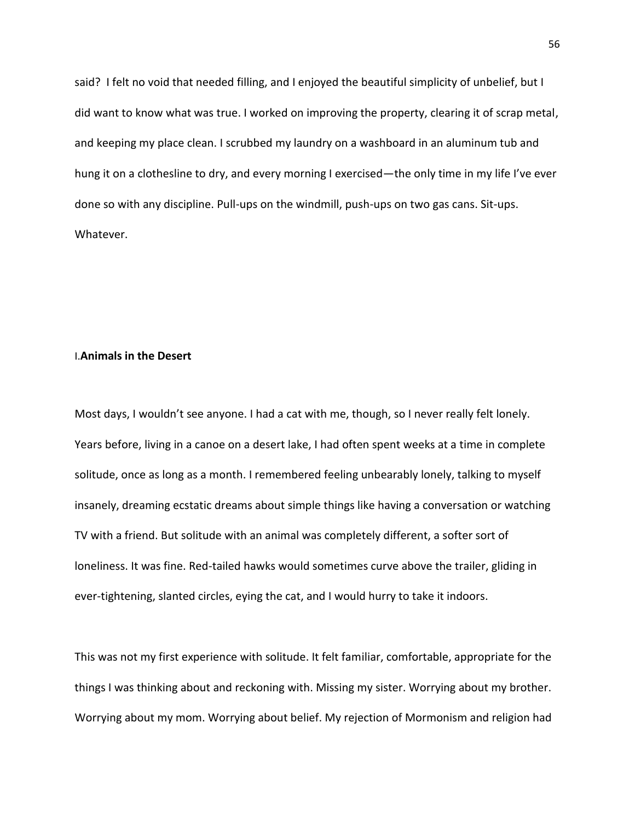said? I felt no void that needed filling, and I enjoyed the beautiful simplicity of unbelief, but I did want to know what was true. I worked on improving the property, clearing it of scrap metal, and keeping my place clean. I scrubbed my laundry on a washboard in an aluminum tub and hung it on a clothesline to dry, and every morning I exercised—the only time in my life I've ever done so with any discipline. Pull-ups on the windmill, push-ups on two gas cans. Sit-ups. Whatever.

# I.**Animals in the Desert**

Most days, I wouldn't see anyone. I had a cat with me, though, so I never really felt lonely. Years before, living in a canoe on a desert lake, I had often spent weeks at a time in complete solitude, once as long as a month. I remembered feeling unbearably lonely, talking to myself insanely, dreaming ecstatic dreams about simple things like having a conversation or watching TV with a friend. But solitude with an animal was completely different, a softer sort of loneliness. It was fine. Red-tailed hawks would sometimes curve above the trailer, gliding in ever-tightening, slanted circles, eying the cat, and I would hurry to take it indoors.

This was not my first experience with solitude. It felt familiar, comfortable, appropriate for the things I was thinking about and reckoning with. Missing my sister. Worrying about my brother. Worrying about my mom. Worrying about belief. My rejection of Mormonism and religion had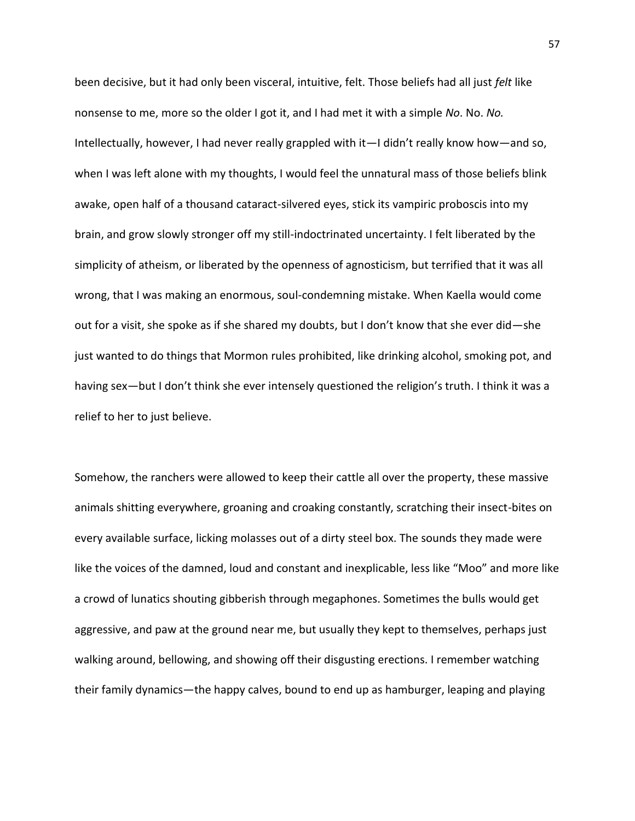been decisive, but it had only been visceral, intuitive, felt. Those beliefs had all just *felt* like nonsense to me, more so the older I got it, and I had met it with a simple *No*. No. *No.*  Intellectually, however, I had never really grappled with it—I didn't really know how—and so, when I was left alone with my thoughts, I would feel the unnatural mass of those beliefs blink awake, open half of a thousand cataract-silvered eyes, stick its vampiric proboscis into my brain, and grow slowly stronger off my still-indoctrinated uncertainty. I felt liberated by the simplicity of atheism, or liberated by the openness of agnosticism, but terrified that it was all wrong, that I was making an enormous, soul-condemning mistake. When Kaella would come out for a visit, she spoke as if she shared my doubts, but I don't know that she ever did—she just wanted to do things that Mormon rules prohibited, like drinking alcohol, smoking pot, and having sex—but I don't think she ever intensely questioned the religion's truth. I think it was a relief to her to just believe.

Somehow, the ranchers were allowed to keep their cattle all over the property, these massive animals shitting everywhere, groaning and croaking constantly, scratching their insect-bites on every available surface, licking molasses out of a dirty steel box. The sounds they made were like the voices of the damned, loud and constant and inexplicable, less like "Moo" and more like a crowd of lunatics shouting gibberish through megaphones. Sometimes the bulls would get aggressive, and paw at the ground near me, but usually they kept to themselves, perhaps just walking around, bellowing, and showing off their disgusting erections. I remember watching their family dynamics—the happy calves, bound to end up as hamburger, leaping and playing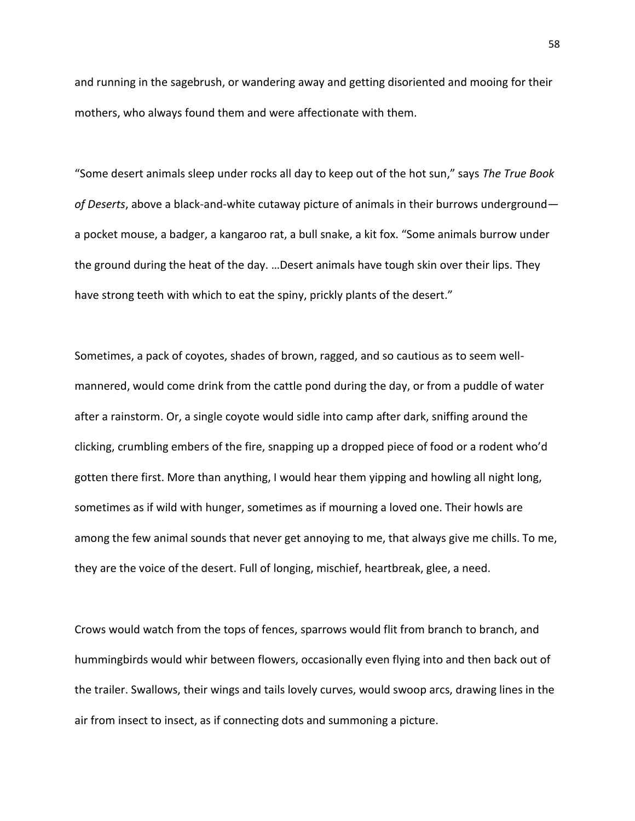and running in the sagebrush, or wandering away and getting disoriented and mooing for their mothers, who always found them and were affectionate with them.

"Some desert animals sleep under rocks all day to keep out of the hot sun," says *The True Book of Deserts*, above a black-and-white cutaway picture of animals in their burrows underground a pocket mouse, a badger, a kangaroo rat, a bull snake, a kit fox. "Some animals burrow under the ground during the heat of the day. …Desert animals have tough skin over their lips. They have strong teeth with which to eat the spiny, prickly plants of the desert."

Sometimes, a pack of coyotes, shades of brown, ragged, and so cautious as to seem wellmannered, would come drink from the cattle pond during the day, or from a puddle of water after a rainstorm. Or, a single coyote would sidle into camp after dark, sniffing around the clicking, crumbling embers of the fire, snapping up a dropped piece of food or a rodent who'd gotten there first. More than anything, I would hear them yipping and howling all night long, sometimes as if wild with hunger, sometimes as if mourning a loved one. Their howls are among the few animal sounds that never get annoying to me, that always give me chills. To me, they are the voice of the desert. Full of longing, mischief, heartbreak, glee, a need.

Crows would watch from the tops of fences, sparrows would flit from branch to branch, and hummingbirds would whir between flowers, occasionally even flying into and then back out of the trailer. Swallows, their wings and tails lovely curves, would swoop arcs, drawing lines in the air from insect to insect, as if connecting dots and summoning a picture.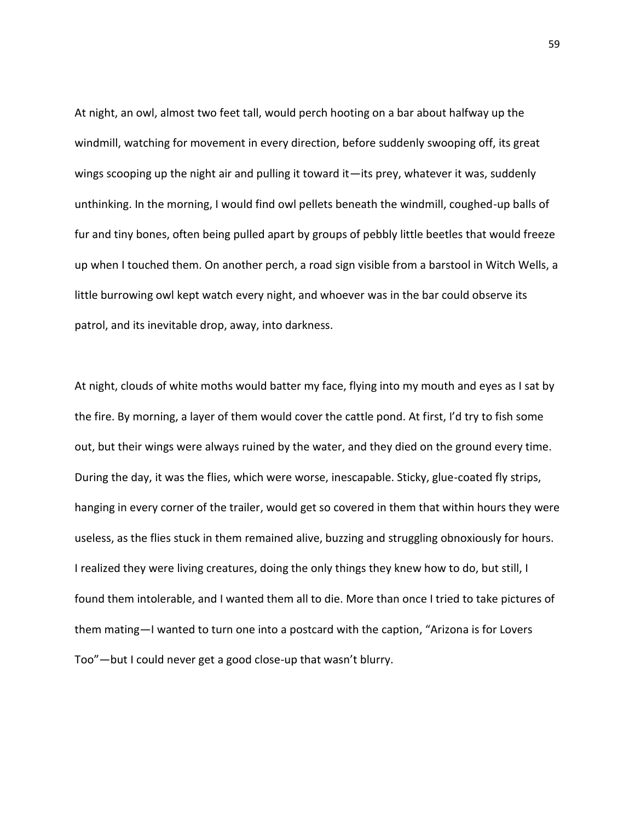At night, an owl, almost two feet tall, would perch hooting on a bar about halfway up the windmill, watching for movement in every direction, before suddenly swooping off, its great wings scooping up the night air and pulling it toward it—its prey, whatever it was, suddenly unthinking. In the morning, I would find owl pellets beneath the windmill, coughed-up balls of fur and tiny bones, often being pulled apart by groups of pebbly little beetles that would freeze up when I touched them. On another perch, a road sign visible from a barstool in Witch Wells, a little burrowing owl kept watch every night, and whoever was in the bar could observe its patrol, and its inevitable drop, away, into darkness.

At night, clouds of white moths would batter my face, flying into my mouth and eyes as I sat by the fire. By morning, a layer of them would cover the cattle pond. At first, I'd try to fish some out, but their wings were always ruined by the water, and they died on the ground every time. During the day, it was the flies, which were worse, inescapable. Sticky, glue-coated fly strips, hanging in every corner of the trailer, would get so covered in them that within hours they were useless, as the flies stuck in them remained alive, buzzing and struggling obnoxiously for hours. I realized they were living creatures, doing the only things they knew how to do, but still, I found them intolerable, and I wanted them all to die. More than once I tried to take pictures of them mating—I wanted to turn one into a postcard with the caption, "Arizona is for Lovers Too"—but I could never get a good close-up that wasn't blurry.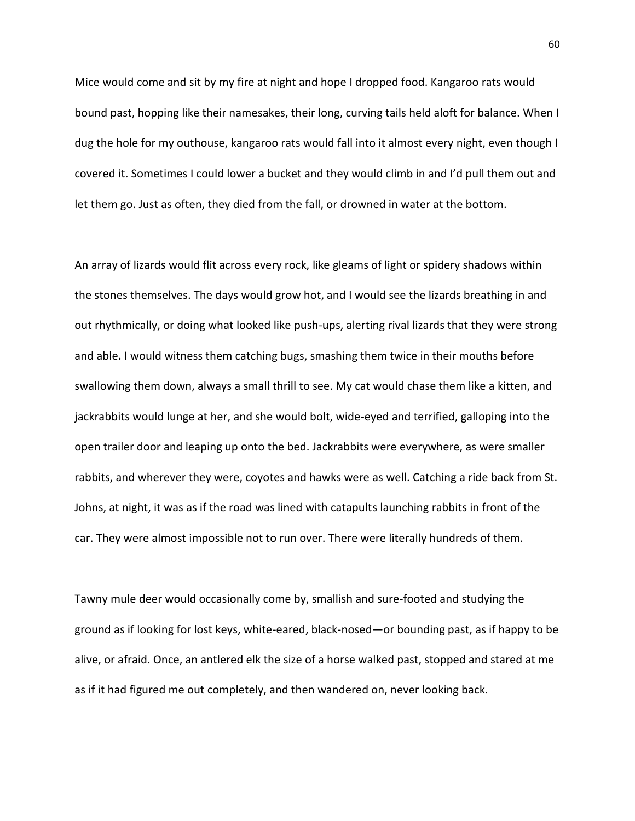Mice would come and sit by my fire at night and hope I dropped food. Kangaroo rats would bound past, hopping like their namesakes, their long, curving tails held aloft for balance. When I dug the hole for my outhouse, kangaroo rats would fall into it almost every night, even though I covered it. Sometimes I could lower a bucket and they would climb in and I'd pull them out and let them go. Just as often, they died from the fall, or drowned in water at the bottom.

An array of lizards would flit across every rock, like gleams of light or spidery shadows within the stones themselves. The days would grow hot, and I would see the lizards breathing in and out rhythmically, or doing what looked like push-ups, alerting rival lizards that they were strong and able**.** I would witness them catching bugs, smashing them twice in their mouths before swallowing them down, always a small thrill to see. My cat would chase them like a kitten, and jackrabbits would lunge at her, and she would bolt, wide-eyed and terrified, galloping into the open trailer door and leaping up onto the bed. Jackrabbits were everywhere, as were smaller rabbits, and wherever they were, coyotes and hawks were as well. Catching a ride back from St. Johns, at night, it was as if the road was lined with catapults launching rabbits in front of the car. They were almost impossible not to run over. There were literally hundreds of them.

Tawny mule deer would occasionally come by, smallish and sure-footed and studying the ground as if looking for lost keys, white-eared, black-nosed—or bounding past, as if happy to be alive, or afraid. Once, an antlered elk the size of a horse walked past, stopped and stared at me as if it had figured me out completely, and then wandered on, never looking back.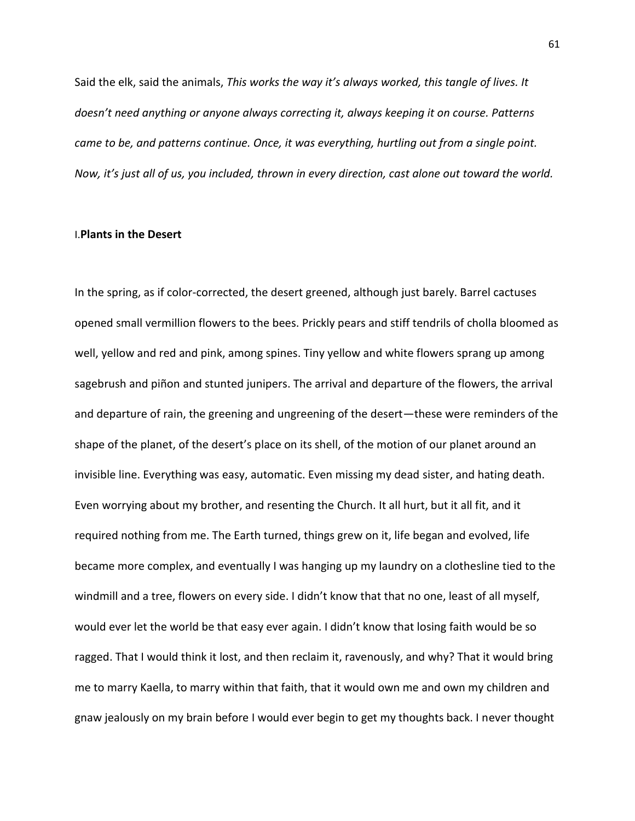Said the elk, said the animals, *This works the way it's always worked, this tangle of lives. It doesn't need anything or anyone always correcting it, always keeping it on course. Patterns came to be, and patterns continue. Once, it was everything, hurtling out from a single point. Now, it's just all of us, you included, thrown in every direction, cast alone out toward the world.* 

## I.**Plants in the Desert**

In the spring, as if color-corrected, the desert greened, although just barely. Barrel cactuses opened small vermillion flowers to the bees. Prickly pears and stiff tendrils of cholla bloomed as well, yellow and red and pink, among spines. Tiny yellow and white flowers sprang up among sagebrush and piñon and stunted junipers. The arrival and departure of the flowers, the arrival and departure of rain, the greening and ungreening of the desert—these were reminders of the shape of the planet, of the desert's place on its shell, of the motion of our planet around an invisible line. Everything was easy, automatic. Even missing my dead sister, and hating death. Even worrying about my brother, and resenting the Church. It all hurt, but it all fit, and it required nothing from me. The Earth turned, things grew on it, life began and evolved, life became more complex, and eventually I was hanging up my laundry on a clothesline tied to the windmill and a tree, flowers on every side. I didn't know that that no one, least of all myself, would ever let the world be that easy ever again. I didn't know that losing faith would be so ragged. That I would think it lost, and then reclaim it, ravenously, and why? That it would bring me to marry Kaella, to marry within that faith, that it would own me and own my children and gnaw jealously on my brain before I would ever begin to get my thoughts back. I never thought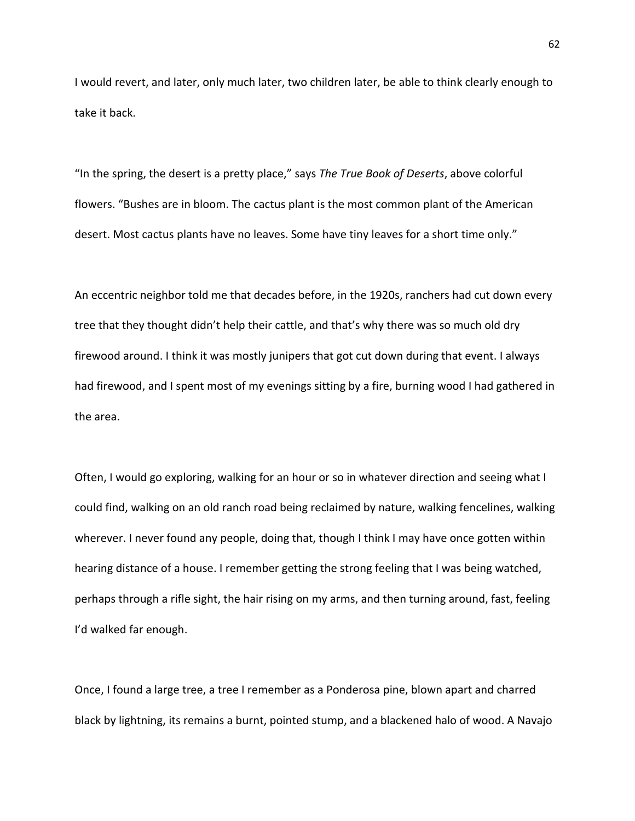I would revert, and later, only much later, two children later, be able to think clearly enough to take it back.

"In the spring, the desert is a pretty place," says *The True Book of Deserts*, above colorful flowers. "Bushes are in bloom. The cactus plant is the most common plant of the American desert. Most cactus plants have no leaves. Some have tiny leaves for a short time only."

An eccentric neighbor told me that decades before, in the 1920s, ranchers had cut down every tree that they thought didn't help their cattle, and that's why there was so much old dry firewood around. I think it was mostly junipers that got cut down during that event. I always had firewood, and I spent most of my evenings sitting by a fire, burning wood I had gathered in the area.

Often, I would go exploring, walking for an hour or so in whatever direction and seeing what I could find, walking on an old ranch road being reclaimed by nature, walking fencelines, walking wherever. I never found any people, doing that, though I think I may have once gotten within hearing distance of a house. I remember getting the strong feeling that I was being watched, perhaps through a rifle sight, the hair rising on my arms, and then turning around, fast, feeling I'd walked far enough.

Once, I found a large tree, a tree I remember as a Ponderosa pine, blown apart and charred black by lightning, its remains a burnt, pointed stump, and a blackened halo of wood. A Navajo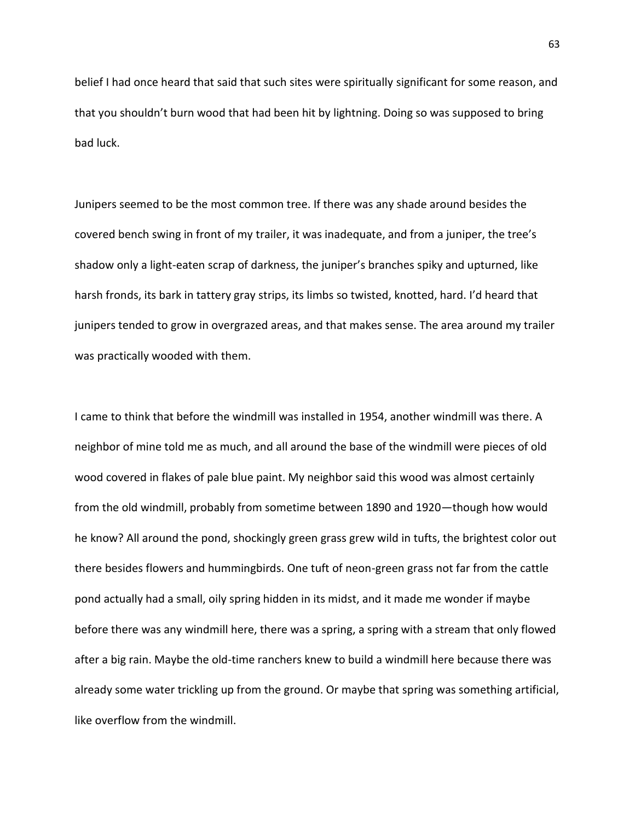belief I had once heard that said that such sites were spiritually significant for some reason, and that you shouldn't burn wood that had been hit by lightning. Doing so was supposed to bring bad luck.

Junipers seemed to be the most common tree. If there was any shade around besides the covered bench swing in front of my trailer, it was inadequate, and from a juniper, the tree's shadow only a light-eaten scrap of darkness, the juniper's branches spiky and upturned, like harsh fronds, its bark in tattery gray strips, its limbs so twisted, knotted, hard. I'd heard that junipers tended to grow in overgrazed areas, and that makes sense. The area around my trailer was practically wooded with them.

I came to think that before the windmill was installed in 1954, another windmill was there. A neighbor of mine told me as much, and all around the base of the windmill were pieces of old wood covered in flakes of pale blue paint. My neighbor said this wood was almost certainly from the old windmill, probably from sometime between 1890 and 1920—though how would he know? All around the pond, shockingly green grass grew wild in tufts, the brightest color out there besides flowers and hummingbirds. One tuft of neon-green grass not far from the cattle pond actually had a small, oily spring hidden in its midst, and it made me wonder if maybe before there was any windmill here, there was a spring, a spring with a stream that only flowed after a big rain. Maybe the old-time ranchers knew to build a windmill here because there was already some water trickling up from the ground. Or maybe that spring was something artificial, like overflow from the windmill.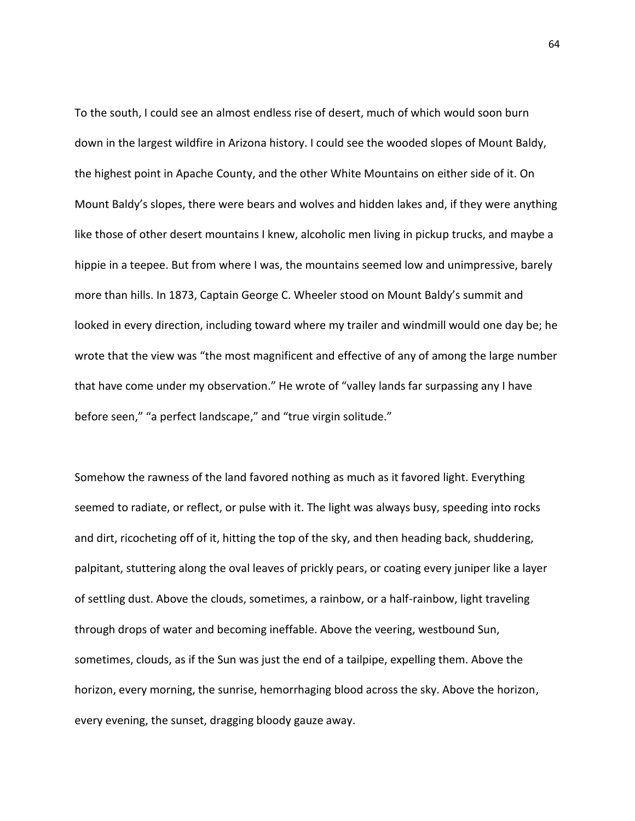To the south, I could see an almost endless rise of desert, much of which would soon burn down in the largest wildfire in Arizona history. I could see the wooded slopes of Mount Baldy, the highest point in Apache County, and the other White Mountains on either side of it. On Mount Baldy's slopes, there were bears and wolves and hidden lakes and, if they were anything like those of other desert mountains I knew, alcoholic men living in pickup trucks, and maybe a hippie in a teepee. But from where I was, the mountains seemed low and unimpressive, barely more than hills. In 1873, Captain George C. Wheeler stood on Mount Baldy's summit and looked in every direction, including toward where my trailer and windmill would one day be; he wrote that the view was "the most magnificent and effective of any of among the large number that have come under my observation." He wrote of "valley lands far surpassing any I have before seen," "a perfect landscape," and "true virgin solitude."

Somehow the rawness of the land favored nothing as much as it favored light. Everything seemed to radiate, or reflect, or pulse with it. The light was always busy, speeding into rocks and dirt, ricocheting off of it, hitting the top of the sky, and then heading back, shuddering, palpitant, stuttering along the oval leaves of prickly pears, or coating every juniper like a layer of settling dust. Above the clouds, sometimes, a rainbow, or a half-rainbow, light traveling through drops of water and becoming ineffable. Above the veering, westbound Sun, sometimes, clouds, as if the Sun was just the end of a tailpipe, expelling them. Above the horizon, every morning, the sunrise, hemorrhaging blood across the sky. Above the horizon, every evening, the sunset, dragging bloody gauze away.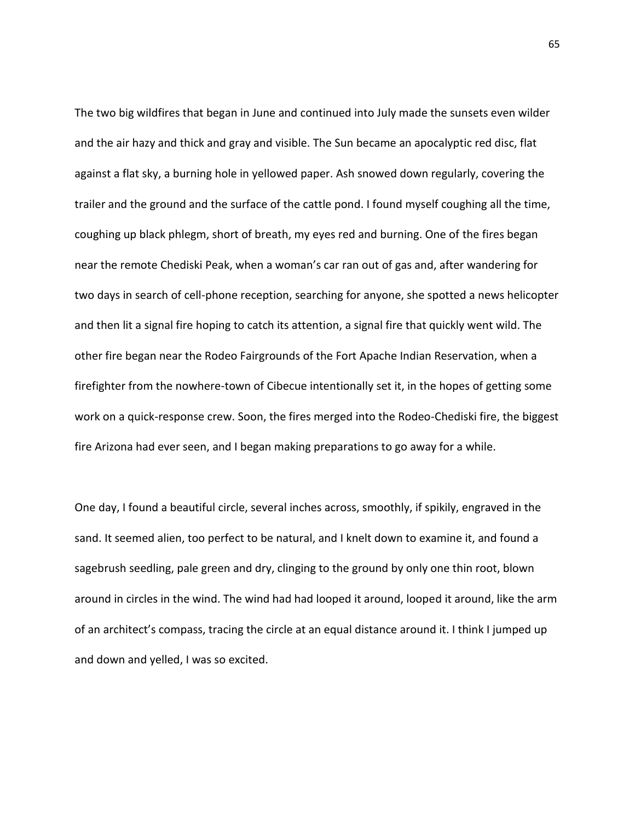The two big wildfires that began in June and continued into July made the sunsets even wilder and the air hazy and thick and gray and visible. The Sun became an apocalyptic red disc, flat against a flat sky, a burning hole in yellowed paper. Ash snowed down regularly, covering the trailer and the ground and the surface of the cattle pond. I found myself coughing all the time, coughing up black phlegm, short of breath, my eyes red and burning. One of the fires began near the remote Chediski Peak, when a woman's car ran out of gas and, after wandering for two days in search of cell-phone reception, searching for anyone, she spotted a news helicopter and then lit a signal fire hoping to catch its attention, a signal fire that quickly went wild. The other fire began near the Rodeo Fairgrounds of the Fort Apache Indian Reservation, when a firefighter from the nowhere-town of Cibecue intentionally set it, in the hopes of getting some work on a quick-response crew. Soon, the fires merged into the Rodeo-Chediski fire, the biggest fire Arizona had ever seen, and I began making preparations to go away for a while.

One day, I found a beautiful circle, several inches across, smoothly, if spikily, engraved in the sand. It seemed alien, too perfect to be natural, and I knelt down to examine it, and found a sagebrush seedling, pale green and dry, clinging to the ground by only one thin root, blown around in circles in the wind. The wind had had looped it around, looped it around, like the arm of an architect's compass, tracing the circle at an equal distance around it. I think I jumped up and down and yelled, I was so excited.

65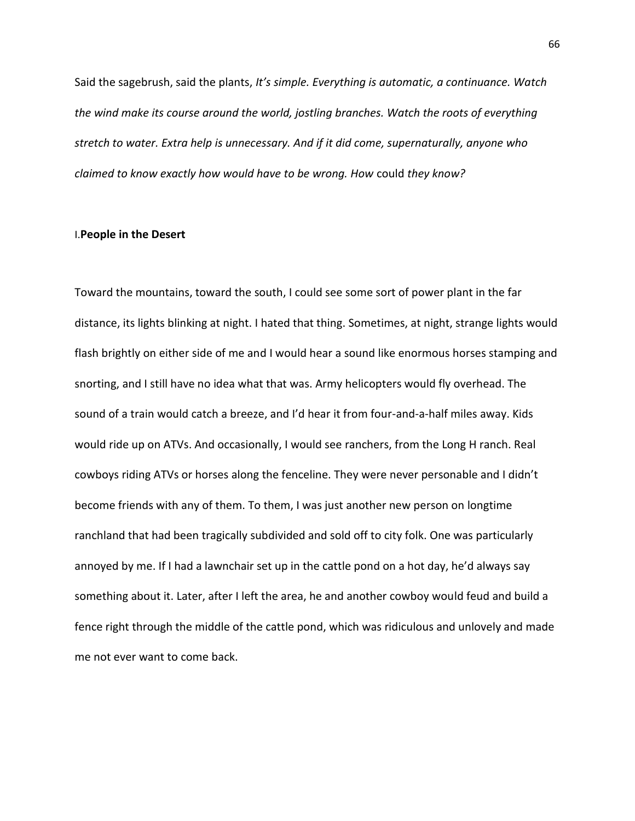Said the sagebrush, said the plants, *It's simple. Everything is automatic, a continuance. Watch the wind make its course around the world, jostling branches. Watch the roots of everything stretch to water. Extra help is unnecessary. And if it did come, supernaturally, anyone who claimed to know exactly how would have to be wrong. How* could *they know?*

# I.**People in the Desert**

Toward the mountains, toward the south, I could see some sort of power plant in the far distance, its lights blinking at night. I hated that thing. Sometimes, at night, strange lights would flash brightly on either side of me and I would hear a sound like enormous horses stamping and snorting, and I still have no idea what that was. Army helicopters would fly overhead. The sound of a train would catch a breeze, and I'd hear it from four-and-a-half miles away. Kids would ride up on ATVs. And occasionally, I would see ranchers, from the Long H ranch. Real cowboys riding ATVs or horses along the fenceline. They were never personable and I didn't become friends with any of them. To them, I was just another new person on longtime ranchland that had been tragically subdivided and sold off to city folk. One was particularly annoyed by me. If I had a lawnchair set up in the cattle pond on a hot day, he'd always say something about it. Later, after I left the area, he and another cowboy would feud and build a fence right through the middle of the cattle pond, which was ridiculous and unlovely and made me not ever want to come back.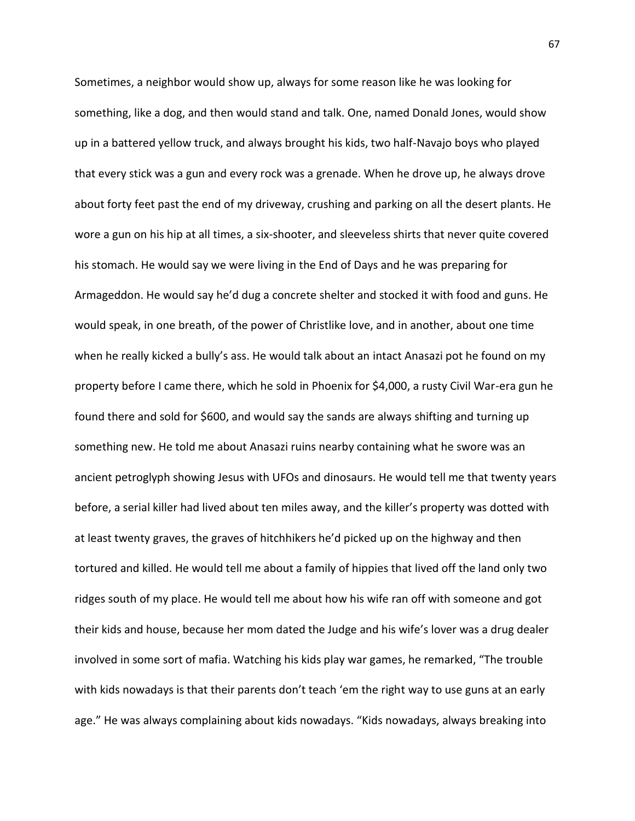Sometimes, a neighbor would show up, always for some reason like he was looking for something, like a dog, and then would stand and talk. One, named Donald Jones, would show up in a battered yellow truck, and always brought his kids, two half-Navajo boys who played that every stick was a gun and every rock was a grenade. When he drove up, he always drove about forty feet past the end of my driveway, crushing and parking on all the desert plants. He wore a gun on his hip at all times, a six-shooter, and sleeveless shirts that never quite covered his stomach. He would say we were living in the End of Days and he was preparing for Armageddon. He would say he'd dug a concrete shelter and stocked it with food and guns. He would speak, in one breath, of the power of Christlike love, and in another, about one time when he really kicked a bully's ass. He would talk about an intact Anasazi pot he found on my property before I came there, which he sold in Phoenix for \$4,000, a rusty Civil War-era gun he found there and sold for \$600, and would say the sands are always shifting and turning up something new. He told me about Anasazi ruins nearby containing what he swore was an ancient petroglyph showing Jesus with UFOs and dinosaurs. He would tell me that twenty years before, a serial killer had lived about ten miles away, and the killer's property was dotted with at least twenty graves, the graves of hitchhikers he'd picked up on the highway and then tortured and killed. He would tell me about a family of hippies that lived off the land only two ridges south of my place. He would tell me about how his wife ran off with someone and got their kids and house, because her mom dated the Judge and his wife's lover was a drug dealer involved in some sort of mafia. Watching his kids play war games, he remarked, "The trouble with kids nowadays is that their parents don't teach 'em the right way to use guns at an early age." He was always complaining about kids nowadays. "Kids nowadays, always breaking into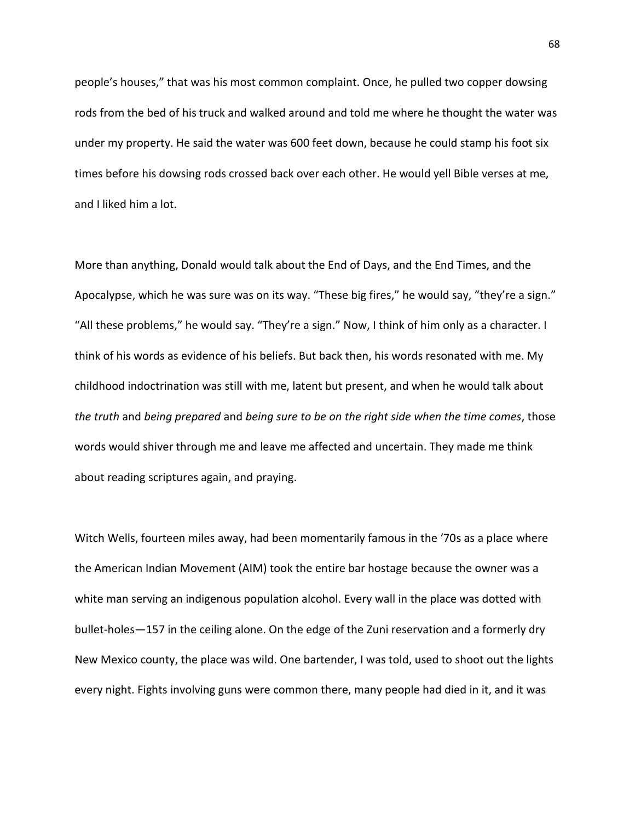people's houses," that was his most common complaint. Once, he pulled two copper dowsing rods from the bed of his truck and walked around and told me where he thought the water was under my property. He said the water was 600 feet down, because he could stamp his foot six times before his dowsing rods crossed back over each other. He would yell Bible verses at me, and I liked him a lot.

More than anything, Donald would talk about the End of Days, and the End Times, and the Apocalypse, which he was sure was on its way. "These big fires," he would say, "they're a sign." "All these problems," he would say. "They're a sign." Now, I think of him only as a character. I think of his words as evidence of his beliefs. But back then, his words resonated with me. My childhood indoctrination was still with me, latent but present, and when he would talk about *the truth* and *being prepared* and *being sure to be on the right side when the time comes*, those words would shiver through me and leave me affected and uncertain. They made me think about reading scriptures again, and praying.

Witch Wells, fourteen miles away, had been momentarily famous in the '70s as a place where the American Indian Movement (AIM) took the entire bar hostage because the owner was a white man serving an indigenous population alcohol. Every wall in the place was dotted with bullet-holes—157 in the ceiling alone. On the edge of the Zuni reservation and a formerly dry New Mexico county, the place was wild. One bartender, I was told, used to shoot out the lights every night. Fights involving guns were common there, many people had died in it, and it was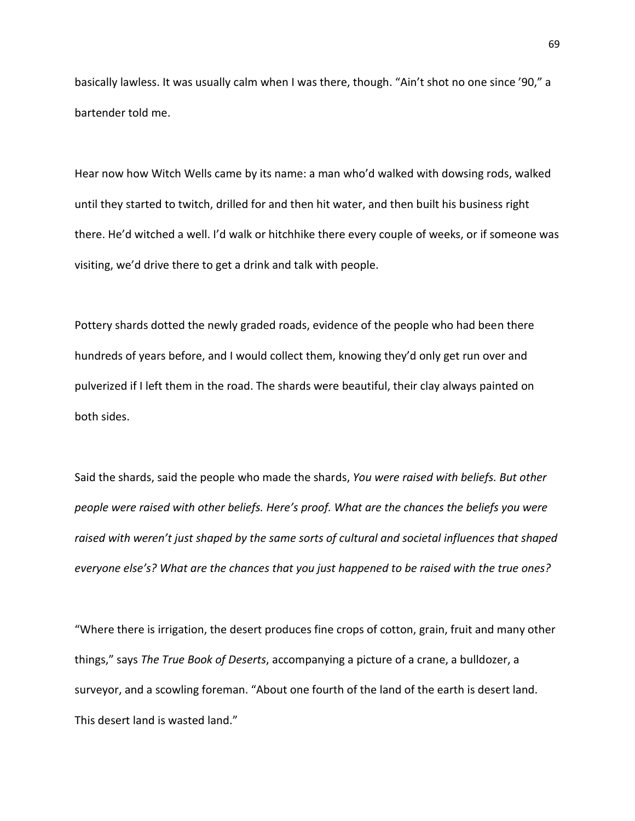basically lawless. It was usually calm when I was there, though. "Ain't shot no one since '90," a bartender told me.

Hear now how Witch Wells came by its name: a man who'd walked with dowsing rods, walked until they started to twitch, drilled for and then hit water, and then built his business right there. He'd witched a well. I'd walk or hitchhike there every couple of weeks, or if someone was visiting, we'd drive there to get a drink and talk with people.

Pottery shards dotted the newly graded roads, evidence of the people who had been there hundreds of years before, and I would collect them, knowing they'd only get run over and pulverized if I left them in the road. The shards were beautiful, their clay always painted on both sides.

Said the shards, said the people who made the shards, *You were raised with beliefs. But other people were raised with other beliefs. Here's proof. What are the chances the beliefs you were raised with weren't just shaped by the same sorts of cultural and societal influences that shaped everyone else's? What are the chances that you just happened to be raised with the true ones?*

"Where there is irrigation, the desert produces fine crops of cotton, grain, fruit and many other things," says *The True Book of Deserts*, accompanying a picture of a crane, a bulldozer, a surveyor, and a scowling foreman. "About one fourth of the land of the earth is desert land. This desert land is wasted land."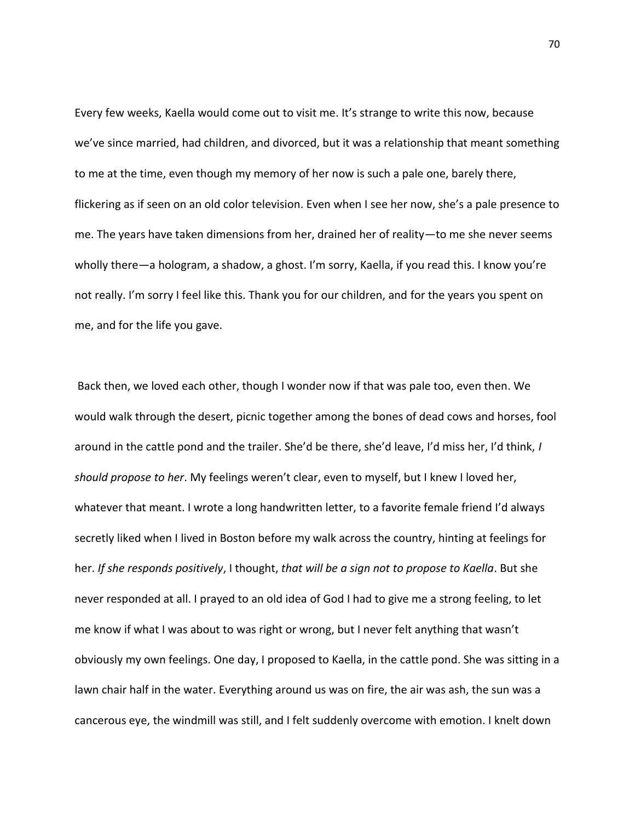Every few weeks, Kaella would come out to visit me. It's strange to write this now, because we've since married, had children, and divorced, but it was a relationship that meant something to me at the time, even though my memory of her now is such a pale one, barely there, flickering as if seen on an old color television. Even when I see her now, she's a pale presence to me. The years have taken dimensions from her, drained her of reality—to me she never seems wholly there—a hologram, a shadow, a ghost. I'm sorry, Kaella, if you read this. I know you're not really. I'm sorry I feel like this. Thank you for our children, and for the years you spent on me, and for the life you gave.

Back then, we loved each other, though I wonder now if that was pale too, even then. We would walk through the desert, picnic together among the bones of dead cows and horses, fool around in the cattle pond and the trailer. She'd be there, she'd leave, I'd miss her, I'd think, *I should propose to her*. My feelings weren't clear, even to myself, but I knew I loved her, whatever that meant. I wrote a long handwritten letter, to a favorite female friend I'd always secretly liked when I lived in Boston before my walk across the country, hinting at feelings for her. *If she responds positively*, I thought, *that will be a sign not to propose to Kaella*. But she never responded at all. I prayed to an old idea of God I had to give me a strong feeling, to let me know if what I was about to was right or wrong, but I never felt anything that wasn't obviously my own feelings. One day, I proposed to Kaella, in the cattle pond. She was sitting in a lawn chair half in the water. Everything around us was on fire, the air was ash, the sun was a cancerous eye, the windmill was still, and I felt suddenly overcome with emotion. I knelt down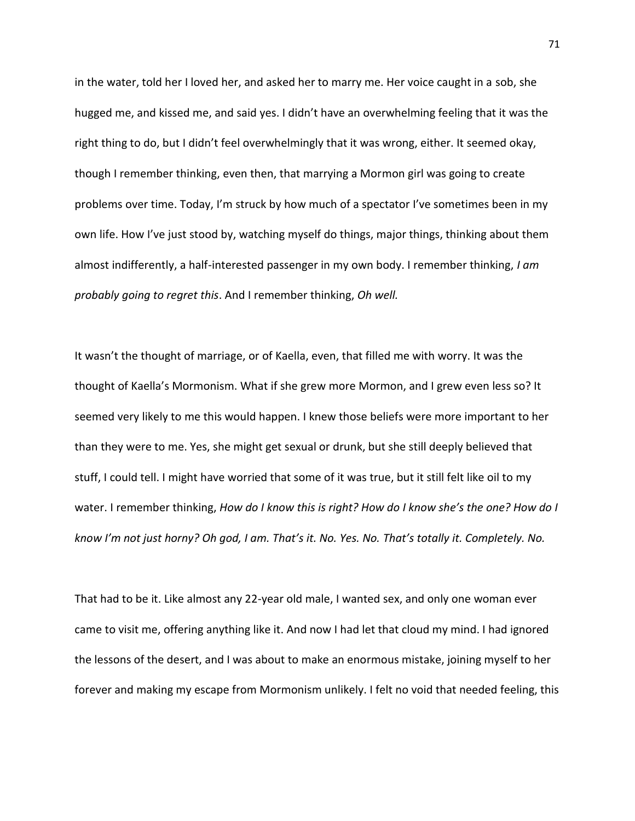in the water, told her I loved her, and asked her to marry me. Her voice caught in a sob, she hugged me, and kissed me, and said yes. I didn't have an overwhelming feeling that it was the right thing to do, but I didn't feel overwhelmingly that it was wrong, either. It seemed okay, though I remember thinking, even then, that marrying a Mormon girl was going to create problems over time. Today, I'm struck by how much of a spectator I've sometimes been in my own life. How I've just stood by, watching myself do things, major things, thinking about them almost indifferently, a half-interested passenger in my own body. I remember thinking, *I am probably going to regret this*. And I remember thinking, *Oh well.*

It wasn't the thought of marriage, or of Kaella, even, that filled me with worry. It was the thought of Kaella's Mormonism. What if she grew more Mormon, and I grew even less so? It seemed very likely to me this would happen. I knew those beliefs were more important to her than they were to me. Yes, she might get sexual or drunk, but she still deeply believed that stuff, I could tell. I might have worried that some of it was true, but it still felt like oil to my water. I remember thinking, *How do I know this is right? How do I know she's the one? How do I know I'm not just horny? Oh god, I am. That's it. No. Yes. No. That's totally it. Completely. No.*

That had to be it. Like almost any 22-year old male, I wanted sex, and only one woman ever came to visit me, offering anything like it. And now I had let that cloud my mind. I had ignored the lessons of the desert, and I was about to make an enormous mistake, joining myself to her forever and making my escape from Mormonism unlikely. I felt no void that needed feeling, this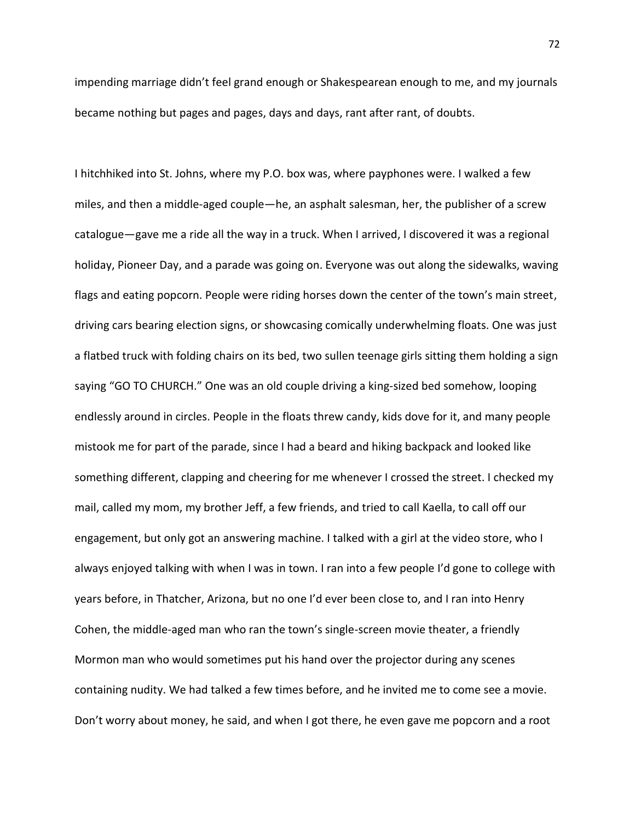impending marriage didn't feel grand enough or Shakespearean enough to me, and my journals became nothing but pages and pages, days and days, rant after rant, of doubts.

I hitchhiked into St. Johns, where my P.O. box was, where payphones were. I walked a few miles, and then a middle-aged couple—he, an asphalt salesman, her, the publisher of a screw catalogue—gave me a ride all the way in a truck. When I arrived, I discovered it was a regional holiday, Pioneer Day, and a parade was going on. Everyone was out along the sidewalks, waving flags and eating popcorn. People were riding horses down the center of the town's main street, driving cars bearing election signs, or showcasing comically underwhelming floats. One was just a flatbed truck with folding chairs on its bed, two sullen teenage girls sitting them holding a sign saying "GO TO CHURCH." One was an old couple driving a king-sized bed somehow, looping endlessly around in circles. People in the floats threw candy, kids dove for it, and many people mistook me for part of the parade, since I had a beard and hiking backpack and looked like something different, clapping and cheering for me whenever I crossed the street. I checked my mail, called my mom, my brother Jeff, a few friends, and tried to call Kaella, to call off our engagement, but only got an answering machine. I talked with a girl at the video store, who I always enjoyed talking with when I was in town. I ran into a few people I'd gone to college with years before, in Thatcher, Arizona, but no one I'd ever been close to, and I ran into Henry Cohen, the middle-aged man who ran the town's single-screen movie theater, a friendly Mormon man who would sometimes put his hand over the projector during any scenes containing nudity. We had talked a few times before, and he invited me to come see a movie. Don't worry about money, he said, and when I got there, he even gave me popcorn and a root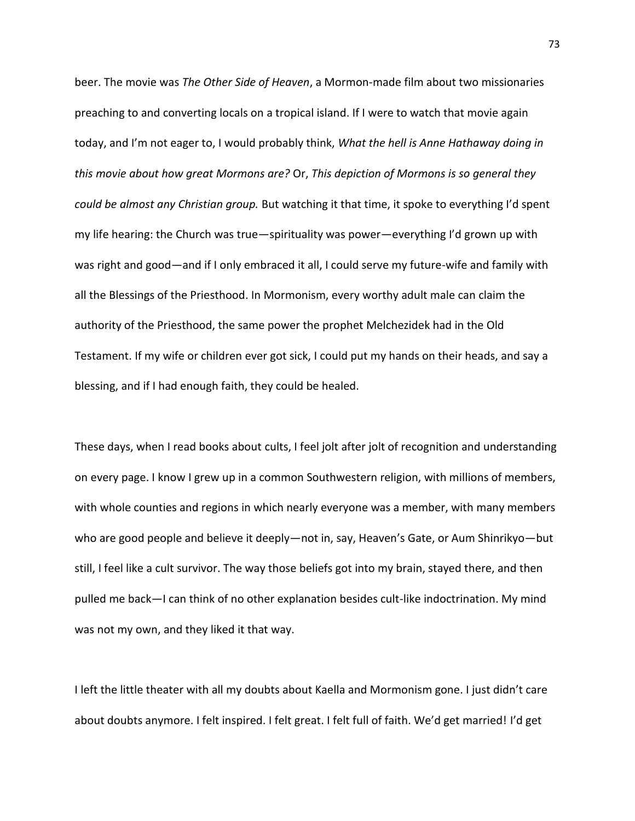beer. The movie was *The Other Side of Heaven*, a Mormon-made film about two missionaries preaching to and converting locals on a tropical island. If I were to watch that movie again today, and I'm not eager to, I would probably think, *What the hell is Anne Hathaway doing in this movie about how great Mormons are?* Or, *This depiction of Mormons is so general they could be almost any Christian group.* But watching it that time, it spoke to everything I'd spent my life hearing: the Church was true—spirituality was power—everything I'd grown up with was right and good—and if I only embraced it all, I could serve my future-wife and family with all the Blessings of the Priesthood. In Mormonism, every worthy adult male can claim the authority of the Priesthood, the same power the prophet Melchezidek had in the Old Testament. If my wife or children ever got sick, I could put my hands on their heads, and say a blessing, and if I had enough faith, they could be healed.

These days, when I read books about cults, I feel jolt after jolt of recognition and understanding on every page. I know I grew up in a common Southwestern religion, with millions of members, with whole counties and regions in which nearly everyone was a member, with many members who are good people and believe it deeply—not in, say, Heaven's Gate, or Aum Shinrikyo—but still, I feel like a cult survivor. The way those beliefs got into my brain, stayed there, and then pulled me back—I can think of no other explanation besides cult-like indoctrination. My mind was not my own, and they liked it that way.

I left the little theater with all my doubts about Kaella and Mormonism gone. I just didn't care about doubts anymore. I felt inspired. I felt great. I felt full of faith. We'd get married! I'd get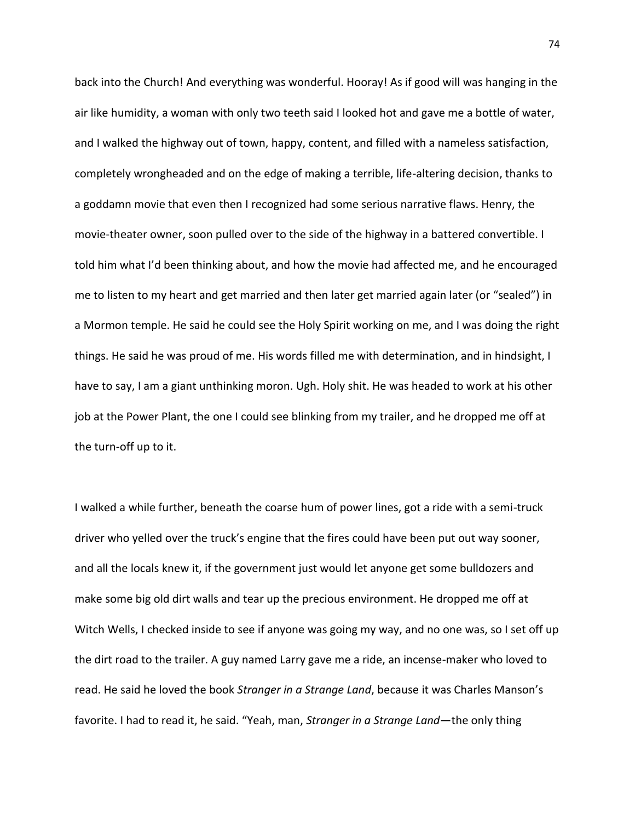back into the Church! And everything was wonderful. Hooray! As if good will was hanging in the air like humidity, a woman with only two teeth said I looked hot and gave me a bottle of water, and I walked the highway out of town, happy, content, and filled with a nameless satisfaction, completely wrongheaded and on the edge of making a terrible, life-altering decision, thanks to a goddamn movie that even then I recognized had some serious narrative flaws. Henry, the movie-theater owner, soon pulled over to the side of the highway in a battered convertible. I told him what I'd been thinking about, and how the movie had affected me, and he encouraged me to listen to my heart and get married and then later get married again later (or "sealed") in a Mormon temple. He said he could see the Holy Spirit working on me, and I was doing the right things. He said he was proud of me. His words filled me with determination, and in hindsight, I have to say, I am a giant unthinking moron. Ugh. Holy shit. He was headed to work at his other job at the Power Plant, the one I could see blinking from my trailer, and he dropped me off at the turn-off up to it.

I walked a while further, beneath the coarse hum of power lines, got a ride with a semi-truck driver who yelled over the truck's engine that the fires could have been put out way sooner, and all the locals knew it, if the government just would let anyone get some bulldozers and make some big old dirt walls and tear up the precious environment. He dropped me off at Witch Wells, I checked inside to see if anyone was going my way, and no one was, so I set off up the dirt road to the trailer. A guy named Larry gave me a ride, an incense-maker who loved to read. He said he loved the book *Stranger in a Strange Land*, because it was Charles Manson's favorite. I had to read it, he said. "Yeah, man, *Stranger in a Strange Land*—the only thing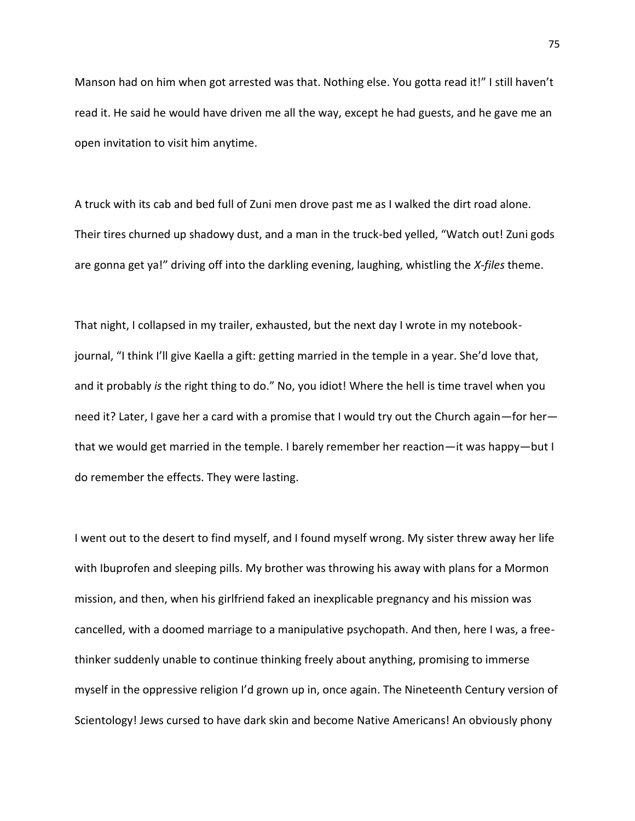Manson had on him when got arrested was that. Nothing else. You gotta read it!" I still haven't read it. He said he would have driven me all the way, except he had guests, and he gave me an open invitation to visit him anytime.

A truck with its cab and bed full of Zuni men drove past me as I walked the dirt road alone. Their tires churned up shadowy dust, and a man in the truck-bed yelled, "Watch out! Zuni gods are gonna get ya!" driving off into the darkling evening, laughing, whistling the *X-files* theme.

That night, I collapsed in my trailer, exhausted, but the next day I wrote in my notebookjournal, "I think I'll give Kaella a gift: getting married in the temple in a year. She'd love that, and it probably *is* the right thing to do." No, you idiot! Where the hell is time travel when you need it? Later, I gave her a card with a promise that I would try out the Church again-for herthat we would get married in the temple. I barely remember her reaction—it was happy—but I do remember the effects. They were lasting.

I went out to the desert to find myself, and I found myself wrong. My sister threw away her life with Ibuprofen and sleeping pills. My brother was throwing his away with plans for a Mormon mission, and then, when his girlfriend faked an inexplicable pregnancy and his mission was cancelled, with a doomed marriage to a manipulative psychopath. And then, here I was, a freethinker suddenly unable to continue thinking freely about anything, promising to immerse myself in the oppressive religion I'd grown up in, once again. The Nineteenth Century version of Scientology! Jews cursed to have dark skin and become Native Americans! An obviously phony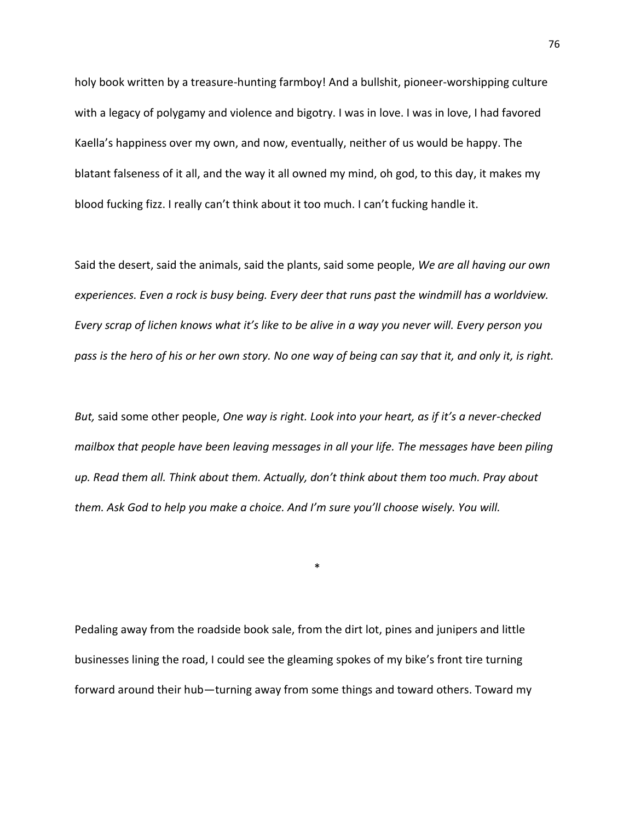holy book written by a treasure-hunting farmboy! And a bullshit, pioneer-worshipping culture with a legacy of polygamy and violence and bigotry. I was in love. I was in love, I had favored Kaella's happiness over my own, and now, eventually, neither of us would be happy. The blatant falseness of it all, and the way it all owned my mind, oh god, to this day, it makes my blood fucking fizz. I really can't think about it too much. I can't fucking handle it.

Said the desert, said the animals, said the plants, said some people, *We are all having our own experiences. Even a rock is busy being. Every deer that runs past the windmill has a worldview. Every scrap of lichen knows what it's like to be alive in a way you never will. Every person you pass is the hero of his or her own story. No one way of being can say that it, and only it, is right.* 

*But,* said some other people, *One way is right. Look into your heart, as if it's a never-checked mailbox that people have been leaving messages in all your life. The messages have been piling up. Read them all. Think about them. Actually, don't think about them too much. Pray about them. Ask God to help you make a choice. And I'm sure you'll choose wisely. You will.* 

\*

Pedaling away from the roadside book sale, from the dirt lot, pines and junipers and little businesses lining the road, I could see the gleaming spokes of my bike's front tire turning forward around their hub—turning away from some things and toward others. Toward my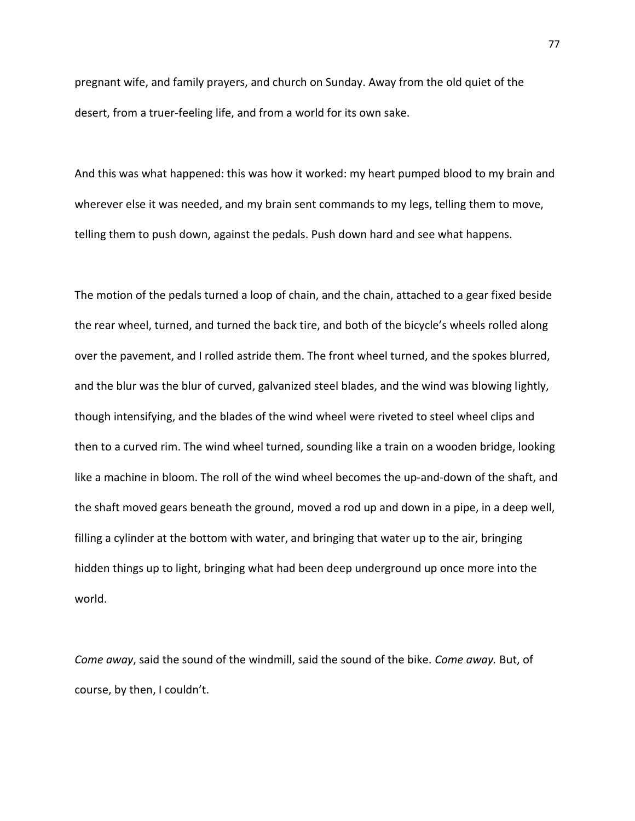pregnant wife, and family prayers, and church on Sunday. Away from the old quiet of the desert, from a truer-feeling life, and from a world for its own sake.

And this was what happened: this was how it worked: my heart pumped blood to my brain and wherever else it was needed, and my brain sent commands to my legs, telling them to move, telling them to push down, against the pedals. Push down hard and see what happens.

The motion of the pedals turned a loop of chain, and the chain, attached to a gear fixed beside the rear wheel, turned, and turned the back tire, and both of the bicycle's wheels rolled along over the pavement, and I rolled astride them. The front wheel turned, and the spokes blurred, and the blur was the blur of curved, galvanized steel blades, and the wind was blowing lightly, though intensifying, and the blades of the wind wheel were riveted to steel wheel clips and then to a curved rim. The wind wheel turned, sounding like a train on a wooden bridge, looking like a machine in bloom. The roll of the wind wheel becomes the up-and-down of the shaft, and the shaft moved gears beneath the ground, moved a rod up and down in a pipe, in a deep well, filling a cylinder at the bottom with water, and bringing that water up to the air, bringing hidden things up to light, bringing what had been deep underground up once more into the world.

*Come away*, said the sound of the windmill, said the sound of the bike. *Come away.* But, of course, by then, I couldn't.

77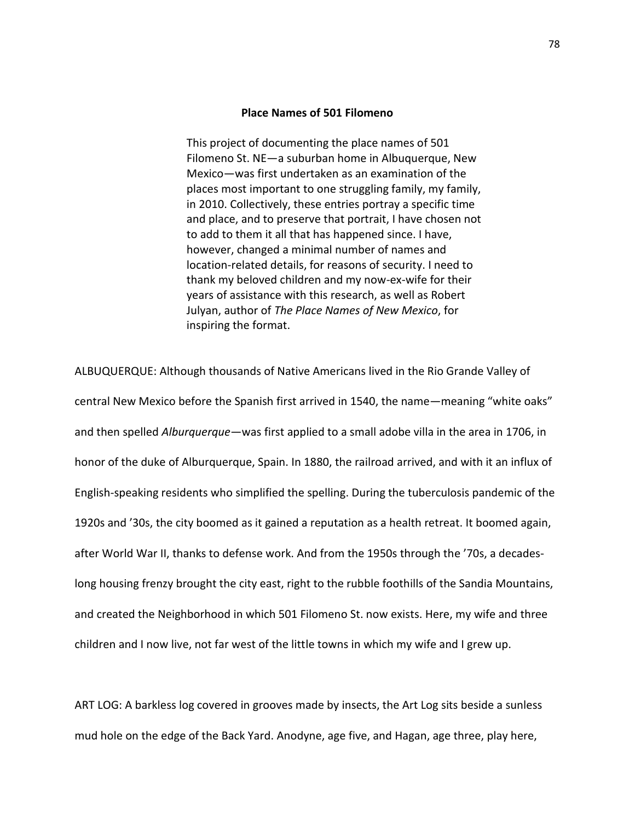## **Place Names of 501 Filomeno**

This project of documenting the place names of 501 Filomeno St. NE—a suburban home in Albuquerque, New Mexico—was first undertaken as an examination of the places most important to one struggling family, my family, in 2010. Collectively, these entries portray a specific time and place, and to preserve that portrait, I have chosen not to add to them it all that has happened since. I have, however, changed a minimal number of names and location-related details, for reasons of security. I need to thank my beloved children and my now-ex-wife for their years of assistance with this research, as well as Robert Julyan, author of *The Place Names of New Mexico*, for inspiring the format.

ALBUQUERQUE: Although thousands of Native Americans lived in the Rio Grande Valley of central New Mexico before the Spanish first arrived in 1540, the name—meaning "white oaks" and then spelled *Alburquerque*—was first applied to a small adobe villa in the area in 1706, in honor of the duke of Alburquerque, Spain. In 1880, the railroad arrived, and with it an influx of English-speaking residents who simplified the spelling. During the tuberculosis pandemic of the 1920s and '30s, the city boomed as it gained a reputation as a health retreat. It boomed again, after World War II, thanks to defense work. And from the 1950s through the '70s, a decadeslong housing frenzy brought the city east, right to the rubble foothills of the Sandia Mountains, and created the Neighborhood in which 501 Filomeno St. now exists. Here, my wife and three children and I now live, not far west of the little towns in which my wife and I grew up.

ART LOG: A barkless log covered in grooves made by insects, the Art Log sits beside a sunless mud hole on the edge of the Back Yard. Anodyne, age five, and Hagan, age three, play here,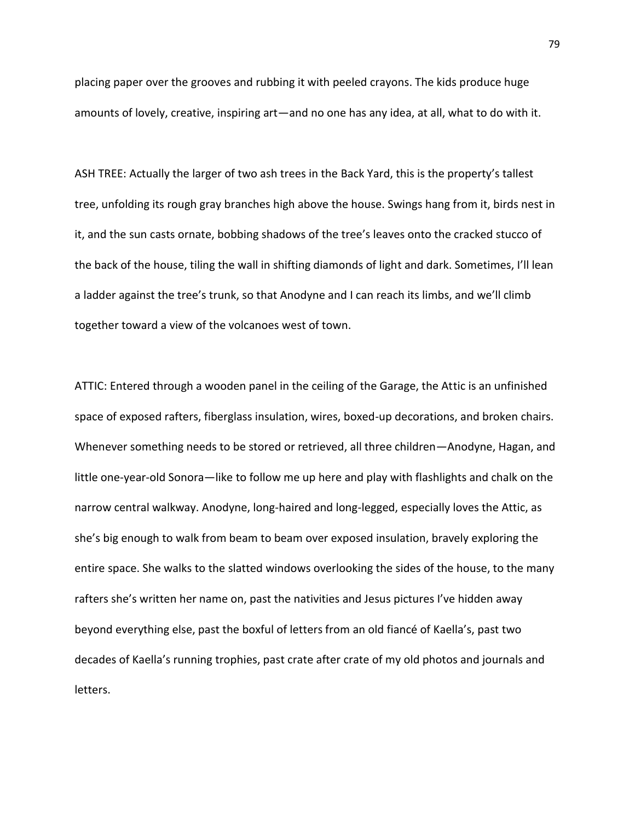placing paper over the grooves and rubbing it with peeled crayons. The kids produce huge amounts of lovely, creative, inspiring art—and no one has any idea, at all, what to do with it.

ASH TREE: Actually the larger of two ash trees in the Back Yard, this is the property's tallest tree, unfolding its rough gray branches high above the house. Swings hang from it, birds nest in it, and the sun casts ornate, bobbing shadows of the tree's leaves onto the cracked stucco of the back of the house, tiling the wall in shifting diamonds of light and dark. Sometimes, I'll lean a ladder against the tree's trunk, so that Anodyne and I can reach its limbs, and we'll climb together toward a view of the volcanoes west of town.

ATTIC: Entered through a wooden panel in the ceiling of the Garage, the Attic is an unfinished space of exposed rafters, fiberglass insulation, wires, boxed-up decorations, and broken chairs. Whenever something needs to be stored or retrieved, all three children—Anodyne, Hagan, and little one-year-old Sonora—like to follow me up here and play with flashlights and chalk on the narrow central walkway. Anodyne, long-haired and long-legged, especially loves the Attic, as she's big enough to walk from beam to beam over exposed insulation, bravely exploring the entire space. She walks to the slatted windows overlooking the sides of the house, to the many rafters she's written her name on, past the nativities and Jesus pictures I've hidden away beyond everything else, past the boxful of letters from an old fiancé of Kaella's, past two decades of Kaella's running trophies, past crate after crate of my old photos and journals and letters.

79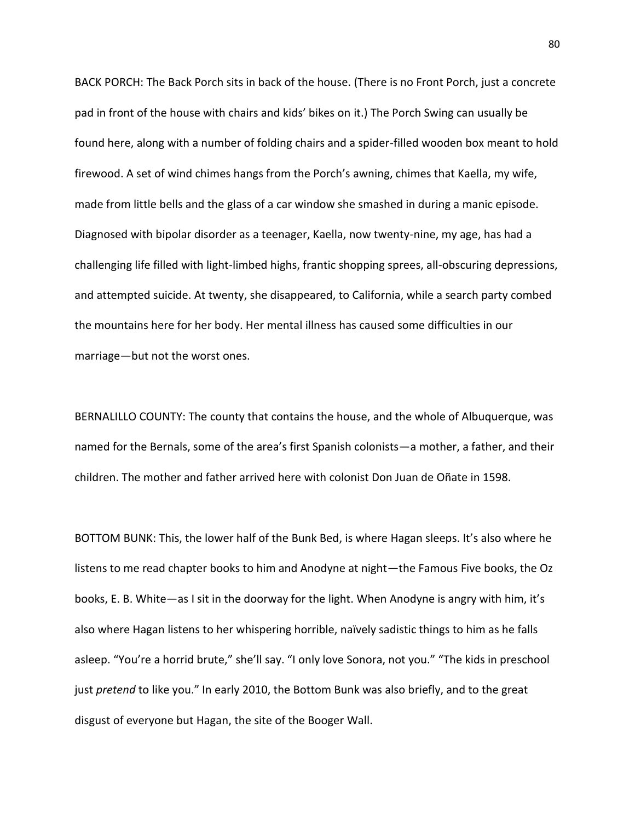BACK PORCH: The Back Porch sits in back of the house. (There is no Front Porch, just a concrete pad in front of the house with chairs and kids' bikes on it.) The Porch Swing can usually be found here, along with a number of folding chairs and a spider-filled wooden box meant to hold firewood. A set of wind chimes hangs from the Porch's awning, chimes that Kaella, my wife, made from little bells and the glass of a car window she smashed in during a manic episode. Diagnosed with bipolar disorder as a teenager, Kaella, now twenty-nine, my age, has had a challenging life filled with light-limbed highs, frantic shopping sprees, all-obscuring depressions, and attempted suicide. At twenty, she disappeared, to California, while a search party combed the mountains here for her body. Her mental illness has caused some difficulties in our marriage—but not the worst ones.

BERNALILLO COUNTY: The county that contains the house, and the whole of Albuquerque, was named for the Bernals, some of the area's first Spanish colonists—a mother, a father, and their children. The mother and father arrived here with colonist Don Juan de Oñate in 1598.

BOTTOM BUNK: This, the lower half of the Bunk Bed, is where Hagan sleeps. It's also where he listens to me read chapter books to him and Anodyne at night—the Famous Five books, the Oz books, E. B. White—as I sit in the doorway for the light. When Anodyne is angry with him, it's also where Hagan listens to her whispering horrible, naïvely sadistic things to him as he falls asleep. "You're a horrid brute," she'll say. "I only love Sonora, not you." "The kids in preschool just *pretend* to like you." In early 2010, the Bottom Bunk was also briefly, and to the great disgust of everyone but Hagan, the site of the Booger Wall.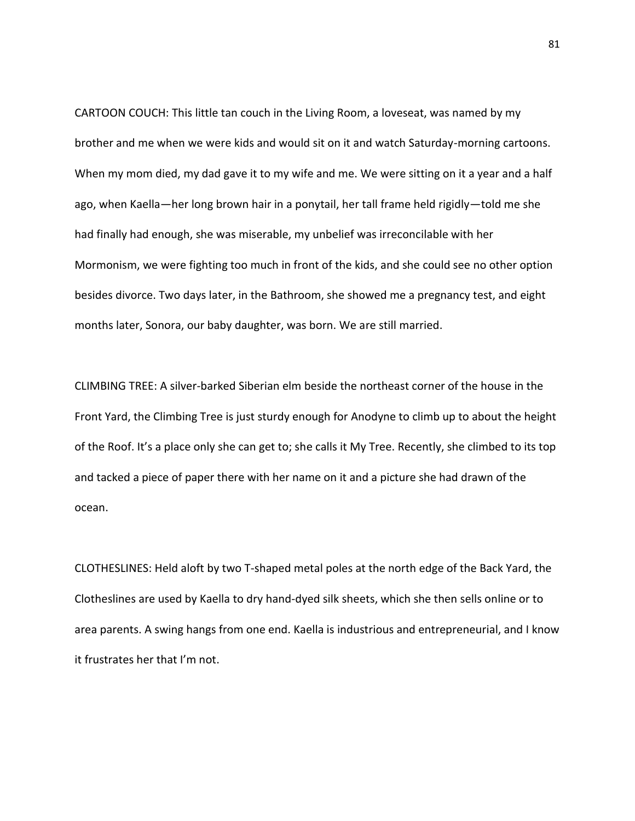CARTOON COUCH: This little tan couch in the Living Room, a loveseat, was named by my brother and me when we were kids and would sit on it and watch Saturday-morning cartoons. When my mom died, my dad gave it to my wife and me. We were sitting on it a year and a half ago, when Kaella—her long brown hair in a ponytail, her tall frame held rigidly—told me she had finally had enough, she was miserable, my unbelief was irreconcilable with her Mormonism, we were fighting too much in front of the kids, and she could see no other option besides divorce. Two days later, in the Bathroom, she showed me a pregnancy test, and eight months later, Sonora, our baby daughter, was born. We are still married.

CLIMBING TREE: A silver-barked Siberian elm beside the northeast corner of the house in the Front Yard, the Climbing Tree is just sturdy enough for Anodyne to climb up to about the height of the Roof. It's a place only she can get to; she calls it My Tree. Recently, she climbed to its top and tacked a piece of paper there with her name on it and a picture she had drawn of the ocean.

CLOTHESLINES: Held aloft by two T-shaped metal poles at the north edge of the Back Yard, the Clotheslines are used by Kaella to dry hand-dyed silk sheets, which she then sells online or to area parents. A swing hangs from one end. Kaella is industrious and entrepreneurial, and I know it frustrates her that I'm not.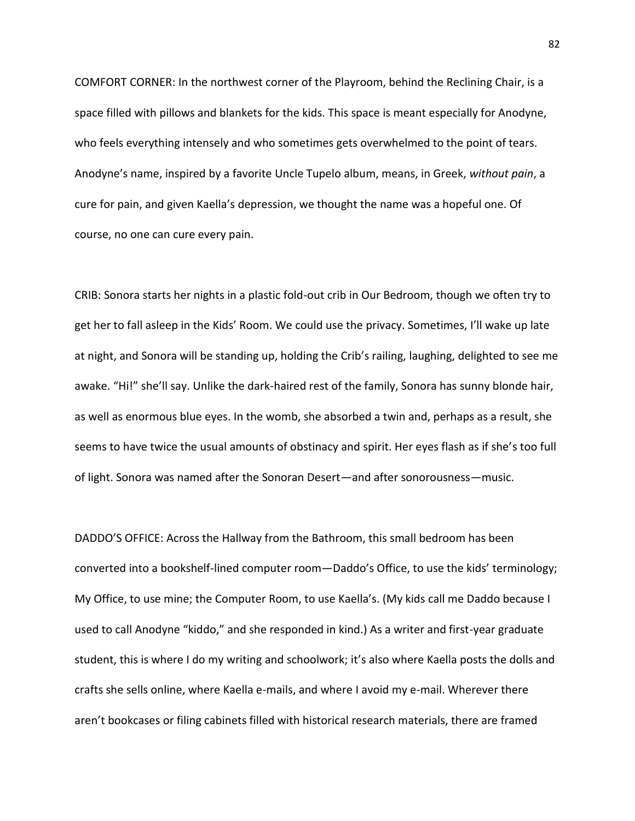COMFORT CORNER: In the northwest corner of the Playroom, behind the Reclining Chair, is a space filled with pillows and blankets for the kids. This space is meant especially for Anodyne, who feels everything intensely and who sometimes gets overwhelmed to the point of tears. Anodyne's name, inspired by a favorite Uncle Tupelo album, means, in Greek, *without pain*, a cure for pain, and given Kaella's depression, we thought the name was a hopeful one. Of course, no one can cure every pain.

CRIB: Sonora starts her nights in a plastic fold-out crib in Our Bedroom, though we often try to get her to fall asleep in the Kids' Room. We could use the privacy. Sometimes, I'll wake up late at night, and Sonora will be standing up, holding the Crib's railing, laughing, delighted to see me awake. "Hi!" she'll say. Unlike the dark-haired rest of the family, Sonora has sunny blonde hair, as well as enormous blue eyes. In the womb, she absorbed a twin and, perhaps as a result, she seems to have twice the usual amounts of obstinacy and spirit. Her eyes flash as if she's too full of light. Sonora was named after the Sonoran Desert—and after sonorousness—music.

DADDO'S OFFICE: Across the Hallway from the Bathroom, this small bedroom has been converted into a bookshelf-lined computer room—Daddo's Office, to use the kids' terminology; My Office, to use mine; the Computer Room, to use Kaella's. (My kids call me Daddo because I used to call Anodyne "kiddo," and she responded in kind.) As a writer and first-year graduate student, this is where I do my writing and schoolwork; it's also where Kaella posts the dolls and crafts she sells online, where Kaella e-mails, and where I avoid my e-mail. Wherever there aren't bookcases or filing cabinets filled with historical research materials, there are framed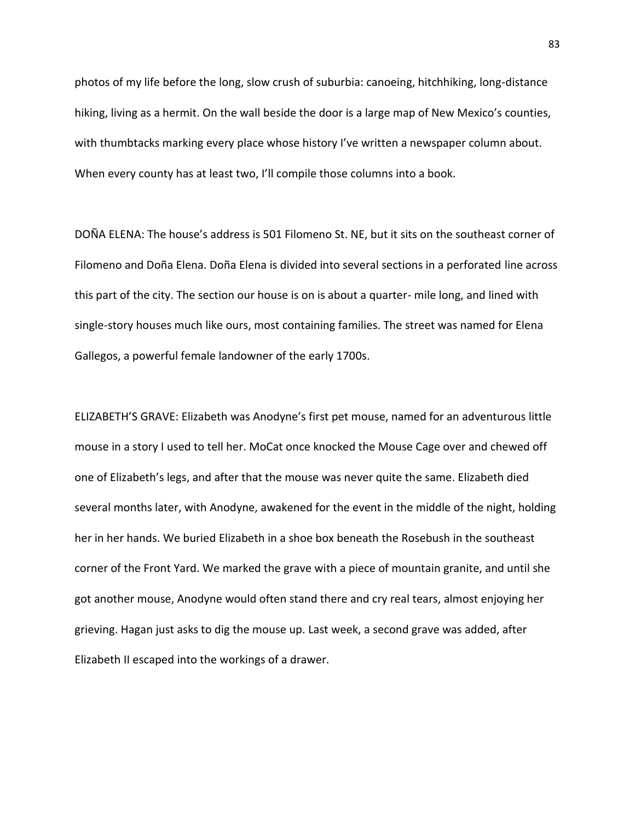photos of my life before the long, slow crush of suburbia: canoeing, hitchhiking, long-distance hiking, living as a hermit. On the wall beside the door is a large map of New Mexico's counties, with thumbtacks marking every place whose history I've written a newspaper column about. When every county has at least two, I'll compile those columns into a book.

DOÑA ELENA: The house's address is 501 Filomeno St. NE, but it sits on the southeast corner of Filomeno and Doña Elena. Doña Elena is divided into several sections in a perforated line across this part of the city. The section our house is on is about a quarter- mile long, and lined with single-story houses much like ours, most containing families. The street was named for Elena Gallegos, a powerful female landowner of the early 1700s.

ELIZABETH'S GRAVE: Elizabeth was Anodyne's first pet mouse, named for an adventurous little mouse in a story I used to tell her. MoCat once knocked the Mouse Cage over and chewed off one of Elizabeth's legs, and after that the mouse was never quite the same. Elizabeth died several months later, with Anodyne, awakened for the event in the middle of the night, holding her in her hands. We buried Elizabeth in a shoe box beneath the Rosebush in the southeast corner of the Front Yard. We marked the grave with a piece of mountain granite, and until she got another mouse, Anodyne would often stand there and cry real tears, almost enjoying her grieving. Hagan just asks to dig the mouse up. Last week, a second grave was added, after Elizabeth II escaped into the workings of a drawer.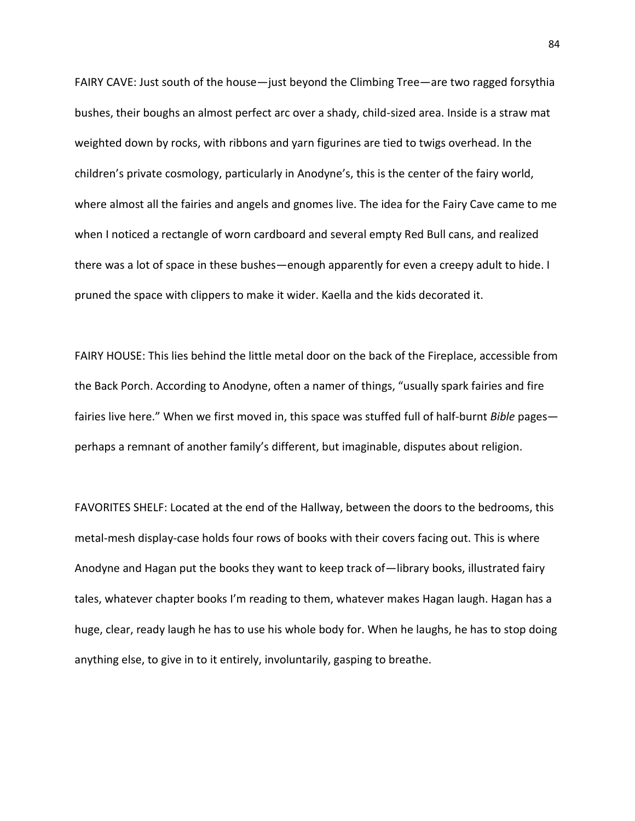FAIRY CAVE: Just south of the house—just beyond the Climbing Tree—are two ragged forsythia bushes, their boughs an almost perfect arc over a shady, child-sized area. Inside is a straw mat weighted down by rocks, with ribbons and yarn figurines are tied to twigs overhead. In the children's private cosmology, particularly in Anodyne's, this is the center of the fairy world, where almost all the fairies and angels and gnomes live. The idea for the Fairy Cave came to me when I noticed a rectangle of worn cardboard and several empty Red Bull cans, and realized there was a lot of space in these bushes—enough apparently for even a creepy adult to hide. I pruned the space with clippers to make it wider. Kaella and the kids decorated it.

FAIRY HOUSE: This lies behind the little metal door on the back of the Fireplace, accessible from the Back Porch. According to Anodyne, often a namer of things, "usually spark fairies and fire fairies live here." When we first moved in, this space was stuffed full of half-burnt *Bible* pages perhaps a remnant of another family's different, but imaginable, disputes about religion.

FAVORITES SHELF: Located at the end of the Hallway, between the doors to the bedrooms, this metal-mesh display-case holds four rows of books with their covers facing out. This is where Anodyne and Hagan put the books they want to keep track of—library books, illustrated fairy tales, whatever chapter books I'm reading to them, whatever makes Hagan laugh. Hagan has a huge, clear, ready laugh he has to use his whole body for. When he laughs, he has to stop doing anything else, to give in to it entirely, involuntarily, gasping to breathe.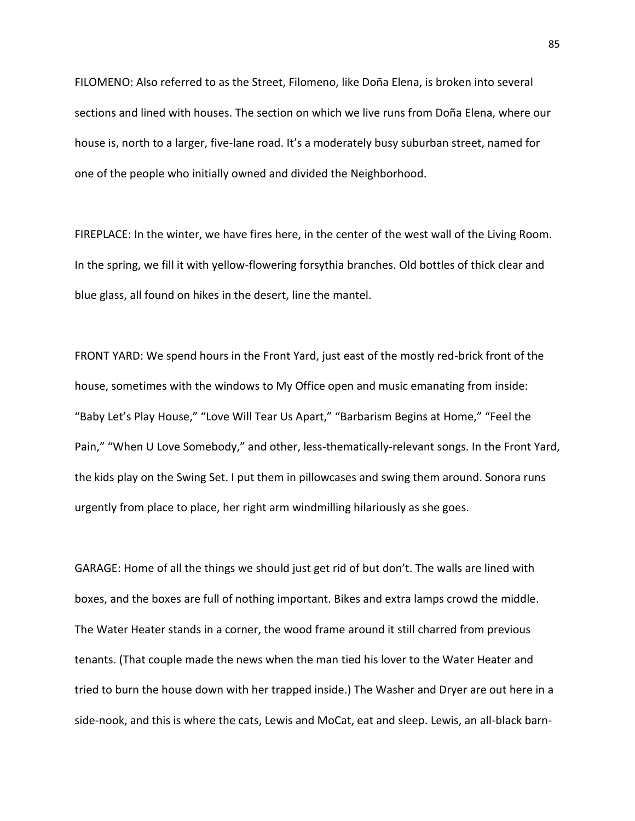FILOMENO: Also referred to as the Street, Filomeno, like Doña Elena, is broken into several sections and lined with houses. The section on which we live runs from Doña Elena, where our house is, north to a larger, five-lane road. It's a moderately busy suburban street, named for one of the people who initially owned and divided the Neighborhood.

FIREPLACE: In the winter, we have fires here, in the center of the west wall of the Living Room. In the spring, we fill it with yellow-flowering forsythia branches. Old bottles of thick clear and blue glass, all found on hikes in the desert, line the mantel.

FRONT YARD: We spend hours in the Front Yard, just east of the mostly red-brick front of the house, sometimes with the windows to My Office open and music emanating from inside: "Baby Let's Play House," "Love Will Tear Us Apart," "Barbarism Begins at Home," "Feel the Pain," "When U Love Somebody," and other, less-thematically-relevant songs. In the Front Yard, the kids play on the Swing Set. I put them in pillowcases and swing them around. Sonora runs urgently from place to place, her right arm windmilling hilariously as she goes.

GARAGE: Home of all the things we should just get rid of but don't. The walls are lined with boxes, and the boxes are full of nothing important. Bikes and extra lamps crowd the middle. The Water Heater stands in a corner, the wood frame around it still charred from previous tenants. (That couple made the news when the man tied his lover to the Water Heater and tried to burn the house down with her trapped inside.) The Washer and Dryer are out here in a side-nook, and this is where the cats, Lewis and MoCat, eat and sleep. Lewis, an all-black barn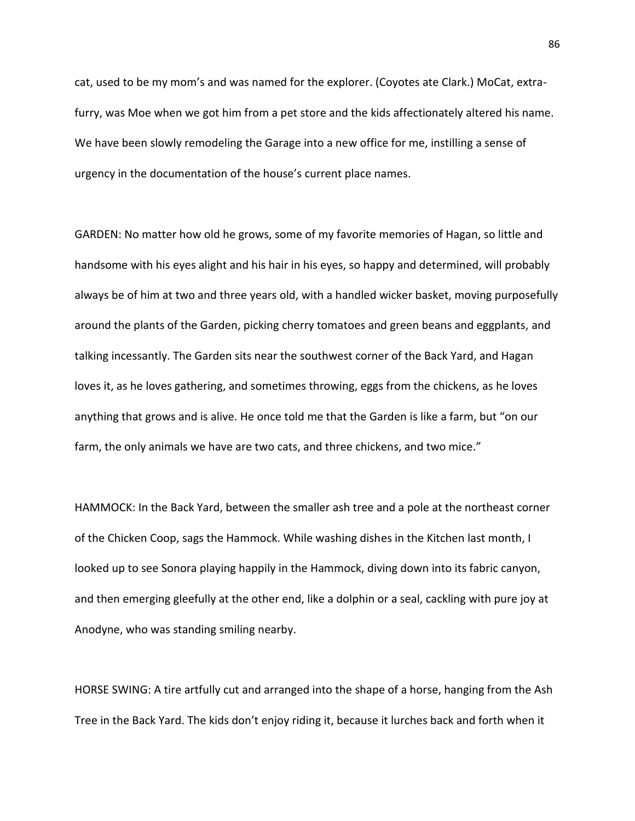cat, used to be my mom's and was named for the explorer. (Coyotes ate Clark.) MoCat, extrafurry, was Moe when we got him from a pet store and the kids affectionately altered his name. We have been slowly remodeling the Garage into a new office for me, instilling a sense of urgency in the documentation of the house's current place names.

GARDEN: No matter how old he grows, some of my favorite memories of Hagan, so little and handsome with his eyes alight and his hair in his eyes, so happy and determined, will probably always be of him at two and three years old, with a handled wicker basket, moving purposefully around the plants of the Garden, picking cherry tomatoes and green beans and eggplants, and talking incessantly. The Garden sits near the southwest corner of the Back Yard, and Hagan loves it, as he loves gathering, and sometimes throwing, eggs from the chickens, as he loves anything that grows and is alive. He once told me that the Garden is like a farm, but "on our farm, the only animals we have are two cats, and three chickens, and two mice."

HAMMOCK: In the Back Yard, between the smaller ash tree and a pole at the northeast corner of the Chicken Coop, sags the Hammock. While washing dishes in the Kitchen last month, I looked up to see Sonora playing happily in the Hammock, diving down into its fabric canyon, and then emerging gleefully at the other end, like a dolphin or a seal, cackling with pure joy at Anodyne, who was standing smiling nearby.

HORSE SWING: A tire artfully cut and arranged into the shape of a horse, hanging from the Ash Tree in the Back Yard. The kids don't enjoy riding it, because it lurches back and forth when it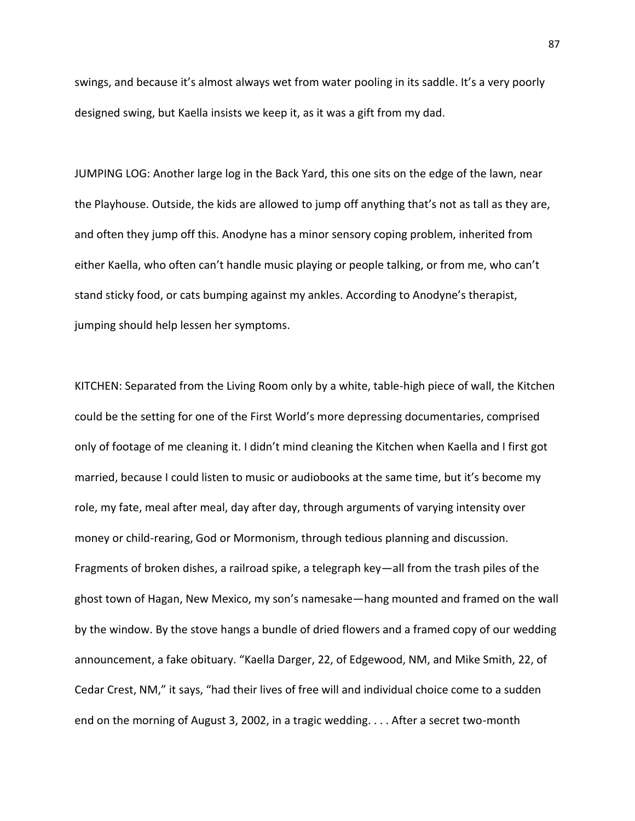swings, and because it's almost always wet from water pooling in its saddle. It's a very poorly designed swing, but Kaella insists we keep it, as it was a gift from my dad.

JUMPING LOG: Another large log in the Back Yard, this one sits on the edge of the lawn, near the Playhouse. Outside, the kids are allowed to jump off anything that's not as tall as they are, and often they jump off this. Anodyne has a minor sensory coping problem, inherited from either Kaella, who often can't handle music playing or people talking, or from me, who can't stand sticky food, or cats bumping against my ankles. According to Anodyne's therapist, jumping should help lessen her symptoms.

KITCHEN: Separated from the Living Room only by a white, table-high piece of wall, the Kitchen could be the setting for one of the First World's more depressing documentaries, comprised only of footage of me cleaning it. I didn't mind cleaning the Kitchen when Kaella and I first got married, because I could listen to music or audiobooks at the same time, but it's become my role, my fate, meal after meal, day after day, through arguments of varying intensity over money or child-rearing, God or Mormonism, through tedious planning and discussion. Fragments of broken dishes, a railroad spike, a telegraph key—all from the trash piles of the ghost town of Hagan, New Mexico, my son's namesake—hang mounted and framed on the wall by the window. By the stove hangs a bundle of dried flowers and a framed copy of our wedding announcement, a fake obituary. "Kaella Darger, 22, of Edgewood, NM, and Mike Smith, 22, of Cedar Crest, NM," it says, "had their lives of free will and individual choice come to a sudden end on the morning of August 3, 2002, in a tragic wedding. . . . After a secret two-month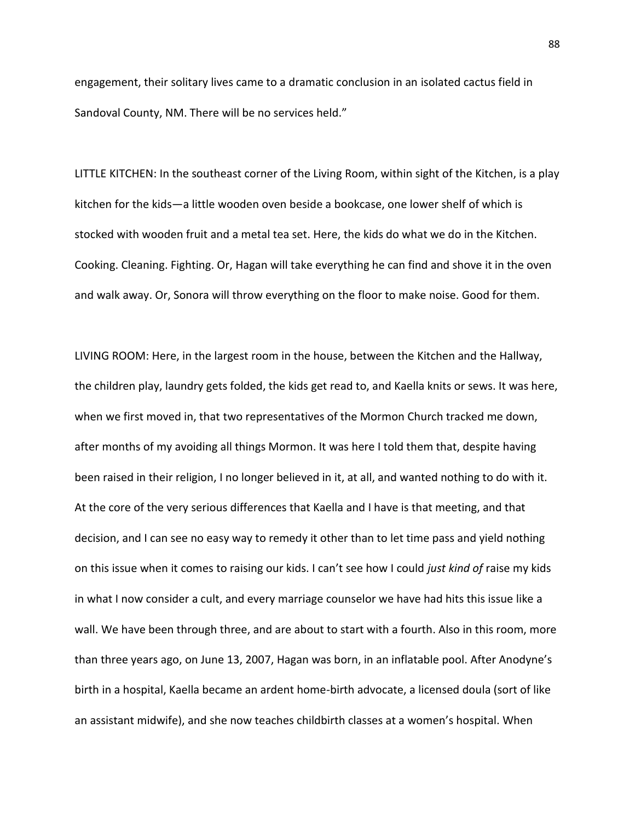engagement, their solitary lives came to a dramatic conclusion in an isolated cactus field in Sandoval County, NM. There will be no services held."

LITTLE KITCHEN: In the southeast corner of the Living Room, within sight of the Kitchen, is a play kitchen for the kids—a little wooden oven beside a bookcase, one lower shelf of which is stocked with wooden fruit and a metal tea set. Here, the kids do what we do in the Kitchen. Cooking. Cleaning. Fighting. Or, Hagan will take everything he can find and shove it in the oven and walk away. Or, Sonora will throw everything on the floor to make noise. Good for them.

LIVING ROOM: Here, in the largest room in the house, between the Kitchen and the Hallway, the children play, laundry gets folded, the kids get read to, and Kaella knits or sews. It was here, when we first moved in, that two representatives of the Mormon Church tracked me down, after months of my avoiding all things Mormon. It was here I told them that, despite having been raised in their religion, I no longer believed in it, at all, and wanted nothing to do with it. At the core of the very serious differences that Kaella and I have is that meeting, and that decision, and I can see no easy way to remedy it other than to let time pass and yield nothing on this issue when it comes to raising our kids. I can't see how I could *just kind of* raise my kids in what I now consider a cult, and every marriage counselor we have had hits this issue like a wall. We have been through three, and are about to start with a fourth. Also in this room, more than three years ago, on June 13, 2007, Hagan was born, in an inflatable pool. After Anodyne's birth in a hospital, Kaella became an ardent home-birth advocate, a licensed doula (sort of like an assistant midwife), and she now teaches childbirth classes at a women's hospital. When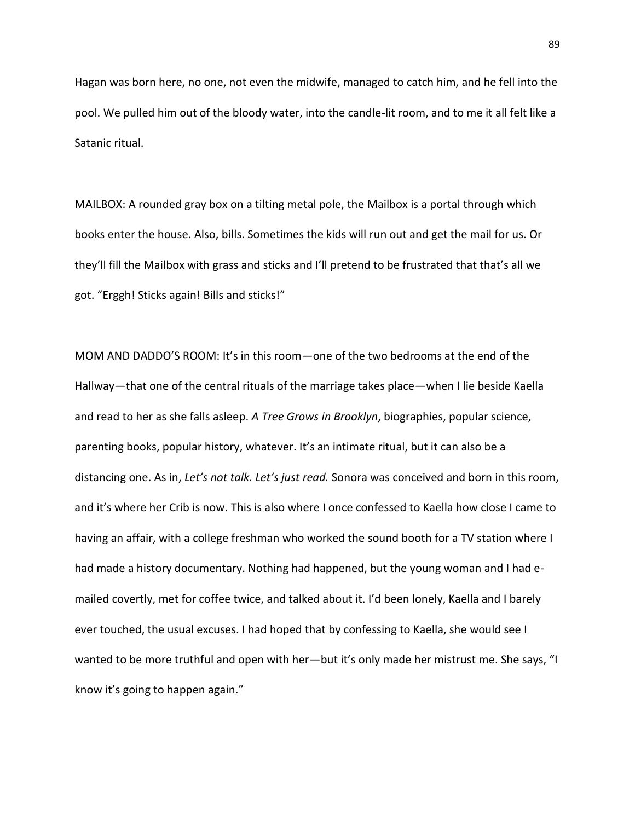Hagan was born here, no one, not even the midwife, managed to catch him, and he fell into the pool. We pulled him out of the bloody water, into the candle-lit room, and to me it all felt like a Satanic ritual.

MAILBOX: A rounded gray box on a tilting metal pole, the Mailbox is a portal through which books enter the house. Also, bills. Sometimes the kids will run out and get the mail for us. Or they'll fill the Mailbox with grass and sticks and I'll pretend to be frustrated that that's all we got. "Erggh! Sticks again! Bills and sticks!"

MOM AND DADDO'S ROOM: It's in this room—one of the two bedrooms at the end of the Hallway—that one of the central rituals of the marriage takes place—when I lie beside Kaella and read to her as she falls asleep. *A Tree Grows in Brooklyn*, biographies, popular science, parenting books, popular history, whatever. It's an intimate ritual, but it can also be a distancing one. As in, *Let's not talk. Let's just read.* Sonora was conceived and born in this room, and it's where her Crib is now. This is also where I once confessed to Kaella how close I came to having an affair, with a college freshman who worked the sound booth for a TV station where I had made a history documentary. Nothing had happened, but the young woman and I had emailed covertly, met for coffee twice, and talked about it. I'd been lonely, Kaella and I barely ever touched, the usual excuses. I had hoped that by confessing to Kaella, she would see I wanted to be more truthful and open with her—but it's only made her mistrust me. She says, "I know it's going to happen again."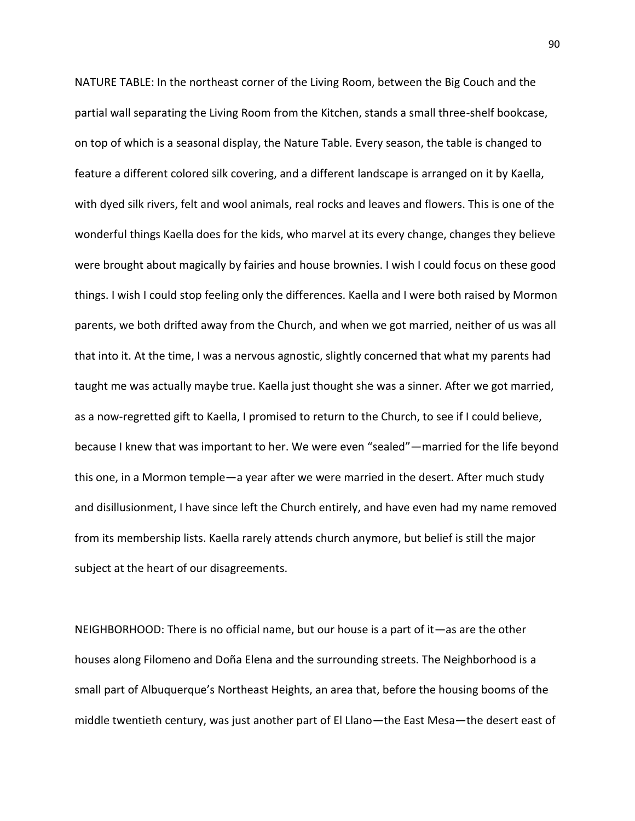NATURE TABLE: In the northeast corner of the Living Room, between the Big Couch and the partial wall separating the Living Room from the Kitchen, stands a small three-shelf bookcase, on top of which is a seasonal display, the Nature Table. Every season, the table is changed to feature a different colored silk covering, and a different landscape is arranged on it by Kaella, with dyed silk rivers, felt and wool animals, real rocks and leaves and flowers. This is one of the wonderful things Kaella does for the kids, who marvel at its every change, changes they believe were brought about magically by fairies and house brownies. I wish I could focus on these good things. I wish I could stop feeling only the differences. Kaella and I were both raised by Mormon parents, we both drifted away from the Church, and when we got married, neither of us was all that into it. At the time, I was a nervous agnostic, slightly concerned that what my parents had taught me was actually maybe true. Kaella just thought she was a sinner. After we got married, as a now-regretted gift to Kaella, I promised to return to the Church, to see if I could believe, because I knew that was important to her. We were even "sealed"—married for the life beyond this one, in a Mormon temple—a year after we were married in the desert. After much study and disillusionment, I have since left the Church entirely, and have even had my name removed from its membership lists. Kaella rarely attends church anymore, but belief is still the major subject at the heart of our disagreements.

NEIGHBORHOOD: There is no official name, but our house is a part of it—as are the other houses along Filomeno and Doña Elena and the surrounding streets. The Neighborhood is a small part of Albuquerque's Northeast Heights, an area that, before the housing booms of the middle twentieth century, was just another part of El Llano—the East Mesa—the desert east of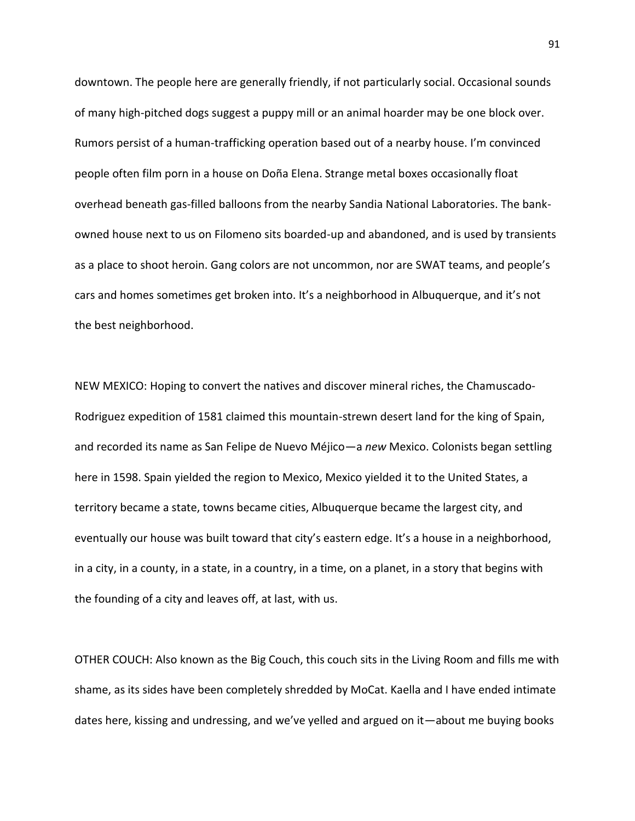downtown. The people here are generally friendly, if not particularly social. Occasional sounds of many high-pitched dogs suggest a puppy mill or an animal hoarder may be one block over. Rumors persist of a human-trafficking operation based out of a nearby house. I'm convinced people often film porn in a house on Doña Elena. Strange metal boxes occasionally float overhead beneath gas-filled balloons from the nearby Sandia National Laboratories. The bankowned house next to us on Filomeno sits boarded-up and abandoned, and is used by transients as a place to shoot heroin. Gang colors are not uncommon, nor are SWAT teams, and people's cars and homes sometimes get broken into. It's a neighborhood in Albuquerque, and it's not the best neighborhood.

NEW MEXICO: Hoping to convert the natives and discover mineral riches, the Chamuscado-Rodriguez expedition of 1581 claimed this mountain-strewn desert land for the king of Spain, and recorded its name as San Felipe de Nuevo Méjico—a *new* Mexico. Colonists began settling here in 1598. Spain yielded the region to Mexico, Mexico yielded it to the United States, a territory became a state, towns became cities, Albuquerque became the largest city, and eventually our house was built toward that city's eastern edge. It's a house in a neighborhood, in a city, in a county, in a state, in a country, in a time, on a planet, in a story that begins with the founding of a city and leaves off, at last, with us.

OTHER COUCH: Also known as the Big Couch, this couch sits in the Living Room and fills me with shame, as its sides have been completely shredded by MoCat. Kaella and I have ended intimate dates here, kissing and undressing, and we've yelled and argued on it—about me buying books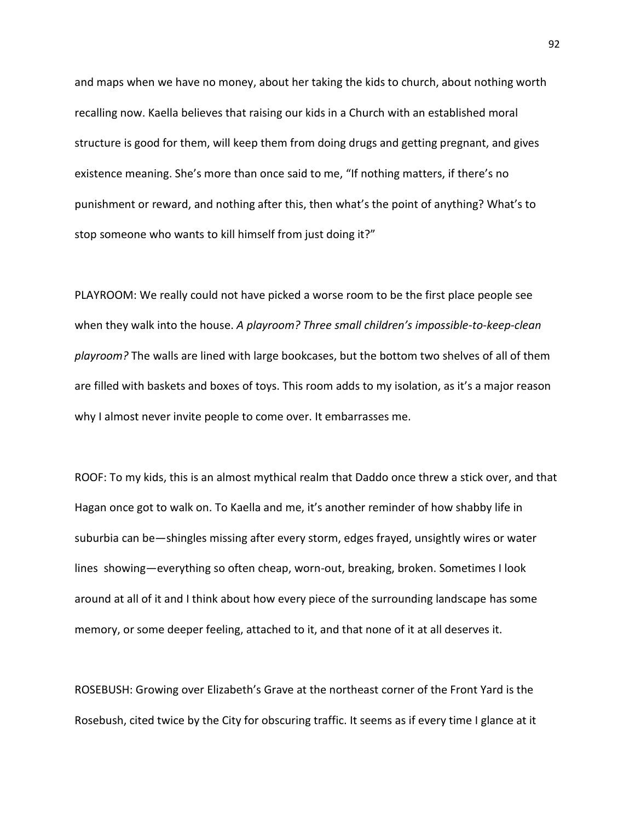and maps when we have no money, about her taking the kids to church, about nothing worth recalling now. Kaella believes that raising our kids in a Church with an established moral structure is good for them, will keep them from doing drugs and getting pregnant, and gives existence meaning. She's more than once said to me, "If nothing matters, if there's no punishment or reward, and nothing after this, then what's the point of anything? What's to stop someone who wants to kill himself from just doing it?"

PLAYROOM: We really could not have picked a worse room to be the first place people see when they walk into the house. *A playroom? Three small children's impossible-to-keep-clean playroom?* The walls are lined with large bookcases, but the bottom two shelves of all of them are filled with baskets and boxes of toys. This room adds to my isolation, as it's a major reason why I almost never invite people to come over. It embarrasses me.

ROOF: To my kids, this is an almost mythical realm that Daddo once threw a stick over, and that Hagan once got to walk on. To Kaella and me, it's another reminder of how shabby life in suburbia can be—shingles missing after every storm, edges frayed, unsightly wires or water lines showing—everything so often cheap, worn-out, breaking, broken. Sometimes I look around at all of it and I think about how every piece of the surrounding landscape has some memory, or some deeper feeling, attached to it, and that none of it at all deserves it.

ROSEBUSH: Growing over Elizabeth's Grave at the northeast corner of the Front Yard is the Rosebush, cited twice by the City for obscuring traffic. It seems as if every time I glance at it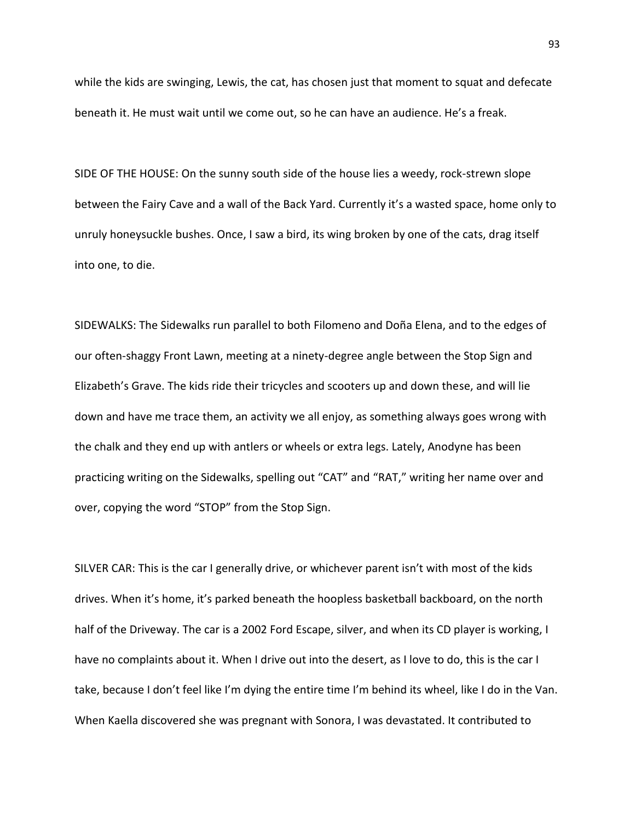while the kids are swinging, Lewis, the cat, has chosen just that moment to squat and defecate beneath it. He must wait until we come out, so he can have an audience. He's a freak.

SIDE OF THE HOUSE: On the sunny south side of the house lies a weedy, rock-strewn slope between the Fairy Cave and a wall of the Back Yard. Currently it's a wasted space, home only to unruly honeysuckle bushes. Once, I saw a bird, its wing broken by one of the cats, drag itself into one, to die.

SIDEWALKS: The Sidewalks run parallel to both Filomeno and Doña Elena, and to the edges of our often-shaggy Front Lawn, meeting at a ninety-degree angle between the Stop Sign and Elizabeth's Grave. The kids ride their tricycles and scooters up and down these, and will lie down and have me trace them, an activity we all enjoy, as something always goes wrong with the chalk and they end up with antlers or wheels or extra legs. Lately, Anodyne has been practicing writing on the Sidewalks, spelling out "CAT" and "RAT," writing her name over and over, copying the word "STOP" from the Stop Sign.

SILVER CAR: This is the car I generally drive, or whichever parent isn't with most of the kids drives. When it's home, it's parked beneath the hoopless basketball backboard, on the north half of the Driveway. The car is a 2002 Ford Escape, silver, and when its CD player is working, I have no complaints about it. When I drive out into the desert, as I love to do, this is the car I take, because I don't feel like I'm dying the entire time I'm behind its wheel, like I do in the Van. When Kaella discovered she was pregnant with Sonora, I was devastated. It contributed to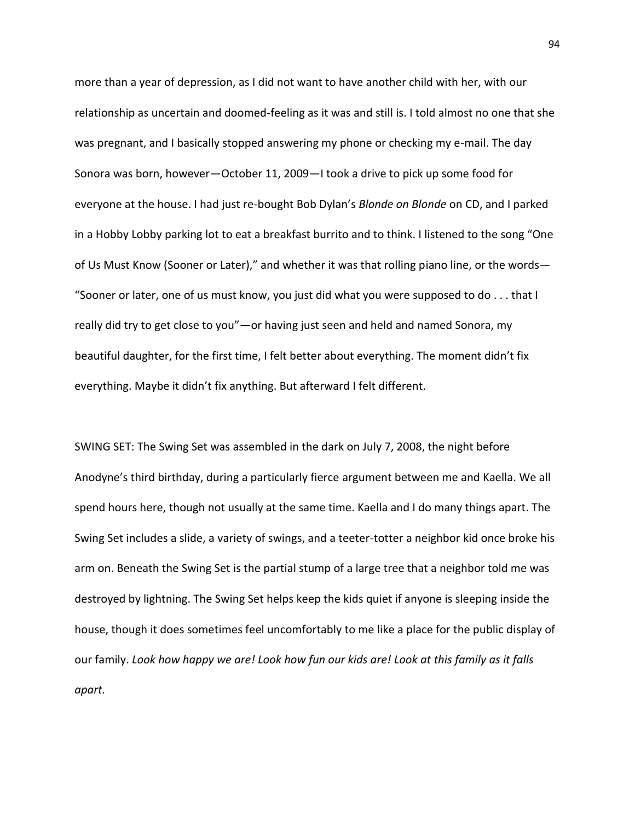more than a year of depression, as I did not want to have another child with her, with our relationship as uncertain and doomed-feeling as it was and still is. I told almost no one that she was pregnant, and I basically stopped answering my phone or checking my e-mail. The day Sonora was born, however—October 11, 2009—I took a drive to pick up some food for everyone at the house. I had just re-bought Bob Dylan's *Blonde on Blonde* on CD, and I parked in a Hobby Lobby parking lot to eat a breakfast burrito and to think. I listened to the song "One of Us Must Know (Sooner or Later)," and whether it was that rolling piano line, or the words— "Sooner or later, one of us must know, you just did what you were supposed to do . . . that I really did try to get close to you"—or having just seen and held and named Sonora, my beautiful daughter, for the first time, I felt better about everything. The moment didn't fix everything. Maybe it didn't fix anything. But afterward I felt different.

SWING SET: The Swing Set was assembled in the dark on July 7, 2008, the night before Anodyne's third birthday, during a particularly fierce argument between me and Kaella. We all spend hours here, though not usually at the same time. Kaella and I do many things apart. The Swing Set includes a slide, a variety of swings, and a teeter-totter a neighbor kid once broke his arm on. Beneath the Swing Set is the partial stump of a large tree that a neighbor told me was destroyed by lightning. The Swing Set helps keep the kids quiet if anyone is sleeping inside the house, though it does sometimes feel uncomfortably to me like a place for the public display of our family. *Look how happy we are! Look how fun our kids are! Look at this family as it falls apart.*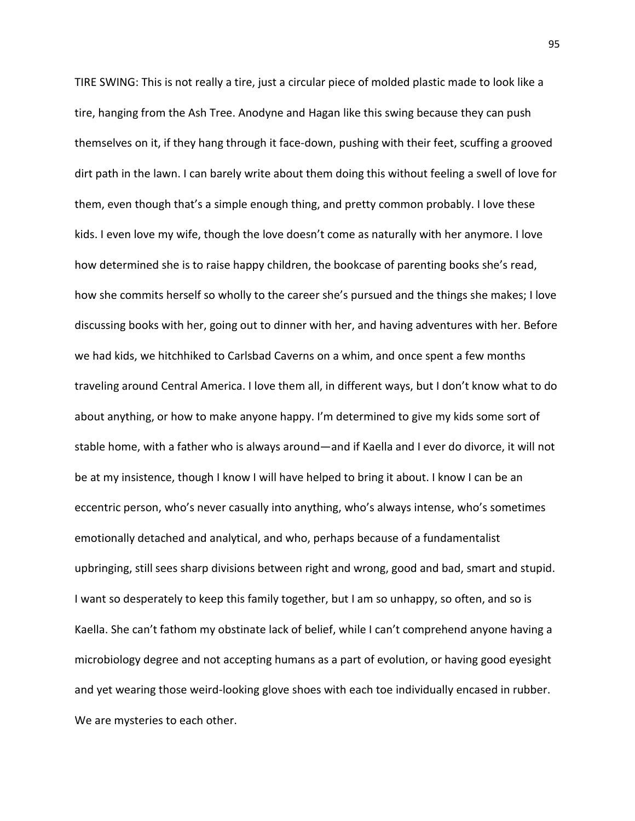TIRE SWING: This is not really a tire, just a circular piece of molded plastic made to look like a tire, hanging from the Ash Tree. Anodyne and Hagan like this swing because they can push themselves on it, if they hang through it face-down, pushing with their feet, scuffing a grooved dirt path in the lawn. I can barely write about them doing this without feeling a swell of love for them, even though that's a simple enough thing, and pretty common probably. I love these kids. I even love my wife, though the love doesn't come as naturally with her anymore. I love how determined she is to raise happy children, the bookcase of parenting books she's read, how she commits herself so wholly to the career she's pursued and the things she makes; I love discussing books with her, going out to dinner with her, and having adventures with her. Before we had kids, we hitchhiked to Carlsbad Caverns on a whim, and once spent a few months traveling around Central America. I love them all, in different ways, but I don't know what to do about anything, or how to make anyone happy. I'm determined to give my kids some sort of stable home, with a father who is always around—and if Kaella and I ever do divorce, it will not be at my insistence, though I know I will have helped to bring it about. I know I can be an eccentric person, who's never casually into anything, who's always intense, who's sometimes emotionally detached and analytical, and who, perhaps because of a fundamentalist upbringing, still sees sharp divisions between right and wrong, good and bad, smart and stupid. I want so desperately to keep this family together, but I am so unhappy, so often, and so is Kaella. She can't fathom my obstinate lack of belief, while I can't comprehend anyone having a microbiology degree and not accepting humans as a part of evolution, or having good eyesight and yet wearing those weird-looking glove shoes with each toe individually encased in rubber. We are mysteries to each other.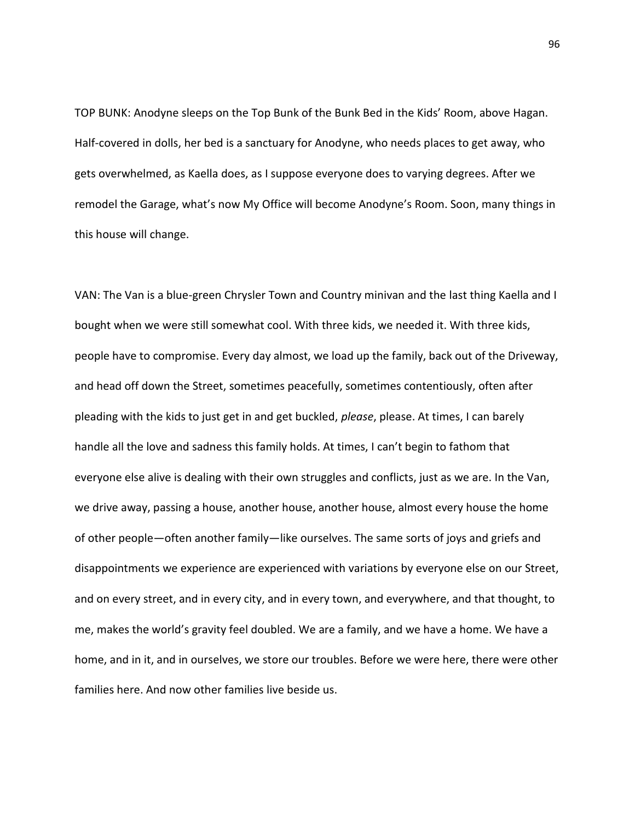TOP BUNK: Anodyne sleeps on the Top Bunk of the Bunk Bed in the Kids' Room, above Hagan. Half-covered in dolls, her bed is a sanctuary for Anodyne, who needs places to get away, who gets overwhelmed, as Kaella does, as I suppose everyone does to varying degrees. After we remodel the Garage, what's now My Office will become Anodyne's Room. Soon, many things in this house will change.

VAN: The Van is a blue-green Chrysler Town and Country minivan and the last thing Kaella and I bought when we were still somewhat cool. With three kids, we needed it. With three kids, people have to compromise. Every day almost, we load up the family, back out of the Driveway, and head off down the Street, sometimes peacefully, sometimes contentiously, often after pleading with the kids to just get in and get buckled, *please*, please. At times, I can barely handle all the love and sadness this family holds. At times, I can't begin to fathom that everyone else alive is dealing with their own struggles and conflicts, just as we are. In the Van, we drive away, passing a house, another house, another house, almost every house the home of other people—often another family—like ourselves. The same sorts of joys and griefs and disappointments we experience are experienced with variations by everyone else on our Street, and on every street, and in every city, and in every town, and everywhere, and that thought, to me, makes the world's gravity feel doubled. We are a family, and we have a home. We have a home, and in it, and in ourselves, we store our troubles. Before we were here, there were other families here. And now other families live beside us.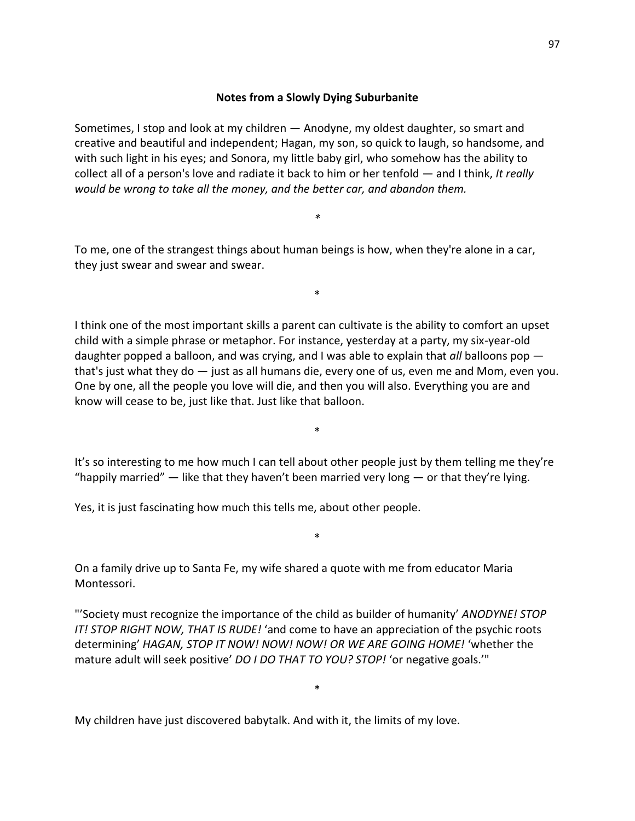## **Notes from a Slowly Dying Suburbanite**

Sometimes, I stop and look at my children — Anodyne, my oldest daughter, so smart and creative and beautiful and independent; Hagan, my son, so quick to laugh, so handsome, and with such light in his eyes; and Sonora, my little baby girl, who somehow has the ability to collect all of a person's love and radiate it back to him or her tenfold — and I think, *It really would be wrong to take all the money, and the better car, and abandon them.*

*\**

To me, one of the strangest things about human beings is how, when they're alone in a car, they just swear and swear and swear.

I think one of the most important skills a parent can cultivate is the ability to comfort an upset child with a simple phrase or metaphor. For instance, yesterday at a party, my six-year-old daughter popped a balloon, and was crying, and I was able to explain that *all* balloons pop that's just what they do — just as all humans die, every one of us, even me and Mom, even you. One by one, all the people you love will die, and then you will also. Everything you are and know will cease to be, just like that. Just like that balloon.

\*

It's so interesting to me how much I can tell about other people just by them telling me they're "happily married"  $-$  like that they haven't been married very long  $-$  or that they're lying.

\*

\*

Yes, it is just fascinating how much this tells me, about other people.

On a family drive up to Santa Fe, my wife shared a quote with me from educator Maria Montessori.

"'Society must recognize the importance of the child as builder of humanity' *ANODYNE! STOP IT! STOP RIGHT NOW, THAT IS RUDE!* 'and come to have an appreciation of the psychic roots determining' *HAGAN, STOP IT NOW! NOW! NOW! OR WE ARE GOING HOME!* 'whether the mature adult will seek positive' *DO I DO THAT TO YOU? STOP!* 'or negative goals.'"

97

\*

My children have just discovered babytalk. And with it, the limits of my love.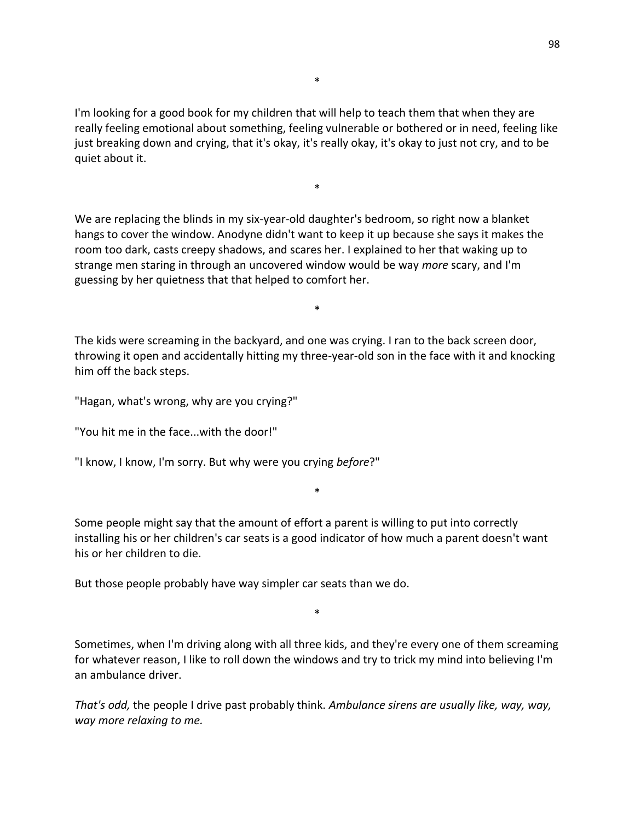I'm looking for a good book for my children that will help to teach them that when they are really feeling emotional about something, feeling vulnerable or bothered or in need, feeling like just breaking down and crying, that it's okay, it's really okay, it's okay to just not cry, and to be quiet about it.

\*

\*

We are replacing the blinds in my six-year-old daughter's bedroom, so right now a blanket hangs to cover the window. Anodyne didn't want to keep it up because she says it makes the room too dark, casts creepy shadows, and scares her. I explained to her that waking up to strange men staring in through an uncovered window would be way *more* scary, and I'm guessing by her quietness that that helped to comfort her.

The kids were screaming in the backyard, and one was crying. I ran to the back screen door, throwing it open and accidentally hitting my three-year-old son in the face with it and knocking him off the back steps.

\*

"Hagan, what's wrong, why are you crying?"

"You hit me in the face...with the door!"

"I know, I know, I'm sorry. But why were you crying *before*?"

Some people might say that the amount of effort a parent is willing to put into correctly installing his or her children's car seats is a good indicator of how much a parent doesn't want his or her children to die.

\*

But those people probably have way simpler car seats than we do.

Sometimes, when I'm driving along with all three kids, and they're every one of them screaming for whatever reason, I like to roll down the windows and try to trick my mind into believing I'm an ambulance driver.

\*

*That's odd,* the people I drive past probably think. *Ambulance sirens are usually like, way, way, way more relaxing to me.*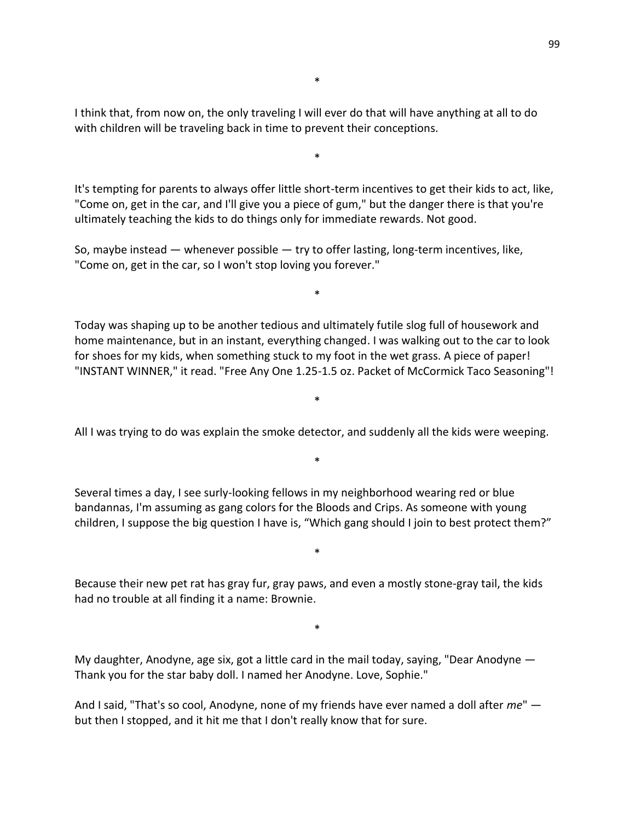I think that, from now on, the only traveling I will ever do that will have anything at all to do with children will be traveling back in time to prevent their conceptions.

\*

It's tempting for parents to always offer little short-term incentives to get their kids to act, like, "Come on, get in the car, and I'll give you a piece of gum," but the danger there is that you're ultimately teaching the kids to do things only for immediate rewards. Not good.

\*

So, maybe instead  $-$  whenever possible  $-$  try to offer lasting, long-term incentives, like, "Come on, get in the car, so I won't stop loving you forever."

Today was shaping up to be another tedious and ultimately futile slog full of housework and home maintenance, but in an instant, everything changed. I was walking out to the car to look for shoes for my kids, when something stuck to my foot in the wet grass. A piece of paper! "INSTANT WINNER," it read. "Free Any One 1.25-1.5 oz. Packet of McCormick Taco Seasoning"!

\*

All I was trying to do was explain the smoke detector, and suddenly all the kids were weeping.

\*

\*

Several times a day, I see surly-looking fellows in my neighborhood wearing red or blue bandannas, I'm assuming as gang colors for the Bloods and Crips. As someone with young children, I suppose the big question I have is, "Which gang should I join to best protect them?"

\*

Because their new pet rat has gray fur, gray paws, and even a mostly stone-gray tail, the kids had no trouble at all finding it a name: Brownie.

\*

My daughter, Anodyne, age six, got a little card in the mail today, saying, "Dear Anodyne — Thank you for the star baby doll. I named her Anodyne. Love, Sophie."

And I said, "That's so cool, Anodyne, none of my friends have ever named a doll after *me*" but then I stopped, and it hit me that I don't really know that for sure.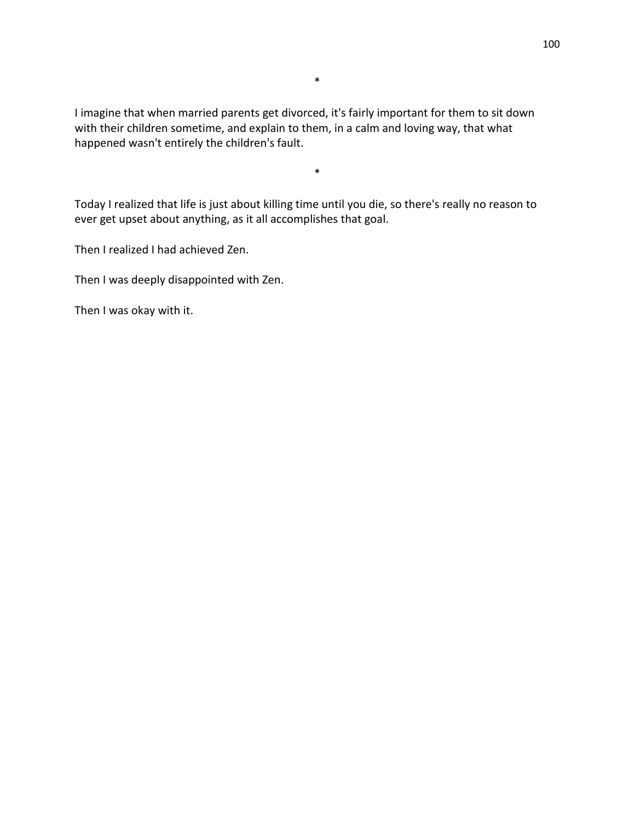I imagine that when married parents get divorced, it's fairly important for them to sit down with their children sometime, and explain to them, in a calm and loving way, that what happened wasn't entirely the children's fault.

\*

Today I realized that life is just about killing time until you die, so there's really no reason to ever get upset about anything, as it all accomplishes that goal.

\*

Then I realized I had achieved Zen.

Then I was deeply disappointed with Zen.

Then I was okay with it.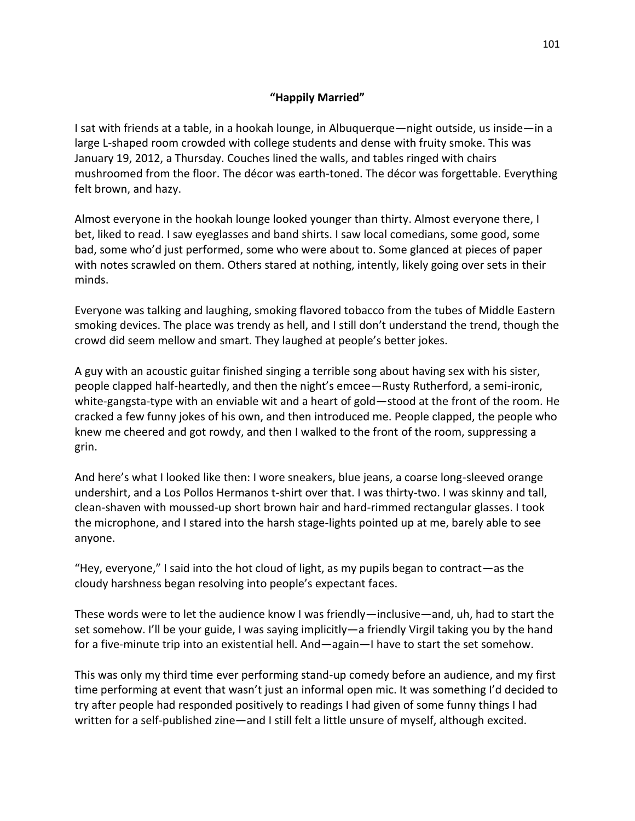## **"Happily Married"**

I sat with friends at a table, in a hookah lounge, in Albuquerque—night outside, us inside—in a large L-shaped room crowded with college students and dense with fruity smoke. This was January 19, 2012, a Thursday. Couches lined the walls, and tables ringed with chairs mushroomed from the floor. The décor was earth-toned. The décor was forgettable. Everything felt brown, and hazy.

Almost everyone in the hookah lounge looked younger than thirty. Almost everyone there, I bet, liked to read. I saw eyeglasses and band shirts. I saw local comedians, some good, some bad, some who'd just performed, some who were about to. Some glanced at pieces of paper with notes scrawled on them. Others stared at nothing, intently, likely going over sets in their minds.

Everyone was talking and laughing, smoking flavored tobacco from the tubes of Middle Eastern smoking devices. The place was trendy as hell, and I still don't understand the trend, though the crowd did seem mellow and smart. They laughed at people's better jokes.

A guy with an acoustic guitar finished singing a terrible song about having sex with his sister, people clapped half-heartedly, and then the night's emcee—Rusty Rutherford, a semi-ironic, white-gangsta-type with an enviable wit and a heart of gold—stood at the front of the room. He cracked a few funny jokes of his own, and then introduced me. People clapped, the people who knew me cheered and got rowdy, and then I walked to the front of the room, suppressing a grin.

And here's what I looked like then: I wore sneakers, blue jeans, a coarse long-sleeved orange undershirt, and a Los Pollos Hermanos t-shirt over that. I was thirty-two. I was skinny and tall, clean-shaven with moussed-up short brown hair and hard-rimmed rectangular glasses. I took the microphone, and I stared into the harsh stage-lights pointed up at me, barely able to see anyone.

"Hey, everyone," I said into the hot cloud of light, as my pupils began to contract—as the cloudy harshness began resolving into people's expectant faces.

These words were to let the audience know I was friendly—inclusive—and, uh, had to start the set somehow. I'll be your guide, I was saying implicitly—a friendly Virgil taking you by the hand for a five-minute trip into an existential hell. And—again—I have to start the set somehow.

This was only my third time ever performing stand-up comedy before an audience, and my first time performing at event that wasn't just an informal open mic. It was something I'd decided to try after people had responded positively to readings I had given of some funny things I had written for a self-published zine—and I still felt a little unsure of myself, although excited.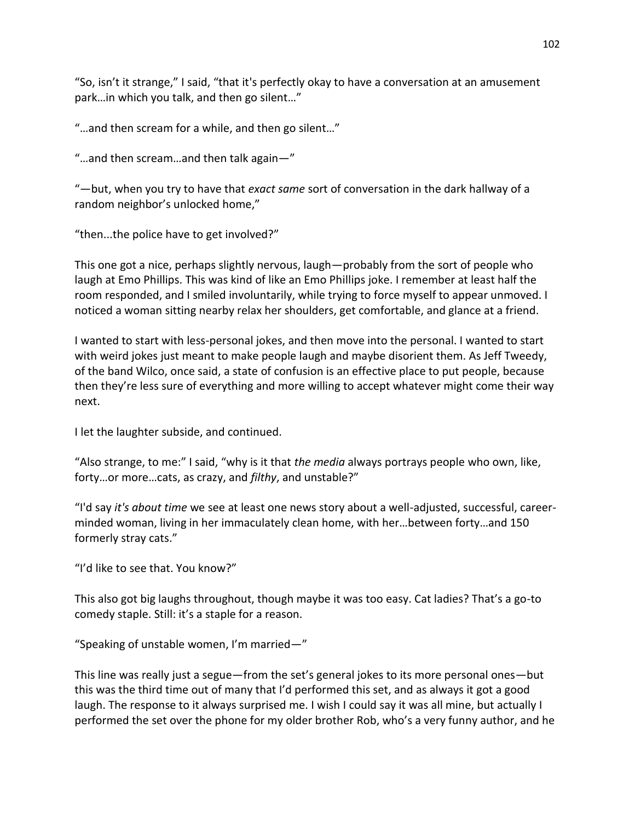"So, isn't it strange," I said, "that it's perfectly okay to have a conversation at an amusement park…in which you talk, and then go silent…"

"…and then scream for a while, and then go silent…"

"…and then scream…and then talk again—"

"—but, when you try to have that *exact same* sort of conversation in the dark hallway of a random neighbor's unlocked home,"

"then...the police have to get involved?"

This one got a nice, perhaps slightly nervous, laugh—probably from the sort of people who laugh at Emo Phillips. This was kind of like an Emo Phillips joke. I remember at least half the room responded, and I smiled involuntarily, while trying to force myself to appear unmoved. I noticed a woman sitting nearby relax her shoulders, get comfortable, and glance at a friend.

I wanted to start with less-personal jokes, and then move into the personal. I wanted to start with weird jokes just meant to make people laugh and maybe disorient them. As Jeff Tweedy, of the band Wilco, once said, a state of confusion is an effective place to put people, because then they're less sure of everything and more willing to accept whatever might come their way next.

I let the laughter subside, and continued.

"Also strange, to me:" I said, "why is it that *the media* always portrays people who own, like, forty…or more…cats, as crazy, and *filthy*, and unstable?"

"I'd say *it's about time* we see at least one news story about a well-adjusted, successful, careerminded woman, living in her immaculately clean home, with her…between forty…and 150 formerly stray cats."

"I'd like to see that. You know?"

This also got big laughs throughout, though maybe it was too easy. Cat ladies? That's a go-to comedy staple. Still: it's a staple for a reason.

"Speaking of unstable women, I'm married—"

This line was really just a segue—from the set's general jokes to its more personal ones—but this was the third time out of many that I'd performed this set, and as always it got a good laugh. The response to it always surprised me. I wish I could say it was all mine, but actually I performed the set over the phone for my older brother Rob, who's a very funny author, and he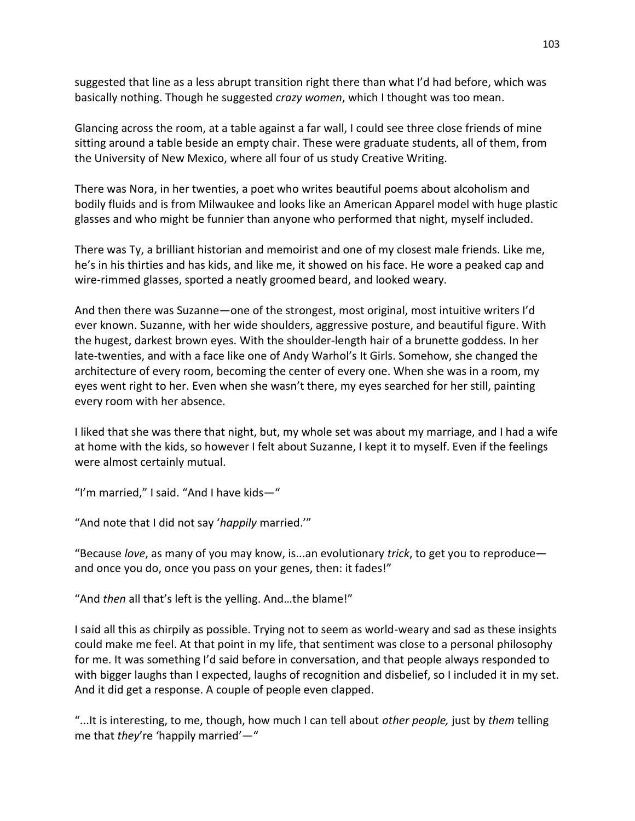suggested that line as a less abrupt transition right there than what I'd had before, which was basically nothing. Though he suggested *crazy women*, which I thought was too mean.

Glancing across the room, at a table against a far wall, I could see three close friends of mine sitting around a table beside an empty chair. These were graduate students, all of them, from the University of New Mexico, where all four of us study Creative Writing.

There was Nora, in her twenties, a poet who writes beautiful poems about alcoholism and bodily fluids and is from Milwaukee and looks like an American Apparel model with huge plastic glasses and who might be funnier than anyone who performed that night, myself included.

There was Ty, a brilliant historian and memoirist and one of my closest male friends. Like me, he's in his thirties and has kids, and like me, it showed on his face. He wore a peaked cap and wire-rimmed glasses, sported a neatly groomed beard, and looked weary.

And then there was Suzanne—one of the strongest, most original, most intuitive writers I'd ever known. Suzanne, with her wide shoulders, aggressive posture, and beautiful figure. With the hugest, darkest brown eyes. With the shoulder-length hair of a brunette goddess. In her late-twenties, and with a face like one of Andy Warhol's It Girls. Somehow, she changed the architecture of every room, becoming the center of every one. When she was in a room, my eyes went right to her. Even when she wasn't there, my eyes searched for her still, painting every room with her absence.

I liked that she was there that night, but, my whole set was about my marriage, and I had a wife at home with the kids, so however I felt about Suzanne, I kept it to myself. Even if the feelings were almost certainly mutual.

"I'm married," I said. "And I have kids—"

"And note that I did not say '*happily* married.'"

"Because *love*, as many of you may know, is...an evolutionary *trick*, to get you to reproduce and once you do, once you pass on your genes, then: it fades!"

"And *then* all that's left is the yelling. And…the blame!"

I said all this as chirpily as possible. Trying not to seem as world-weary and sad as these insights could make me feel. At that point in my life, that sentiment was close to a personal philosophy for me. It was something I'd said before in conversation, and that people always responded to with bigger laughs than I expected, laughs of recognition and disbelief, so I included it in my set. And it did get a response. A couple of people even clapped.

"...It is interesting, to me, though, how much I can tell about *other people,* just by *them* telling me that *they*'re 'happily married'—"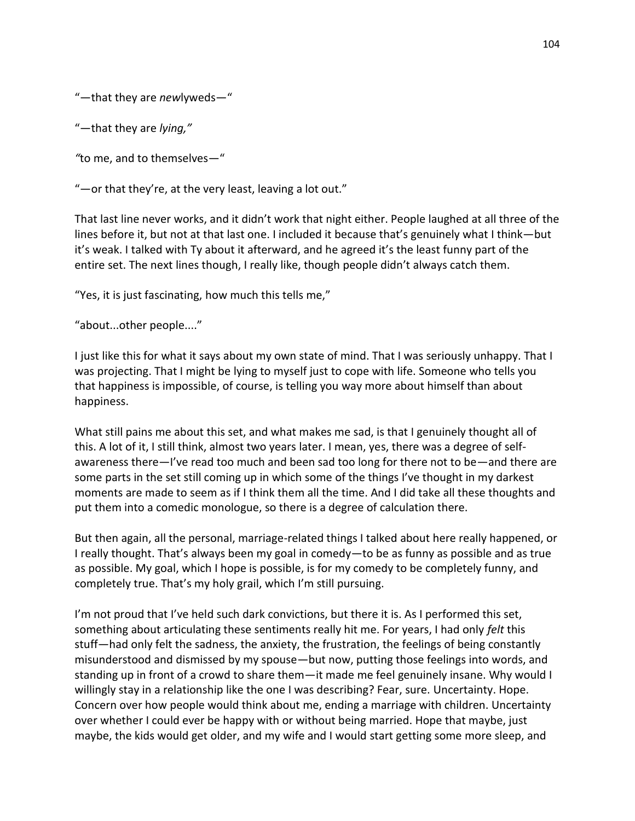"—that they are *new*lyweds—"

"—that they are *lying,"*

*"*to me, and to themselves—"

"—or that they're, at the very least, leaving a lot out."

That last line never works, and it didn't work that night either. People laughed at all three of the lines before it, but not at that last one. I included it because that's genuinely what I think—but it's weak. I talked with Ty about it afterward, and he agreed it's the least funny part of the entire set. The next lines though, I really like, though people didn't always catch them.

"Yes, it is just fascinating, how much this tells me,"

"about...other people...."

I just like this for what it says about my own state of mind. That I was seriously unhappy. That I was projecting. That I might be lying to myself just to cope with life. Someone who tells you that happiness is impossible, of course, is telling you way more about himself than about happiness.

What still pains me about this set, and what makes me sad, is that I genuinely thought all of this. A lot of it, I still think, almost two years later. I mean, yes, there was a degree of selfawareness there—I've read too much and been sad too long for there not to be—and there are some parts in the set still coming up in which some of the things I've thought in my darkest moments are made to seem as if I think them all the time. And I did take all these thoughts and put them into a comedic monologue, so there is a degree of calculation there.

But then again, all the personal, marriage-related things I talked about here really happened, or I really thought. That's always been my goal in comedy—to be as funny as possible and as true as possible. My goal, which I hope is possible, is for my comedy to be completely funny, and completely true. That's my holy grail, which I'm still pursuing.

I'm not proud that I've held such dark convictions, but there it is. As I performed this set, something about articulating these sentiments really hit me. For years, I had only *felt* this stuff—had only felt the sadness, the anxiety, the frustration, the feelings of being constantly misunderstood and dismissed by my spouse—but now, putting those feelings into words, and standing up in front of a crowd to share them—it made me feel genuinely insane. Why would I willingly stay in a relationship like the one I was describing? Fear, sure. Uncertainty. Hope. Concern over how people would think about me, ending a marriage with children. Uncertainty over whether I could ever be happy with or without being married. Hope that maybe, just maybe, the kids would get older, and my wife and I would start getting some more sleep, and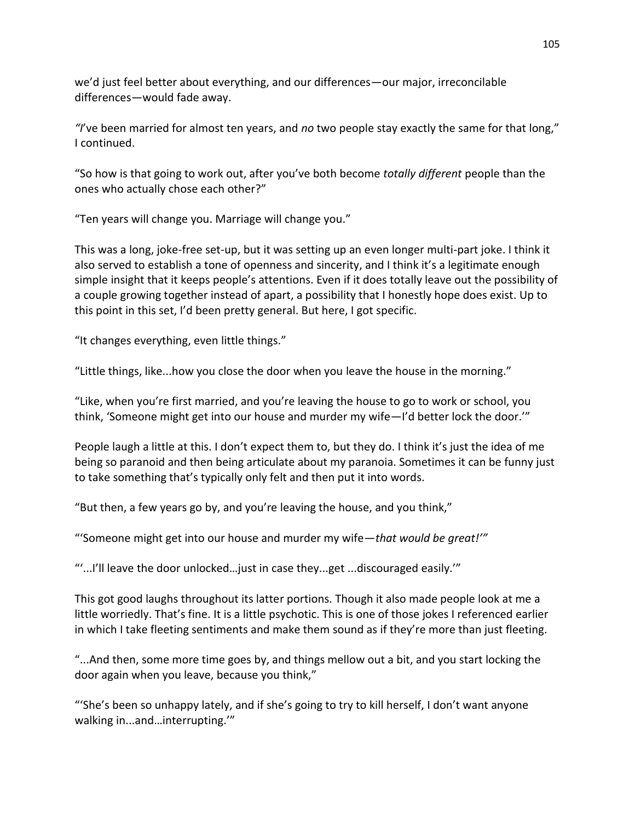we'd just feel better about everything, and our differences—our major, irreconcilable differences—would fade away.

*"I*'ve been married for almost ten years, and *no* two people stay exactly the same for that long," I continued.

"So how is that going to work out, after you've both become *totally different* people than the ones who actually chose each other?"

"Ten years will change you. Marriage will change you."

This was a long, joke-free set-up, but it was setting up an even longer multi-part joke. I think it also served to establish a tone of openness and sincerity, and I think it's a legitimate enough simple insight that it keeps people's attentions. Even if it does totally leave out the possibility of a couple growing together instead of apart, a possibility that I honestly hope does exist. Up to this point in this set, I'd been pretty general. But here, I got specific.

"It changes everything, even little things."

"Little things, like...how you close the door when you leave the house in the morning."

"Like, when you're first married, and you're leaving the house to go to work or school, you think, 'Someone might get into our house and murder my wife—I'd better lock the door.'"

People laugh a little at this. I don't expect them to, but they do. I think it's just the idea of me being so paranoid and then being articulate about my paranoia. Sometimes it can be funny just to take something that's typically only felt and then put it into words.

"But then, a few years go by, and you're leaving the house, and you think,"

"'Someone might get into our house and murder my wife—*that would be great!'"*

"'...I'll leave the door unlocked…just in case they...get ...discouraged easily.'"

This got good laughs throughout its latter portions. Though it also made people look at me a little worriedly. That's fine. It is a little psychotic. This is one of those jokes I referenced earlier in which I take fleeting sentiments and make them sound as if they're more than just fleeting.

"...And then, some more time goes by, and things mellow out a bit, and you start locking the door again when you leave, because you think,"

"'She's been so unhappy lately, and if she's going to try to kill herself, I don't want anyone walking in...and…interrupting.'"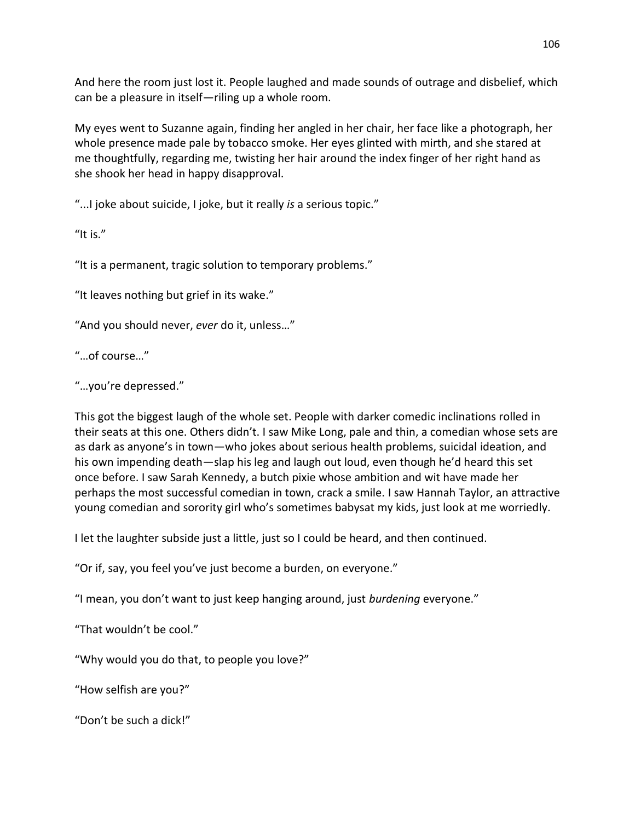And here the room just lost it. People laughed and made sounds of outrage and disbelief, which can be a pleasure in itself—riling up a whole room.

My eyes went to Suzanne again, finding her angled in her chair, her face like a photograph, her whole presence made pale by tobacco smoke. Her eyes glinted with mirth, and she stared at me thoughtfully, regarding me, twisting her hair around the index finger of her right hand as she shook her head in happy disapproval.

"...I joke about suicide, I joke, but it really *is* a serious topic."

"It is."

"It is a permanent, tragic solution to temporary problems."

"It leaves nothing but grief in its wake."

"And you should never, *ever* do it, unless…"

"…of course…"

"…you're depressed."

This got the biggest laugh of the whole set. People with darker comedic inclinations rolled in their seats at this one. Others didn't. I saw Mike Long, pale and thin, a comedian whose sets are as dark as anyone's in town—who jokes about serious health problems, suicidal ideation, and his own impending death—slap his leg and laugh out loud, even though he'd heard this set once before. I saw Sarah Kennedy, a butch pixie whose ambition and wit have made her perhaps the most successful comedian in town, crack a smile. I saw Hannah Taylor, an attractive young comedian and sorority girl who's sometimes babysat my kids, just look at me worriedly.

I let the laughter subside just a little, just so I could be heard, and then continued.

"Or if, say, you feel you've just become a burden, on everyone."

"I mean, you don't want to just keep hanging around, just *burdening* everyone."

"That wouldn't be cool."

"Why would you do that, to people you love?"

"How selfish are you?"

"Don't be such a dick!"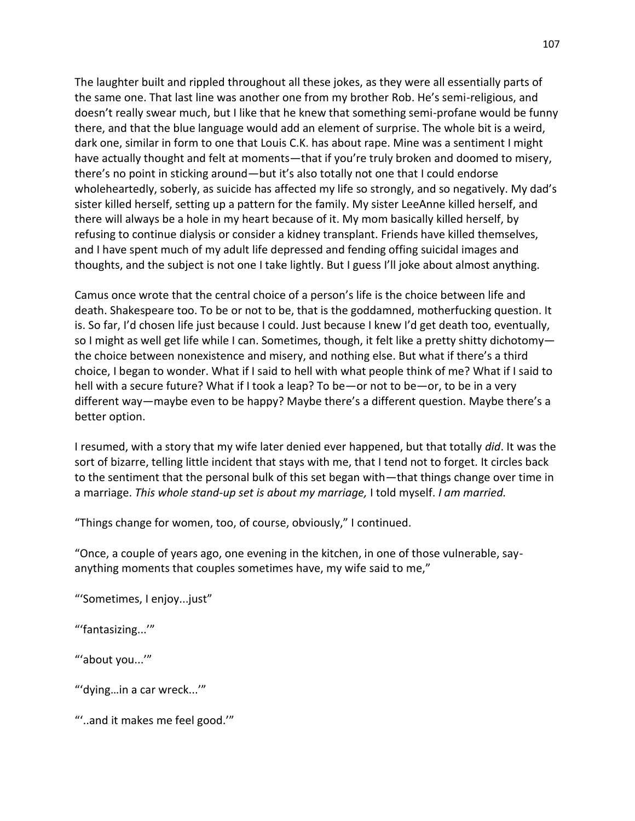The laughter built and rippled throughout all these jokes, as they were all essentially parts of the same one. That last line was another one from my brother Rob. He's semi-religious, and doesn't really swear much, but I like that he knew that something semi-profane would be funny there, and that the blue language would add an element of surprise. The whole bit is a weird, dark one, similar in form to one that Louis C.K. has about rape. Mine was a sentiment I might have actually thought and felt at moments—that if you're truly broken and doomed to misery, there's no point in sticking around—but it's also totally not one that I could endorse wholeheartedly, soberly, as suicide has affected my life so strongly, and so negatively. My dad's sister killed herself, setting up a pattern for the family. My sister LeeAnne killed herself, and there will always be a hole in my heart because of it. My mom basically killed herself, by refusing to continue dialysis or consider a kidney transplant. Friends have killed themselves, and I have spent much of my adult life depressed and fending offing suicidal images and thoughts, and the subject is not one I take lightly. But I guess I'll joke about almost anything.

Camus once wrote that the central choice of a person's life is the choice between life and death. Shakespeare too. To be or not to be, that is the goddamned, motherfucking question. It is. So far, I'd chosen life just because I could. Just because I knew I'd get death too, eventually, so I might as well get life while I can. Sometimes, though, it felt like a pretty shitty dichotomythe choice between nonexistence and misery, and nothing else. But what if there's a third choice, I began to wonder. What if I said to hell with what people think of me? What if I said to hell with a secure future? What if I took a leap? To be—or not to be—or, to be in a very different way—maybe even to be happy? Maybe there's a different question. Maybe there's a better option.

I resumed, with a story that my wife later denied ever happened, but that totally *did*. It was the sort of bizarre, telling little incident that stays with me, that I tend not to forget. It circles back to the sentiment that the personal bulk of this set began with—that things change over time in a marriage. *This whole stand-up set is about my marriage,* I told myself. *I am married.*

"Things change for women, too, of course, obviously," I continued.

"Once, a couple of years ago, one evening in the kitchen, in one of those vulnerable, sayanything moments that couples sometimes have, my wife said to me,"

"'Sometimes, I enjoy...just"

"'fantasizing...'"

"'about you...'"

"'dying…in a car wreck...'"

"'..and it makes me feel good.'"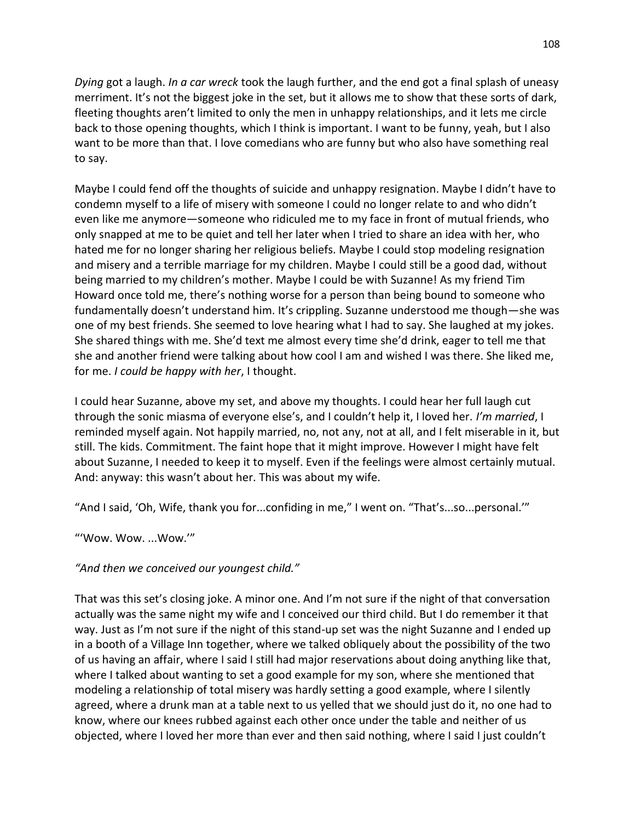*Dying* got a laugh. *In a car wreck* took the laugh further, and the end got a final splash of uneasy merriment. It's not the biggest joke in the set, but it allows me to show that these sorts of dark, fleeting thoughts aren't limited to only the men in unhappy relationships, and it lets me circle back to those opening thoughts, which I think is important. I want to be funny, yeah, but I also want to be more than that. I love comedians who are funny but who also have something real to say.

Maybe I could fend off the thoughts of suicide and unhappy resignation. Maybe I didn't have to condemn myself to a life of misery with someone I could no longer relate to and who didn't even like me anymore—someone who ridiculed me to my face in front of mutual friends, who only snapped at me to be quiet and tell her later when I tried to share an idea with her, who hated me for no longer sharing her religious beliefs. Maybe I could stop modeling resignation and misery and a terrible marriage for my children. Maybe I could still be a good dad, without being married to my children's mother. Maybe I could be with Suzanne! As my friend Tim Howard once told me, there's nothing worse for a person than being bound to someone who fundamentally doesn't understand him. It's crippling. Suzanne understood me though—she was one of my best friends. She seemed to love hearing what I had to say. She laughed at my jokes. She shared things with me. She'd text me almost every time she'd drink, eager to tell me that she and another friend were talking about how cool I am and wished I was there. She liked me, for me. *I could be happy with her*, I thought.

I could hear Suzanne, above my set, and above my thoughts. I could hear her full laugh cut through the sonic miasma of everyone else's, and I couldn't help it, I loved her. *I'm married*, I reminded myself again. Not happily married, no, not any, not at all, and I felt miserable in it, but still. The kids. Commitment. The faint hope that it might improve. However I might have felt about Suzanne, I needed to keep it to myself. Even if the feelings were almost certainly mutual. And: anyway: this wasn't about her. This was about my wife.

"And I said, 'Oh, Wife, thank you for...confiding in me," I went on. "That's...so...personal.'"

"'Wow. Wow. ...Wow.'"

## *"And then we conceived our youngest child."*

That was this set's closing joke. A minor one. And I'm not sure if the night of that conversation actually was the same night my wife and I conceived our third child. But I do remember it that way. Just as I'm not sure if the night of this stand-up set was the night Suzanne and I ended up in a booth of a Village Inn together, where we talked obliquely about the possibility of the two of us having an affair, where I said I still had major reservations about doing anything like that, where I talked about wanting to set a good example for my son, where she mentioned that modeling a relationship of total misery was hardly setting a good example, where I silently agreed, where a drunk man at a table next to us yelled that we should just do it, no one had to know, where our knees rubbed against each other once under the table and neither of us objected, where I loved her more than ever and then said nothing, where I said I just couldn't